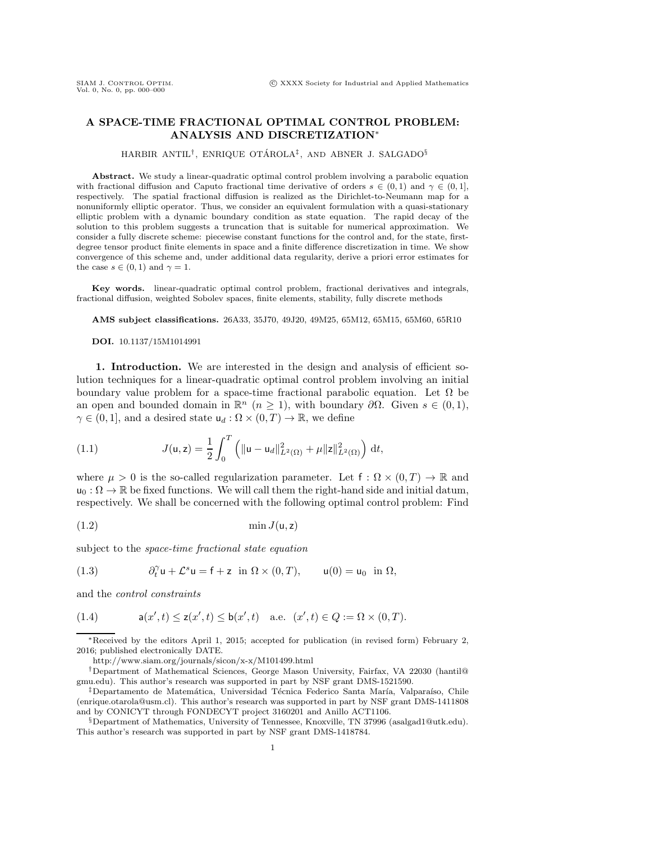## **A SPACE-TIME FRACTIONAL OPTIMAL CONTROL PROBLEM: ANALYSIS AND DISCRETIZATION**∗

HARBIR ANTIL<sup>†</sup>, ENRIQUE OTÁROLA<sup>‡</sup>, AND ABNER J. SALGADO§

**Abstract.** We study a linear-quadratic optimal control problem involving a parabolic equation with fractional diffusion and Caputo fractional time derivative of orders  $s \in (0,1)$  and  $\gamma \in (0,1]$ , respectively. The spatial fractional diffusion is realized as the Dirichlet-to-Neumann map for a nonuniformly elliptic operator. Thus, we consider an equivalent formulation with a quasi-stationary elliptic problem with a dynamic boundary condition as state equation. The rapid decay of the solution to this problem suggests a truncation that is suitable for numerical approximation. We consider a fully discrete scheme: piecewise constant functions for the control and, for the state, firstdegree tensor product finite elements in space and a finite difference discretization in time. We show convergence of this scheme and, under additional data regularity, derive a priori error estimates for the case  $s \in (0,1)$  and  $\gamma = 1$ .

**Key words.** linear-quadratic optimal control problem, fractional derivatives and integrals, fractional diffusion, weighted Sobolev spaces, finite elements, stability, fully discrete methods

**AMS subject classifications.** 26A33, 35J70, 49J20, 49M25, 65M12, 65M15, 65M60, 65R10

**DOI.** 10.1137/15M1014991

**1. Introduction.** We are interested in the design and analysis of efficient solution techniques for a linear-quadratic optimal control problem involving an initial boundary value problem for a space-time fractional parabolic equation. Let  $\Omega$  be an open and bounded domain in  $\mathbb{R}^n$  ( $n \geq 1$ ), with boundary  $\partial \Omega$ . Given  $s \in (0,1)$ ,  $\gamma \in (0, 1]$ , and a desired state  $u_d : \Omega \times (0, T) \to \mathbb{R}$ , we define

<span id="page-0-3"></span>(1.1) 
$$
J(\mathsf{u},\mathsf{z}) = \frac{1}{2} \int_0^T \left( \|\mathsf{u}-\mathsf{u}_d\|_{L^2(\Omega)}^2 + \mu \|z\|_{L^2(\Omega)}^2 \right) \, \mathrm{d}t,
$$

where  $\mu > 0$  is the so-called regularization parameter. Let f :  $\Omega \times (0,T) \to \mathbb{R}$  and  $u_0: \Omega \to \mathbb{R}$  be fixed functions. We will call them the right-hand side and initial datum, respectively. We shall be concerned with the following optimal control problem: Find

<span id="page-0-0"></span>
$$
\min J(\mathsf{u},\mathsf{z})
$$

subject to the *space-time fractional state equation*

<span id="page-0-2"></span>(1.3) 
$$
\partial_t^{\gamma} \mathsf{u} + \mathcal{L}^s \mathsf{u} = \mathsf{f} + \mathsf{z} \quad \text{in} \ \Omega \times (0, T), \qquad \mathsf{u}(0) = \mathsf{u}_0 \quad \text{in} \ \Omega,
$$

and the *control constraints*

<span id="page-0-1"></span>(1.4) 
$$
a(x',t) \le z(x',t) \le b(x',t) \text{ a.e. } (x',t) \in Q := \Omega \times (0,T).
$$

<sup>∗</sup>Received by the editors April 1, 2015; accepted for publication (in revised form) February 2, 2016; published electronically DATE.

<http://www.siam.org/journals/sicon/x-x/M101499.html>

<sup>†</sup>Department of Mathematical Sciences, George Mason University, Fairfax, VA 22030 [\(hantil@](mailto:hantil@gmu.edu) [gmu.edu\)](mailto:hantil@gmu.edu). This author's research was supported in part by NSF grant DMS-1521590.

<sup>&</sup>lt;sup>‡</sup>Departamento de Matemática, Universidad Técnica Federico Santa María, Valparaíso, Chile [\(enrique.otarola@usm.cl\)](mailto:enrique.otarola@usm.cl). This author's research was supported in part by NSF grant DMS-1411808 and by CONICYT through FONDECYT project 3160201 and Anillo ACT1106.

<sup>§</sup>Department of Mathematics, University of Tennessee, Knoxville, TN 37996 [\(asalgad1@utk.edu\)](mailto:asalgad1@utk.edu). This author's research was supported in part by NSF grant DMS-1418784.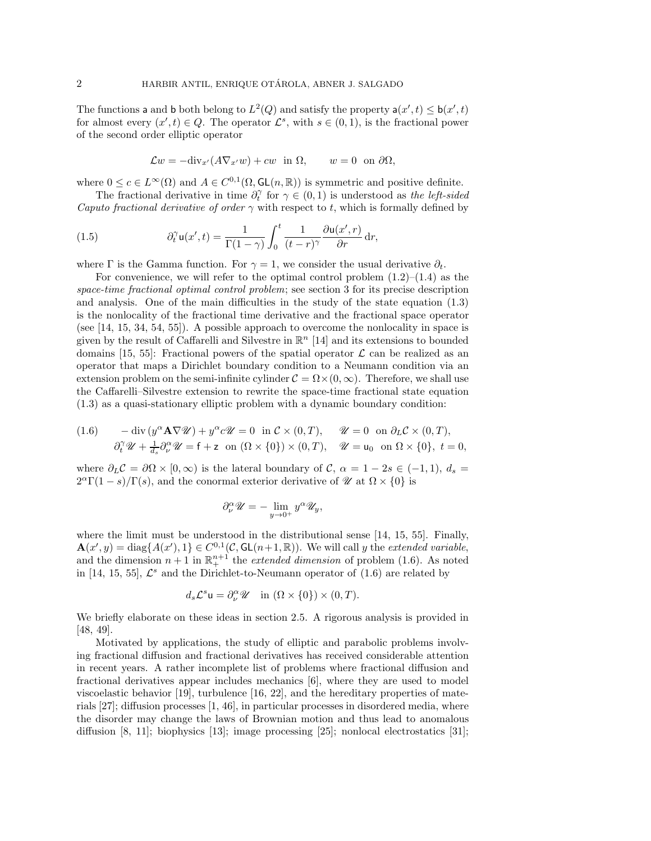The functions a and b both belong to  $L^2(Q)$  and satisfy the property  $a(x', t) \leq b(x', t)$  for almost every  $(x', t) \in Q$ . The operator  $\mathcal{L}^s$  with  $s \in (0, 1)$  is the fractional power for almost every  $(x', t) \in Q$ . The operator  $\mathcal{L}^s$ , with  $s \in (0, 1)$ , is the fractional power of the second order elliptic operator

<span id="page-1-1"></span>
$$
\mathcal{L}w = -\text{div}_{x'}(A\nabla_{x'}w) + cw \text{ in } \Omega, \qquad w = 0 \text{ on } \partial\Omega,
$$

where  $0 \leq c \in L^{\infty}(\Omega)$  and  $A \in C^{0,1}(\Omega, \mathsf{GL}(n,\mathbb{R}))$  is symmetric and positive definite.

The fractional derivative in time  $\partial_t^{\gamma}$  for  $\gamma \in (0,1)$  is understood as *the left-sided Caputo fractional derivative of order*  $\gamma$  with respect to t, which is formally defined by

(1.5) 
$$
\partial_t^{\gamma} \mathsf{u}(x',t) = \frac{1}{\Gamma(1-\gamma)} \int_0^t \frac{1}{(t-r)^{\gamma}} \frac{\partial \mathsf{u}(x',r)}{\partial r} \, \mathrm{d}r,
$$

where Γ is the Gamma function. For  $\gamma = 1$ , we consider the usual derivative  $\partial_t$ .

For convenience, we will refer to the optimal control problem  $(1.2)$ – $(1.4)$  as the *space-time fractional optimal control problem*; see section [3](#page-7-0) for its precise description and analysis. One of the main difficulties in the study of the state equation [\(1.3\)](#page-0-2) is the nonlocality of the fractional time derivative and the fractional space operator (see [\[14,](#page-31-0) [15,](#page-31-1) [34,](#page-32-0) [54,](#page-32-1) [55\]](#page-32-2)). A possible approach to overcome the nonlocality in space is given by the result of Caffarelli and Silvestre in  $\mathbb{R}^n$  [\[14\]](#page-31-0) and its extensions to bounded domains [\[15,](#page-31-1) [55\]](#page-32-2): Fractional powers of the spatial operator  $\mathcal L$  can be realized as an operator that maps a Dirichlet boundary condition to a Neumann condition via an extension problem on the semi-infinite cylinder  $\mathcal{C} = \Omega \times (0,\infty)$ . Therefore, we shall use the Caffarelli–Silvestre extension to rewrite the space-time fractional state equation [\(1.3\)](#page-0-2) as a quasi-stationary elliptic problem with a dynamic boundary condition:

<span id="page-1-0"></span>(1.6) 
$$
-\operatorname{div}(y^{\alpha} \mathbf{A} \nabla \mathcal{U}) + y^{\alpha} c \mathcal{U} = 0 \text{ in } C \times (0, T), \quad \mathcal{U} = 0 \text{ on } \partial_L C \times (0, T), \partial_t^{\gamma} \mathcal{U} + \frac{1}{d_s} \partial_{\nu}^{\alpha} \mathcal{U} = f + z \text{ on } (\Omega \times \{0\}) \times (0, T), \quad \mathcal{U} = u_0 \text{ on } \Omega \times \{0\}, t = 0,
$$

where  $\partial_L C = \partial \Omega \times [0, \infty)$  is the lateral boundary of C,  $\alpha = 1 - 2s \in (-1, 1), d_s =$  $2^{\alpha}\Gamma(1-s)/\Gamma(s)$ , and the conormal exterior derivative of  $\mathcal{U}$  at  $\Omega \times \{0\}$  is

$$
\partial_{\nu}^{\alpha} \mathscr{U} = -\lim_{y \to 0^{+}} y^{\alpha} \mathscr{U}_{y},
$$

where the limit must be understood in the distributional sense [\[14,](#page-31-0) [15,](#page-31-1) [55\]](#page-32-2). Finally,  $\mathbf{A}(x', y) = \text{diag}\{A(x'), 1\} \in C^{0,1}(\mathcal{C}, GL(n+1, \mathbb{R}))$ . We will call y the *extended variable*, and the dimension  $n + 1$  in  $\mathbb{R}^{n+1}$  the *extended dimension* of problem [\(1.6\)](#page-1-0). As noted in [\[14,](#page-31-0) [15,](#page-31-1) [55\]](#page-32-2),  $\mathcal{L}^s$  and the Dirichlet-to-Neumann operator of [\(1.6\)](#page-1-0) are related by

$$
d_s \mathcal{L}^s \mathsf{u} = \partial_\nu^\alpha \mathscr{U} \quad \text{in } (\Omega \times \{0\}) \times (0, T).
$$

We briefly elaborate on these ideas in section [2.5.](#page-6-0) A rigorous analysis is provided in [\[48,](#page-32-3) [49\]](#page-32-4).

Motivated by applications, the study of elliptic and parabolic problems involving fractional diffusion and fractional derivatives has received considerable attention in recent years. A rather incomplete list of problems where fractional diffusion and fractional derivatives appear includes mechanics [\[6\]](#page-31-2), where they are used to model viscoelastic behavior [\[19\]](#page-31-3), turbulence [\[16,](#page-31-4) [22\]](#page-31-5), and the hereditary properties of materials [\[27\]](#page-31-6); diffusion processes [\[1,](#page-30-0) [46\]](#page-32-5), in particular processes in disordered media, where the disorder may change the laws of Brownian motion and thus lead to anomalous diffusion [\[8,](#page-31-7) [11\]](#page-31-8); biophysics [\[13\]](#page-31-9); image processing [\[25\]](#page-31-10); nonlocal electrostatics [\[31\]](#page-32-6);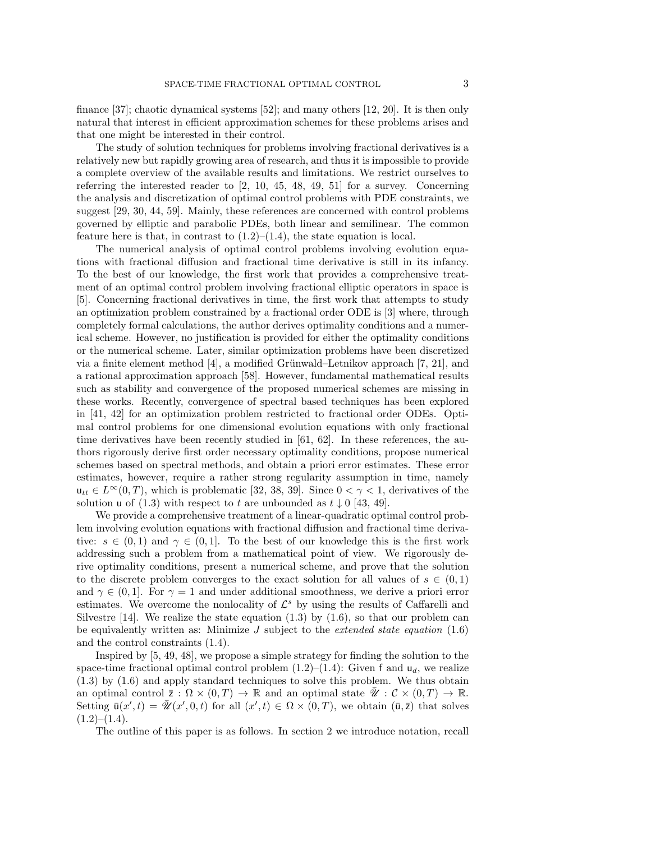finance [\[37\]](#page-32-7); chaotic dynamical systems [\[52\]](#page-32-8); and many others [\[12,](#page-31-11) [20\]](#page-31-12). It is then only natural that interest in efficient approximation schemes for these problems arises and that one might be interested in their control.

The study of solution techniques for problems involving fractional derivatives is a relatively new but rapidly growing area of research, and thus it is impossible to provide a complete overview of the available results and limitations. We restrict ourselves to referring the interested reader to [\[2,](#page-30-1) [10,](#page-31-13) [45,](#page-32-9) [48,](#page-32-3) [49,](#page-32-4) [51\]](#page-32-10) for a survey. Concerning the analysis and discretization of optimal control problems with PDE constraints, we suggest [\[29,](#page-31-14) [30,](#page-31-15) [44,](#page-32-11) [59\]](#page-33-0). Mainly, these references are concerned with control problems governed by elliptic and parabolic PDEs, both linear and semilinear. The common feature here is that, in contrast to  $(1.2)$ – $(1.4)$ , the state equation is local.

The numerical analysis of optimal control problems involving evolution equations with fractional diffusion and fractional time derivative is still in its infancy. To the best of our knowledge, the first work that provides a comprehensive treatment of an optimal control problem involving fractional elliptic operators in space is [\[5\]](#page-31-16). Concerning fractional derivatives in time, the first work that attempts to study an optimization problem constrained by a fractional order ODE is [\[3\]](#page-30-2) where, through completely formal calculations, the author derives optimality conditions and a numerical scheme. However, no justification is provided for either the optimality conditions or the numerical scheme. Later, similar optimization problems have been discretized via a finite element method  $[4]$ , a modified Grünwald–Letnikov approach  $[7, 21]$  $[7, 21]$ , and a rational approximation approach [\[58\]](#page-33-1). However, fundamental mathematical results such as stability and convergence of the proposed numerical schemes are missing in these works. Recently, convergence of spectral based techniques has been explored in [\[41,](#page-32-12) [42\]](#page-32-13) for an optimization problem restricted to fractional order ODEs. Optimal control problems for one dimensional evolution equations with only fractional time derivatives have been recently studied in [\[61,](#page-33-2) [62\]](#page-33-3). In these references, the authors rigorously derive first order necessary optimality conditions, propose numerical schemes based on spectral methods, and obtain a priori error estimates. These error estimates, however, require a rather strong regularity assumption in time, namely  $u_{tt} \in L^{\infty}(0,T)$ , which is problematic [\[32,](#page-32-14) [38,](#page-32-15) [39\]](#page-32-16). Since  $0 < \gamma < 1$ , derivatives of the solution u of [\(1.3\)](#page-0-2) with respect to t are unbounded as  $t \downarrow 0$  [\[43,](#page-32-17) [49\]](#page-32-4).

We provide a comprehensive treatment of a linear-quadratic optimal control problem involving evolution equations with fractional diffusion and fractional time derivative:  $s \in (0,1)$  and  $\gamma \in (0,1]$ . To the best of our knowledge this is the first work addressing such a problem from a mathematical point of view. We rigorously derive optimality conditions, present a numerical scheme, and prove that the solution to the discrete problem converges to the exact solution for all values of  $s \in (0,1)$ and  $\gamma \in (0,1]$ . For  $\gamma = 1$  and under additional smoothness, we derive a priori error estimates. We overcome the nonlocality of  $\mathcal{L}^s$  by using the results of Caffarelli and Silvestre [\[14\]](#page-31-0). We realize the state equation  $(1.3)$  by  $(1.6)$ , so that our problem can be equivalently written as: Minimize J subject to the *extended state equation* [\(1.6\)](#page-1-0) and the control constraints [\(1.4\)](#page-0-1).

Inspired by [\[5,](#page-31-16) [49,](#page-32-4) [48\]](#page-32-3), we propose a simple strategy for finding the solution to the space-time fractional optimal control problem  $(1.2)$ – $(1.4)$ : Given f and  $u_d$ , we realize [\(1.3\)](#page-0-2) by [\(1.6\)](#page-1-0) and apply standard techniques to solve this problem. We thus obtain an optimal control  $\overline{z}$  :  $\Omega \times (0,T) \to \mathbb{R}$  and an optimal state  $\mathscr{U}: \mathcal{C} \times (0,T) \to \mathbb{R}$ . Setting  $\bar{u}(x',t) = \bar{\mathscr{U}}(x',0,t)$  for all  $(x',t) \in \Omega \times (0,T)$ , we obtain  $(\bar{u}, \bar{z})$  that solves  $(1.2)–(1.4).$  $(1.2)–(1.4).$  $(1.2)–(1.4).$  $(1.2)–(1.4).$ 

The outline of this paper is as follows. In section [2](#page-3-0) we introduce notation, recall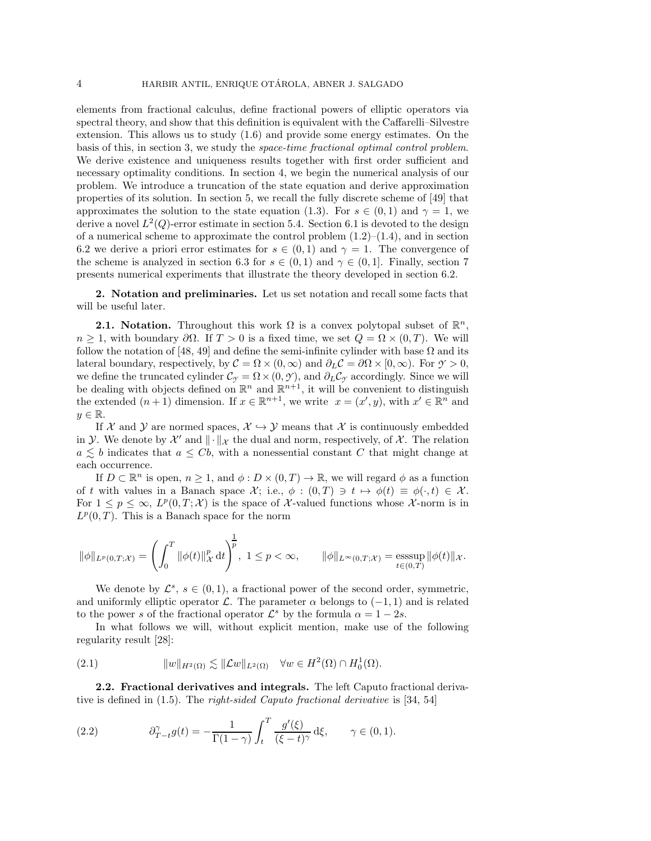elements from fractional calculus, define fractional powers of elliptic operators via spectral theory, and show that this definition is equivalent with the Caffarelli–Silvestre extension. This allows us to study [\(1.6\)](#page-1-0) and provide some energy estimates. On the basis of this, in section [3,](#page-7-0) we study the *space-time fractional optimal control problem*. We derive existence and uniqueness results together with first order sufficient and necessary optimality conditions. In section [4,](#page-14-0) we begin the numerical analysis of our problem. We introduce a truncation of the state equation and derive approximation properties of its solution. In section [5,](#page-16-0) we recall the fully discrete scheme of [\[49\]](#page-32-4) that approximates the solution to the state equation [\(1.3\)](#page-0-2). For  $s \in (0,1)$  and  $\gamma = 1$ , we derive a novel  $L^2(Q)$ -error estimate in section [5.4.](#page-18-0) Section [6.1](#page-21-0) is devoted to the design of a numerical scheme to approximate the control problem  $(1.2)$ – $(1.4)$ , and in section [6.2](#page-22-0) we derive a priori error estimates for  $s \in (0,1)$  and  $\gamma = 1$ . The convergence of the scheme is analyzed in section [6.3](#page-24-0) for  $s \in (0,1)$  and  $\gamma \in (0,1]$ . Finally, section [7](#page-26-0) presents numerical experiments that illustrate the theory developed in section [6.2.](#page-22-0)

<span id="page-3-0"></span>**2. Notation and preliminaries.** Let us set notation and recall some facts that will be useful later.

**2.1. Notation.** Throughout this work  $\Omega$  is a convex polytopal subset of  $\mathbb{R}^n$ ,  $n \geq 1$ , with boundary  $\partial \Omega$ . If  $T > 0$  is a fixed time, we set  $Q = \Omega \times (0, T)$ . We will follow the notation of [\[48,](#page-32-3) [49\]](#page-32-4) and define the semi-infinite cylinder with base  $\Omega$  and its lateral boundary, respectively, by  $\mathcal{C} = \Omega \times (0, \infty)$  and  $\partial_L \mathcal{C} = \partial \Omega \times [0, \infty)$ . For  $\gamma > 0$ , we define the truncated cylinder  $\mathcal{C}_{\gamma} = \Omega \times (0, \gamma)$ , and  $\partial_L \mathcal{C}_{\gamma}$  accordingly. Since we will be dealing with objects defined on  $\mathbb{R}^n$  and  $\mathbb{R}^{n+1}$ , it will be convenient to distinguish the extended  $(n+1)$  dimension. If  $x \in \mathbb{R}^{n+1}$ , we write  $x = (x', y)$ , with  $x' \in \mathbb{R}^n$  and  $y \in \mathbb{R}$ .

If X and Y are normed spaces,  $\mathcal{X} \hookrightarrow \mathcal{Y}$  means that X is continuously embedded in Y. We denote by  $\mathcal{X}'$  and  $\|\cdot\|_{\mathcal{X}}$  the dual and norm, respectively, of X. The relation  $a \leq b$  indicates that  $a \leq Cb$ , with a nonessential constant C that might change at each occurrence.

If  $D \subset \mathbb{R}^n$  is open,  $n \geq 1$ , and  $\phi : D \times (0,T) \to \mathbb{R}$ , we will regard  $\phi$  as a function of t with values in a Banach space  $\mathcal{X}$ ; i.e.,  $\phi : (0,T) \ni t \mapsto \phi(t) \equiv \phi(\cdot,t) \in \mathcal{X}$ . For  $1 \leq p \leq \infty$ ,  $L^p(0,T;\mathcal{X})$  is the space of X-valued functions whose X-norm is in  $L^p(0,T)$ . This is a Banach space for the norm

$$
\|\phi\|_{L^p(0,T;\mathcal{X})}=\left(\int_0^T\|\phi(t)\|_\mathcal{X}^p\,\mathrm{d} t\right)^{\!\!\frac{1}{p}},\;1\leq p<\infty,\qquad \|\phi\|_{L^\infty(0,T;\mathcal{X})}=\mathop{{\rm esssup}}_{t\in(0,T)}\|\phi(t)\|_\mathcal{X}.
$$

We denote by  $\mathcal{L}^s$ ,  $s \in (0,1)$ , a fractional power of the second order, symmetric, and uniformly elliptic operator  $\mathcal L$ . The parameter  $\alpha$  belongs to  $(-1, 1)$  and is related to the power s of the fractional operator  $\mathcal{L}^s$  by the formula  $\alpha = 1 - 2s$ .

In what follows we will, without explicit mention, make use of the following regularity result [\[28\]](#page-31-20):

<span id="page-3-1"></span>(2.1) w<sup>H</sup>2(Ω) - Lw<sup>L</sup>2(Ω) ∀w ∈ H<sup>2</sup>(Ω) ∩ H<sup>1</sup> <sup>0</sup> (Ω).

**2.2. Fractional derivatives and integrals.** The left Caputo fractional derivative is defined in [\(1.5\)](#page-1-1). The *right-sided Caputo fractional derivative* is [\[34,](#page-32-0) [54\]](#page-32-1)

<span id="page-3-2"></span>(2.2) 
$$
\partial_{T-t}^{\gamma} g(t) = -\frac{1}{\Gamma(1-\gamma)} \int_{t}^{T} \frac{g'(\xi)}{(\xi-t)^{\gamma}} d\xi, \qquad \gamma \in (0,1).
$$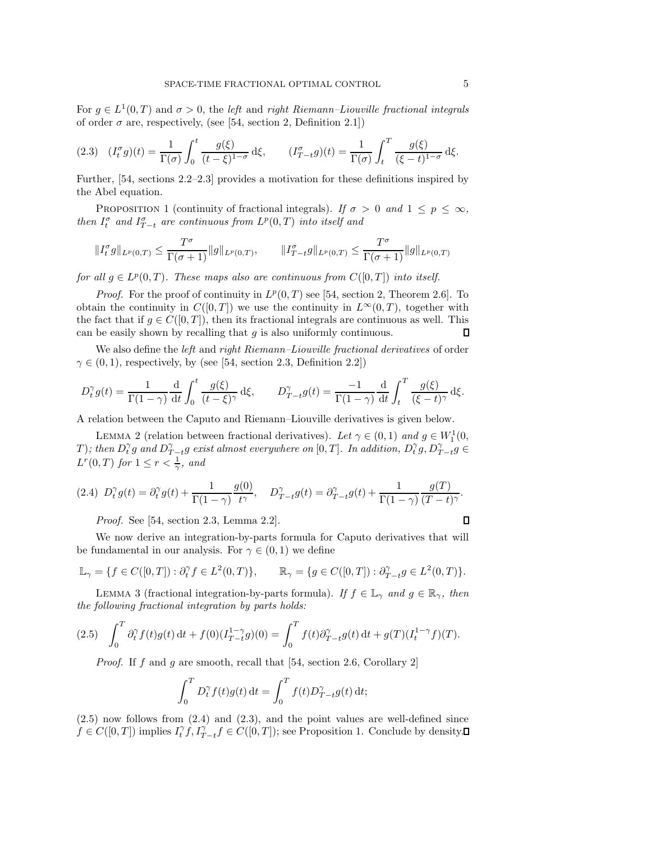For  $g \in L^1(0,T)$  and  $\sigma > 0$ , the *left* and *right Riemann–Liouville fractional integrals* of order  $\sigma$  are, respectively, (see [\[54,](#page-32-1) section 2, Definition 2.1])

<span id="page-4-2"></span>
$$
(2.3) \quad (I_t^{\sigma}g)(t) = \frac{1}{\Gamma(\sigma)} \int_0^t \frac{g(\xi)}{(t-\xi)^{1-\sigma}} d\xi, \qquad (I_{T-t}^{\sigma}g)(t) = \frac{1}{\Gamma(\sigma)} \int_t^T \frac{g(\xi)}{(\xi-t)^{1-\sigma}} d\xi.
$$

<span id="page-4-3"></span>Further, [\[54,](#page-32-1) sections 2.2–2.3] provides a motivation for these definitions inspired by the Abel equation.

PROPOSITION 1 (continuity of fractional integrals). *If*  $\sigma > 0$  *and*  $1 \leq p \leq \infty$ ,  $\lim_{t \to \infty} I_t^{\sigma}$  *and*  $I_{T-t}^{\sigma}$  *are continuous from*  $L^p(0,T)$  *into itself and* 

$$
||I_t^{\sigma} g||_{L^p(0,T)} \le \frac{T^{\sigma}}{\Gamma(\sigma+1)} ||g||_{L^p(0,T)}, \qquad ||I_{T-t}^{\sigma} g||_{L^p(0,T)} \le \frac{T^{\sigma}}{\Gamma(\sigma+1)} ||g||_{L^p(0,T)}
$$

*for all*  $g \in L^p(0,T)$ *. These maps also are continuous from*  $C([0,T])$  *into itself.* 

*Proof.* For the proof of continuity in  $L^p(0,T)$  see [\[54,](#page-32-1) section 2, Theorem 2.6]. To obtain the continuity in  $C([0,T])$  we use the continuity in  $L^{\infty}(0,T)$ , together with the fact that if  $g \in C([0, T])$ , then its fractional integrals are continuous as well. This can be easily shown by recalling that  $g$  is also uniformly continuous. Л

We also define the *left* and *right Riemann–Liouville fractional derivatives* of order  $\gamma \in (0, 1)$ , respectively, by (see [\[54,](#page-32-1) section 2.3, Definition 2.2])

$$
D_t^{\gamma} g(t) = \frac{1}{\Gamma(1-\gamma)} \frac{\mathrm{d}}{\mathrm{d}t} \int_0^t \frac{g(\xi)}{(t-\xi)^{\gamma}} \,\mathrm{d}\xi, \qquad D_{T-t}^{\gamma} g(t) = \frac{-1}{\Gamma(1-\gamma)} \frac{\mathrm{d}}{\mathrm{d}t} \int_t^T \frac{g(\xi)}{(\xi-t)^{\gamma}} \,\mathrm{d}\xi.
$$

A relation between the Caputo and Riemann–Liouville derivatives is given below.

LEMMA 2 (relation between fractional derivatives). Let  $\gamma \in (0,1)$  and  $g \in W_1^1(0,1)$  $(T)$ ; then  $D_t^{\gamma}g$  and  $D_{T-t}^{\gamma}g$  exist almost everywhere on  $[0,T]$ . In addition,  $D_t^{\gamma}g$ ,  $D_{T-t}^{\gamma}g \in$  $L^r(0,T)$  for  $1 \leq r < \frac{1}{\gamma}$ , and

<span id="page-4-1"></span>
$$
(2.4)\;\; D^\gamma_t g(t) = \partial^\gamma_t g(t) + \frac{1}{\Gamma(1-\gamma)}\frac{g(0)}{t^\gamma}, \quad D^\gamma_{T-t} g(t) = \partial^\gamma_{T-t} g(t) + \frac{1}{\Gamma(1-\gamma)}\frac{g(T)}{(T-t)^\gamma}.
$$

*Proof.* See [\[54,](#page-32-1) section 2.3, Lemma 2.2].

We now derive an integration-by-parts formula for Caputo derivatives that will be fundamental in our analysis. For  $\gamma \in (0,1)$  we define

$$
\mathbb{L}_{\gamma} = \{ f \in C([0,T]) : \partial_t^{\gamma} f \in L^2(0,T) \}, \qquad \mathbb{R}_{\gamma} = \{ g \in C([0,T]) : \partial_{T-t}^{\gamma} g \in L^2(0,T) \}.
$$

<span id="page-4-4"></span>LEMMA 3 (fractional integration-by-parts formula). *If*  $f \in \mathbb{L}_{\gamma}$  *and*  $g \in \mathbb{R}_{\gamma}$ *, then the following fractional integration by parts holds:*

$$
(2.5) \quad \int_0^T \partial_t^{\gamma} f(t)g(t) dt + f(0)(I_{T-t}^{1-\gamma}g)(0) = \int_0^T f(t)\partial_{T-t}^{\gamma} g(t) dt + g(T)(I_t^{1-\gamma}f)(T).
$$

<span id="page-4-0"></span>*Proof.* If f and g are smooth, recall that [\[54,](#page-32-1) section 2.6, Corollary 2]

$$
\int_0^T D_t^{\gamma} f(t)g(t) dt = \int_0^T f(t)D_{T-t}^{\gamma} g(t) dt;
$$

 $(2.5)$  now follows from  $(2.4)$  and  $(2.3)$ , and the point values are well-defined since  $f \in C([0,T])$  implies  $I_t^{\gamma} f, I_{T-t}^{\gamma} f \in C([0,T])$ ; see Proposition [1.](#page-4-3) Conclude by density.

 $\Box$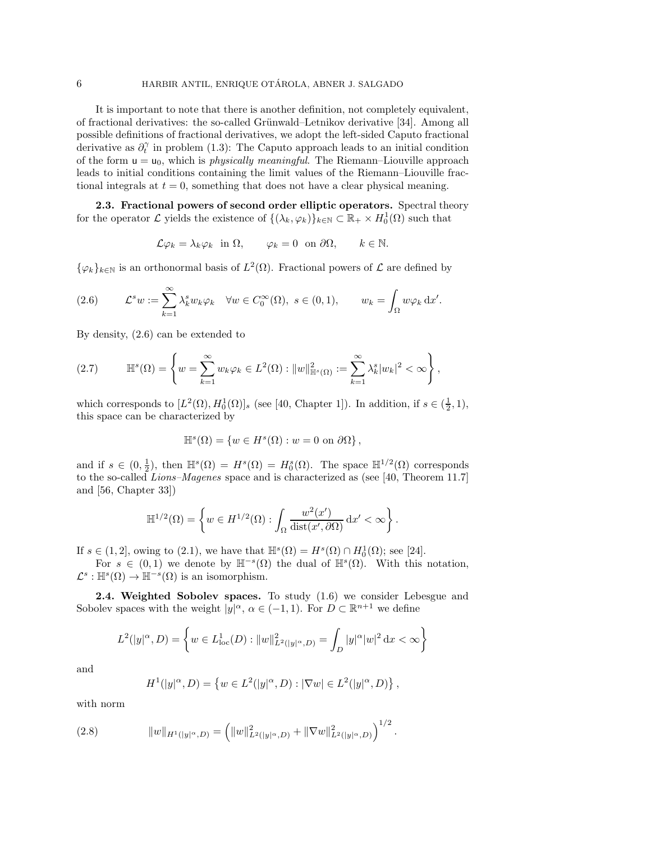It is important to note that there is another definition, not completely equivalent, of fractional derivatives: the so-called Grünwald–Letnikov derivative [\[34\]](#page-32-0). Among all possible definitions of fractional derivatives, we adopt the left-sided Caputo fractional derivative as  $\partial_t^{\gamma}$  in problem [\(1.3\)](#page-0-2): The Caputo approach leads to an initial condition of the form  $u = u_0$ , which is *physically meaningful*. The Riemann–Liouville approach leads to initial conditions containing the limit values of the Riemann–Liouville fractional integrals at  $t = 0$ , something that does not have a clear physical meaning.

<span id="page-5-3"></span>**2.3. Fractional powers of second order elliptic operators.** Spectral theory for the operator L yields the existence of  $\{(\lambda_k, \varphi_k)\}_{k\in\mathbb{N}} \subset \mathbb{R}_+ \times H_0^1(\Omega)$  such that

$$
\mathcal{L}\varphi_k = \lambda_k \varphi_k
$$
 in  $\Omega$ ,  $\varphi_k = 0$  on  $\partial\Omega$ ,  $k \in \mathbb{N}$ .

 $\{\varphi_k\}_{k\in\mathbb{N}}$  is an orthonormal basis of  $L^2(\Omega)$ . Fractional powers of  $\mathcal L$  are defined by

<span id="page-5-0"></span>(2.6) 
$$
\mathcal{L}^s w := \sum_{k=1}^{\infty} \lambda_k^s w_k \varphi_k \quad \forall w \in C_0^{\infty}(\Omega), \ s \in (0,1), \qquad w_k = \int_{\Omega} w \varphi_k \, dx'.
$$

By density, [\(2.6\)](#page-5-0) can be extended to

<span id="page-5-2"></span>
$$
(2.7) \qquad \mathbb{H}^s(\Omega) = \left\{ w = \sum_{k=1}^{\infty} w_k \varphi_k \in L^2(\Omega) : ||w||_{\mathbb{H}^s(\Omega)}^2 := \sum_{k=1}^{\infty} \lambda_k^s |w_k|^2 < \infty \right\},
$$

which corresponds to  $[L^2(\Omega), H_0^1(\Omega)]_s$  (see [\[40,](#page-32-18) Chapter 1]). In addition, if  $s \in (\frac{1}{2}, 1)$ , this space can be characterized by

$$
\mathbb{H}^s(\Omega) = \{ w \in H^s(\Omega) : w = 0 \text{ on } \partial\Omega \},
$$

and if  $s \in (0, \frac{1}{2})$ , then  $\mathbb{H}^s(\Omega) = H^s(\Omega) = H_0^s(\Omega)$ . The space  $\mathbb{H}^{1/2}(\Omega)$  corresponds to the so-called *Lions–Magenes* space and is characterized as (see [\[40,](#page-32-18) Theorem 11.7] and [\[56,](#page-33-4) Chapter 33])

$$
\mathbb{H}^{1/2}(\Omega) = \left\{ w \in H^{1/2}(\Omega) : \int_{\Omega} \frac{w^2(x')}{\text{dist}(x', \partial \Omega)} dx' < \infty \right\}.
$$

If  $s \in (1,2]$ , owing to  $(2.1)$ , we have that  $\mathbb{H}^{s}(\Omega) = H^{s}(\Omega) \cap H^{1}_{0}(\Omega)$ ; see [\[24\]](#page-31-21).

For  $s \in (0,1)$  we denote by  $\mathbb{H}^{-s}(\Omega)$  the dual of  $\mathbb{H}^{s}(\Omega)$ . With this notation,  $\mathcal{L}^s$ :  $\mathbb{H}^s(\Omega) \to \mathbb{H}^{-s}(\Omega)$  is an isomorphism.

**2.4. Weighted Sobolev spaces.** To study [\(1.6\)](#page-1-0) we consider Lebesgue and Sobolev spaces with the weight  $|y|^{\alpha}$ ,  $\alpha \in (-1,1)$ . For  $D \subset \mathbb{R}^{n+1}$  we define

$$
L^{2}(|y|^{\alpha}, D) = \left\{ w \in L^{1}_{loc}(D) : ||w||^{2}_{L^{2}(|y|^{\alpha}, D)} = \int_{D} |y|^{\alpha}|w|^{2} dx < \infty \right\}
$$

and

<span id="page-5-1"></span>
$$
H^{1}(|y|^{\alpha}, D) = \{ w \in L^{2}(|y|^{\alpha}, D) : |\nabla w| \in L^{2}(|y|^{\alpha}, D) \},
$$

with norm

(2.8) 
$$
||w||_{H^1(|y|^{\alpha},D)} = (||w||^2_{L^2(|y|^{\alpha},D)} + ||\nabla w||^2_{L^2(|y|^{\alpha},D)})^{1/2}.
$$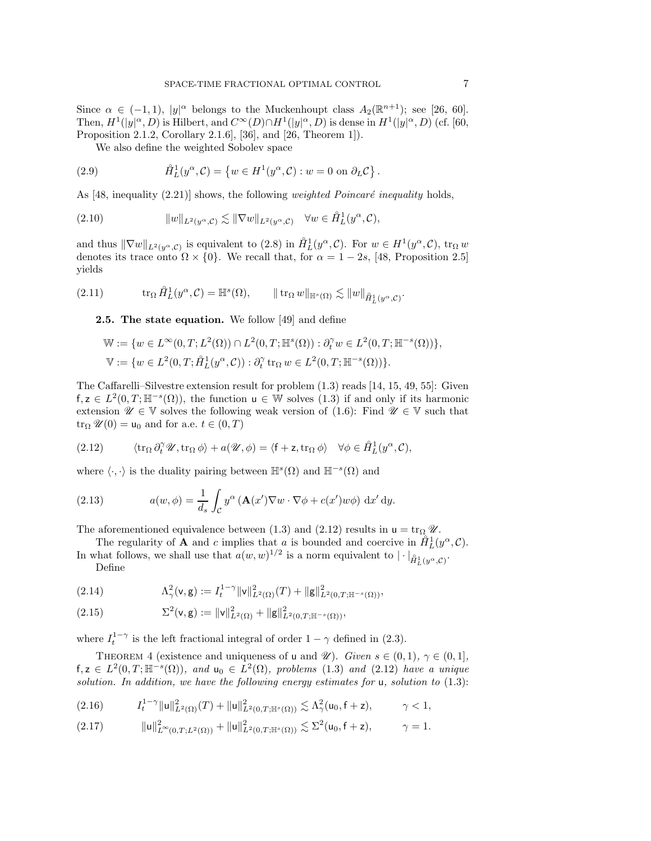Since  $\alpha \in (-1,1)$ ,  $|y|^{\alpha}$  belongs to the Muckenhoupt class  $A_2(\mathbb{R}^{n+1})$ ; see [\[26,](#page-31-22) [60\]](#page-33-5). Then,  $H^1(|y|^\alpha, D)$  is Hilbert, and  $C^\infty(D) \cap H^1(|y|^\alpha, D)$  is dense in  $H^1(|y|^\alpha, D)$  (cf. [\[60,](#page-33-5) Proposition 2.1.2, Corollary 2.1.6], [\[36\]](#page-32-19), and [\[26,](#page-31-22) Theorem 1]).

<span id="page-6-6"></span>We also define the weighted Sobolev space

(2.9) 
$$
\hat{H}_L^1(y^\alpha, \mathcal{C}) = \{ w \in H^1(y^\alpha, \mathcal{C}) : w = 0 \text{ on } \partial_L \mathcal{C} \}.
$$

As [\[48,](#page-32-3) inequality  $(2.21)$ ] shows, the following *weighted Poincaré inequality* holds,

(2.10) 
$$
||w||_{L^2(y^{\alpha}, \mathcal{C})} \lesssim ||\nabla w||_{L^2(y^{\alpha}, \mathcal{C})} \quad \forall w \in \mathring{H}_L^1(y^{\alpha}, \mathcal{C}),
$$

and thus  $\|\nabla w\|_{L^2(y^\alpha,\mathcal{C})}$  is equivalent to [\(2.8\)](#page-5-1) in  $\mathring{H}_L^1(y^\alpha,\mathcal{C})$ . For  $w \in H^1(y^\alpha,\mathcal{C})$ , trow denotes its trace onto  $\Omega \times \{0\}$ . We recall that, for  $\alpha = 1 - 2s$ , [\[48,](#page-32-3) Proposition 2.5] yields

<span id="page-6-0"></span>
$$
(2.11) \t\t tr_{\Omega} \hat{H}_L^1(y^{\alpha}, \mathcal{C}) = \mathbb{H}^s(\Omega), \t\t ||tr_{\Omega} w||_{\mathbb{H}^s(\Omega)} \lesssim ||w||_{\hat{H}_L^1(y^{\alpha}, \mathcal{C})}.
$$

<span id="page-6-8"></span>**2.5. The state equation.** We follow [\[49\]](#page-32-4) and define

$$
\begin{aligned} \mathbb{W} &:= \{w \in L^\infty(0,T;L^2(\Omega)) \cap L^2(0,T;\mathbb{H}^s(\Omega)) : \partial_t^\gamma w \in L^2(0,T;\mathbb{H}^{-s}(\Omega))\}, \\ \mathbb{V} &:= \{w \in L^2(0,T;\hat{H}_L^1(y^\alpha,\mathcal{C})) : \partial_t^\gamma \operatorname{tr}_\Omega w \in L^2(0,T;\mathbb{H}^{-s}(\Omega))\}. \end{aligned}
$$

The Caffarelli–Silvestre extension result for problem [\(1.3\)](#page-0-2) reads [\[14,](#page-31-0) [15,](#page-31-1) [49,](#page-32-4) [55\]](#page-32-2): Given  $f, z \in L^2(0,T; \mathbb{H}^{-s}(\Omega))$ , the function  $u \in \mathbb{W}$  solves [\(1.3\)](#page-0-2) if and only if its harmonic extension  $\mathscr{U} \in \mathbb{V}$  solves the following weak version of [\(1.6\)](#page-1-0): Find  $\mathscr{U} \in \mathbb{V}$  such that  $\operatorname{tr}_{\Omega} \mathscr{U}(0) = \mathsf{u}_0$  and for a.e.  $t \in (0, T)$ 

<span id="page-6-1"></span>(2.12) 
$$
\langle \operatorname{tr}_{\Omega} \partial_t^{\gamma} \mathscr{U}, \operatorname{tr}_{\Omega} \phi \rangle + a(\mathscr{U}, \phi) = \langle f + z, \operatorname{tr}_{\Omega} \phi \rangle \quad \forall \phi \in \mathring{H}_L^1(y^{\alpha}, \mathcal{C}),
$$

where  $\langle \cdot, \cdot \rangle$  is the duality pairing between  $\mathbb{H}^{s}(\Omega)$  and  $\mathbb{H}^{-s}(\Omega)$  and

<span id="page-6-5"></span>(2.13) 
$$
a(w, \phi) = \frac{1}{d_s} \int_{\mathcal{C}} y^{\alpha} \left( \mathbf{A}(x') \nabla w \cdot \nabla \phi + c(x') w \phi \right) dx' dy.
$$

The aforementioned equivalence between [\(1.3\)](#page-0-2) and [\(2.12\)](#page-6-1) results in  $u = \text{tr}_{\Omega} \mathscr{U}$ .

The regularity of **A** and c implies that a is bounded and coercive in  $\hat{H}_L^1(y^\alpha, \mathcal{C})$ . In what follows, we shall use that  $a(w, w)^{1/2}$  is a norm equivalent to  $|\cdot|_{\hat{H}_L^1(y^\alpha, \mathcal{C})}^2$ . Define

<span id="page-6-7"></span>(2.14) 
$$
\Lambda^2_\gamma(\mathbf{v}, \mathbf{g}) := I_t^{1-\gamma} ||\mathbf{v}||^2_{L^2(\Omega)}(T) + ||\mathbf{g}||^2_{L^2(0,T;\mathbb{H}^{-s}(\Omega))},
$$

(2.15) 
$$
\Sigma^{2}(\mathbf{v},\mathbf{g}) := ||\mathbf{v}||_{L^{2}(\Omega)}^{2} + ||\mathbf{g}||_{L^{2}(0,T;\mathbb{H}^{-s}(\Omega))}^{2},
$$

<span id="page-6-4"></span>where  $I_t^{1-\gamma}$  is the left fractional integral of order  $1-\gamma$  defined in [\(2.3\)](#page-4-2).

THEOREM 4 (existence and uniqueness of **u** and *U*). *Given*  $s \in (0,1)$ *,*  $\gamma \in (0,1]$ *,*  $f, z \in L^2(0,T;\mathbb{H}^{-s}(\Omega))$ , and  $u_0 \in L^2(\Omega)$ , problems [\(1.3\)](#page-0-2) and [\(2.12\)](#page-6-1) have a unique *solution. In addition, we have the following energy estimates for* u*, solution to* [\(1.3\)](#page-0-2):

<span id="page-6-2"></span>
$$
(2.16) \t I_t^{1-\gamma} \|u\|_{L^2(\Omega)}^2(T) + \|u\|_{L^2(0,T;\mathbb{H}^s(\Omega))}^2 \lesssim \Lambda_\gamma^2(u_0,f+z), \t \gamma < 1,
$$

<span id="page-6-3"></span>u2 <sup>L</sup>∞(0,T;L2(Ω)) <sup>+</sup> u<sup>2</sup> <sup>L</sup>2(0,T;H*s*(Ω)) -<sup>Σ</sup><sup>2</sup> (2.17) (u<sup>0</sup>, f <sup>+</sup> z), γ = 1.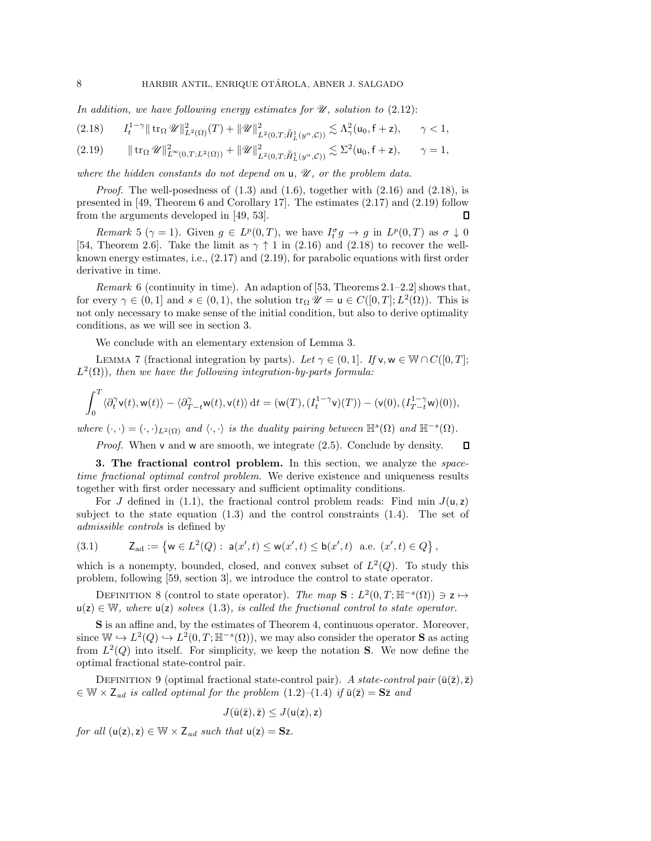*In addition, we have following energy estimates for U , solution to* [\(2.12\)](#page-6-1):

<span id="page-7-1"></span>
$$
(2.18)\qquad I_{t}^{1-\gamma}\|\mathop{\rm tr}\nolimits_{\Omega} \mathscr{U}\|_{L^{2}(\Omega)}^{2}(T)+\|\mathscr{U}\|_{L^{2}(0,T;\mathring{H}^{1}_{L}(y^{\alpha},\mathcal{C}))}^{2}\lesssim \Lambda_{\gamma}^{2}(\mathsf{u}_{0},\mathsf{f}+\mathsf{z}),\qquad \gamma<1,
$$

<span id="page-7-2"></span> tr<sup>Ω</sup> *U* <sup>2</sup> <sup>L</sup>∞(0,T;L2(Ω)) + *U* <sup>2</sup> L2(0,T; ◦ H1 *<sup>L</sup>*(y*α*,C)) -<sup>Σ</sup><sup>2</sup> (2.19) (u0, f <sup>+</sup> z), γ = 1,

*where the hidden constants do not depend on* u*, <sup>U</sup> , or the problem data.*

*Proof.* The well-posedness of  $(1.3)$  and  $(1.6)$ , together with  $(2.16)$  and  $(2.18)$ , is presented in [\[49,](#page-32-4) Theorem 6 and Corollary 17]. The estimates [\(2.17\)](#page-6-3) and [\(2.19\)](#page-7-2) follow from the arguments developed in [\[49,](#page-32-4) [53\]](#page-32-20).  $\Box$ 

*Remark* 5 ( $\gamma = 1$ ). Given  $g \in L^p(0,T)$ , we have  $I_t^{\sigma} g \to g$  in  $L^p(0,T)$  as  $\sigma \downarrow 0$ [\[54,](#page-32-1) Theorem 2.6]. Take the limit as  $\gamma \uparrow 1$  in [\(2.16\)](#page-6-2) and [\(2.18\)](#page-7-1) to recover the wellknown energy estimates, i.e., [\(2.17\)](#page-6-3) and [\(2.19\)](#page-7-2), for parabolic equations with first order derivative in time.

<span id="page-7-4"></span>*Remark* 6 (continuity in time). An adaption of [\[53,](#page-32-20) Theorems 2.1–2.2] shows that, for every  $\gamma \in (0,1]$  and  $s \in (0,1)$ , the solution tr<sub>Ω</sub>  $\mathscr{U} = \mathsf{u} \in C([0,T];L^2(\Omega))$ . This is not only necessary to make sense of the initial condition, but also to derive optimality conditions, as we will see in section [3.](#page-7-0)

We conclude with an elementary extension of Lemma [3.](#page-4-4)

<span id="page-7-3"></span>LEMMA 7 (fractional integration by parts). Let  $\gamma \in (0,1]$ . If  $\mathsf{v}, \mathsf{w} \in \mathbb{W} \cap C([0,T];$  $L^2(\Omega)$ *), then we have the following integration-by-parts formula:* 

$$
\int_0^T\langle\partial_t^\gamma\mathsf{v}(t),\mathsf{w}(t)\rangle-\langle\partial_{T-t}^\gamma\mathsf{w}(t),\mathsf{v}(t)\rangle\,\mathrm{d} t=(\mathsf{w}(T),(I^{1-\gamma}_t\mathsf{v})(T))-(\mathsf{v}(0),(I^{1-\gamma}_{T-t}\mathsf{w})(0)),
$$

*where*  $(\cdot, \cdot) = (\cdot, \cdot)_{L^2(\Omega)}$  *and*  $\langle \cdot, \cdot \rangle$  *is the duality pairing between*  $\mathbb{H}^s(\Omega)$  *and*  $\mathbb{H}^{-s}(\Omega)$ *.* 

*Proof.* When v and w are smooth, we integrate  $(2.5)$ . Conclude by density.  $\Box$ 

<span id="page-7-0"></span>**3. The fractional control problem.** In this section, we analyze the *spacetime fractional optimal control problem*. We derive existence and uniqueness results together with first order necessary and sufficient optimality conditions.

For J defined in [\(1.1\)](#page-0-3), the fractional control problem reads: Find min  $J(u, z)$ subject to the state equation  $(1.3)$  and the control constraints  $(1.4)$ . The set of *admissible controls* is defined by

<span id="page-7-5"></span>(3.1) 
$$
Z_{ad} := \{ w \in L^{2}(Q) : a(x', t) \leq w(x', t) \leq b(x', t) \text{ a.e. } (x', t) \in Q \},
$$

which is a nonempty, bounded, closed, and convex subset of  $L^2(Q)$ . To study this problem, following [\[59,](#page-33-0) section 3], we introduce the control to state operator.

<span id="page-7-6"></span>DEFINITION 8 (control to state operator). *The map*  $\mathbf{S}: L^2(0,T;\mathbb{H}^{-s}(\Omega)) \ni \mathbf{z} \mapsto$  $u(z) \in \mathbb{W}$ , where  $u(z)$  solves [\(1.3\)](#page-0-2), is called the fractional control to state operator.

**S** is an affine and, by the estimates of Theorem [4,](#page-6-4) continuous operator. Moreover, since  $W \hookrightarrow L^2(Q) \hookrightarrow L^2(0,T;\mathbb{H}^{-s}(\Omega))$ , we may also consider the operator **S** as acting from  $L^2(Q)$  into itself. For simplicity, we keep the notation **S**. We now define the optimal fractional state-control pair.

DEFINITION 9 (optimal fractional state-control pair). A state-control pair  $(\bar{u}(\bar{z}), \bar{z})$  $\in \mathbb{W} \times Z_{ad}$  *is called optimal for the problem*  $(1.2)$ – $(1.4)$  *if*  $\bar{u}(\bar{z}) = S\bar{z}$  *and* 

$$
J(\bar{u}(\bar{z}),\bar{z})\leq J(u(z),z)
$$

*for all*  $(u(z), z) \in W \times Z_{ad}$  *such that*  $u(z) = Sz$ .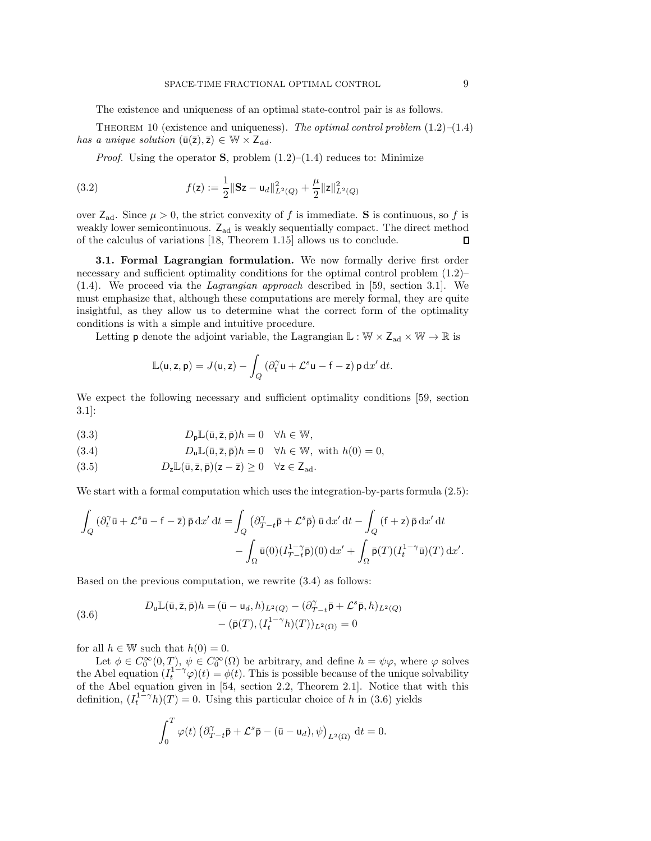The existence and uniqueness of an optimal state-control pair is as follows.

<span id="page-8-4"></span>Theorem 10 (existence and uniqueness). *The optimal control problem* [\(1.2\)](#page-0-0)*–*[\(1.4\)](#page-0-1) *has a unique solution*  $(\bar{u}(\bar{z}), \bar{z}) \in \mathbb{W} \times Z_{ad}$ *.* 

<span id="page-8-3"></span>*Proof.* Using the operator **S**, problem  $(1.2)$ – $(1.4)$  reduces to: Minimize

(3.2) 
$$
f(\mathbf{z}) := \frac{1}{2} \|\mathbf{S}\mathbf{z} - \mathbf{u}_d\|_{L^2(Q)}^2 + \frac{\mu}{2} \|\mathbf{z}\|_{L^2(Q)}^2
$$

over  $Z_{ad}$ . Since  $\mu > 0$ , the strict convexity of f is immediate. **S** is continuous, so f is weakly lower semicontinuous.  $Z_{ad}$  is weakly sequentially compact. The direct method of the calculus of variations [18, Theorem 1.15] allows us to conclude. of the calculus of variations [\[18,](#page-31-23) Theorem 1.15] allows us to conclude.

**3.1. Formal Lagrangian formulation.** We now formally derive first order necessary and sufficient optimality conditions for the optimal control problem  $(1.2)$ – [\(1.4\)](#page-0-1). We proceed via the *Lagrangian approach* described in [\[59,](#page-33-0) section 3.1]. We must emphasize that, although these computations are merely formal, they are quite insightful, as they allow us to determine what the correct form of the optimality conditions is with a simple and intuitive procedure.

Letting  $\sf p$  denote the adjoint variable, the Lagrangian  $\mathbb{L}:\mathbb{W}\times \mathsf{Z}_{\text{ad}}\times\mathbb{W}\to\mathbb{R}$  is

$$
\mathbb{L}(\mathsf{u},\mathsf{z},\mathsf{p})=J(\mathsf{u},\mathsf{z})-\int_Q\left(\partial_t^{\gamma}\mathsf{u}+\mathcal{L}^s\mathsf{u}-\mathsf{f}-\mathsf{z}\right)\mathsf{p}\,\mathrm{d} x'\,\mathrm{d} t.
$$

We expect the following necessary and sufficient optimality conditions [\[59,](#page-33-0) section 3.1]:

(3.3) 
$$
D_{\mathbf{p}}\mathbb{L}(\bar{\mathbf{u}},\bar{\mathbf{z}},\bar{\mathbf{p}})h = 0 \quad \forall h \in \mathbb{W},
$$

<span id="page-8-0"></span>(3.4) 
$$
D_{\mathbf{u}}\mathbb{L}(\bar{\mathbf{u}},\bar{\mathbf{z}},\bar{\mathbf{p}})h = 0 \quad \forall h \in \mathbb{W}, \text{ with } h(0) = 0,
$$

<span id="page-8-2"></span>(3.5) 
$$
D_{z}\mathbb{L}(\bar{u},\bar{z},\bar{p})(z-\bar{z})\geq 0 \quad \forall z\in\mathsf{Z}_{ad}.
$$

We start with a formal computation which uses the integration-by-parts formula  $(2.5)$ :

$$
\int_{Q} \left( \partial_t^{\gamma} \bar{\mathbf{u}} + \mathcal{L}^s \bar{\mathbf{u}} - \mathbf{f} - \bar{\mathbf{z}} \right) \bar{\mathbf{p}} \, dx' \, dt = \int_{Q} \left( \partial_{T-t}^{\gamma} \bar{\mathbf{p}} + \mathcal{L}^s \bar{\mathbf{p}} \right) \bar{\mathbf{u}} \, dx' \, dt - \int_{Q} \left( \mathbf{f} + \mathbf{z} \right) \bar{\mathbf{p}} \, dx' \, dt - \int_{\Omega} \bar{\mathbf{u}}(0) \left( I_{T-t}^{1-\gamma} \bar{\mathbf{p}} \right)(0) \, dx' + \int_{\Omega} \bar{\mathbf{p}}(T) \left( I_t^{1-\gamma} \bar{\mathbf{u}} \right)(T) \, dx'.
$$

Based on the previous computation, we rewrite [\(3.4\)](#page-8-0) as follows:

<span id="page-8-1"></span>(3.6) 
$$
D_{\mathbf{u}}\mathbb{L}(\bar{\mathbf{u}}, \bar{\mathbf{z}}, \bar{\mathbf{p}})h = (\bar{\mathbf{u}} - \mathbf{u}_d, h)_{L^2(Q)} - (\partial_{T-t}^{\gamma} \bar{\mathbf{p}} + \mathcal{L}^s \bar{\mathbf{p}}, h)_{L^2(Q)} - (\bar{\mathbf{p}}(T), (I_t^{1-\gamma}h)(T))_{L^2(\Omega)} = 0
$$

for all  $h \in \mathbb{W}$  such that  $h(0) = 0$ .

Let  $\phi \in C_0^{\infty}(0,T)$ ,  $\psi \in C_0^{\infty}(\Omega)$  be arbitrary, and define  $h = \psi \varphi$ , where  $\varphi$  solves the Abel equation  $(I_t^{1-\gamma}\varphi)(t) = \varphi(t)$ . This is possible because of the unique solvability of the Abel equation given in [\[54,](#page-32-1) section 2.2, Theorem 2.1]. Notice that with this definition,  $(I_t^{1-\gamma}h)(T) = 0$ . Using this particular choice of h in [\(3.6\)](#page-8-1) yields

$$
\int_0^T \varphi(t) \left( \partial_{T-t}^{\gamma} \bar{\mathbf{p}} + \mathcal{L}^s \bar{\mathbf{p}} - (\bar{\mathbf{u}} - \mathbf{u}_d), \psi \right)_{L^2(\Omega)} dt = 0.
$$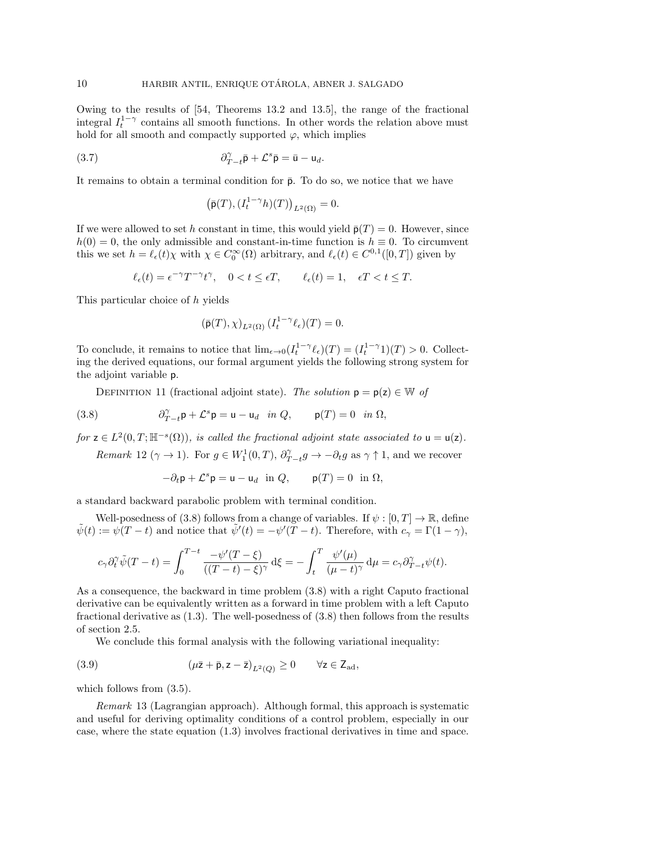Owing to the results of [\[54,](#page-32-1) Theorems 13.2 and 13.5], the range of the fractional integral  $I_t^{1-\gamma}$  contains all smooth functions. In other words the relation above must hold for all smooth and compactly supported  $\varphi$ , which implies

(3.7) 
$$
\partial_{T-t}^{\gamma} \bar{\mathsf{p}} + \mathcal{L}^s \bar{\mathsf{p}} = \bar{\mathsf{u}} - \mathsf{u}_d.
$$

It remains to obtain a terminal condition for  $\bar{p}$ . To do so, we notice that we have

$$
\left(\bar{\mathsf{p}}(T), (I_t^{1-\gamma}h)(T)\right)_{L^2(\Omega)}=0.
$$

If we were allowed to set h constant in time, this would yield  $\bar{p}(T) = 0$ . However, since  $h(0) = 0$ , the only admissible and constant-in-time function is  $h \equiv 0$ . To circumvent this we set  $h = \ell_{\epsilon}(t)\chi$  with  $\chi \in C_0^{\infty}(\Omega)$  arbitrary, and  $\ell_{\epsilon}(t) \in C^{0,1}([0,T])$  given by

$$
\ell_{\epsilon}(t) = \epsilon^{-\gamma} T^{-\gamma} t^{\gamma}, \quad 0 < t \le \epsilon T, \qquad \ell_{\epsilon}(t) = 1, \quad \epsilon T < t \le T.
$$

This particular choice of h yields

$$
(\bar{\mathsf{p}}(T),\chi)_{L^2(\Omega)}\,(I_t^{1-\gamma}\ell_\epsilon)(T)=0.
$$

To conclude, it remains to notice that  $\lim_{\epsilon \to 0} (I_t^{1-\gamma} \ell_{\epsilon}) (T) = (I_t^{1-\gamma} 1)(T) > 0$ . Collecting the derived equations, our formal argument yields the following strong system for the adjoint variable p.

<span id="page-9-2"></span>DEFINITION 11 (fractional adjoint state). *The solution*  $p = p(z) \in W$  of

(3.8) 
$$
\partial_{T-t}^{\gamma} \mathsf{p} + \mathcal{L}^s \mathsf{p} = \mathsf{u} - \mathsf{u}_d \quad \text{in } Q, \qquad \mathsf{p}(T) = 0 \quad \text{in } \Omega,
$$

*for*  $z \in L^2(0,T;\mathbb{H}^{-s}(\Omega))$ *, is called the fractional adjoint state associated to*  $u = u(z)$ *. Remark* 12 ( $\gamma \to 1$ ). For  $g \in W_1^1(0,T)$ ,  $\partial_{T-t}^{\gamma} g \to -\partial_t g$  as  $\gamma \uparrow 1$ , and we recover

<span id="page-9-0"></span>
$$
-\partial_t \mathsf{p} + \mathcal{L}^s \mathsf{p} = \mathsf{u} - \mathsf{u}_d \quad \text{in } Q, \qquad \mathsf{p}(T) = 0 \quad \text{in } \Omega,
$$

a standard backward parabolic problem with terminal condition.

Well-posedness of [\(3.8\)](#page-9-0) follows from a change of variables. If  $\psi : [0, T] \to \mathbb{R}$ , define  $\tilde{\psi}(t) := \psi(T-t)$  and notice that  $\tilde{\psi}'(t) = -\psi'(T-t)$ . Therefore, with  $c_{\gamma} = \Gamma(1-\gamma)$ ,

$$
c_{\gamma}\partial_t^{\gamma}\tilde{\psi}(T-t) = \int_0^{T-t} \frac{-\psi'(T-\xi)}{((T-t)-\xi)^{\gamma}} d\xi = -\int_t^T \frac{\psi'(\mu)}{(\mu-t)^{\gamma}} d\mu = c_{\gamma}\partial_{T-t}^{\gamma}\psi(t).
$$

As a consequence, the backward in time problem [\(3.8\)](#page-9-0) with a right Caputo fractional derivative can be equivalently written as a forward in time problem with a left Caputo fractional derivative as [\(1.3\)](#page-0-2). The well-posedness of [\(3.8\)](#page-9-0) then follows from the results of section [2.5.](#page-6-0)

<span id="page-9-1"></span>We conclude this formal analysis with the following variational inequality:

(3.9) 
$$
(\mu \bar{z} + \bar{p}, z - \bar{z})_{L^2(Q)} \geq 0 \quad \forall z \in Z_{ad},
$$

which follows from  $(3.5)$ .

*Remark* 13 (Lagrangian approach). Although formal, this approach is systematic and useful for deriving optimality conditions of a control problem, especially in our case, where the state equation [\(1.3\)](#page-0-2) involves fractional derivatives in time and space.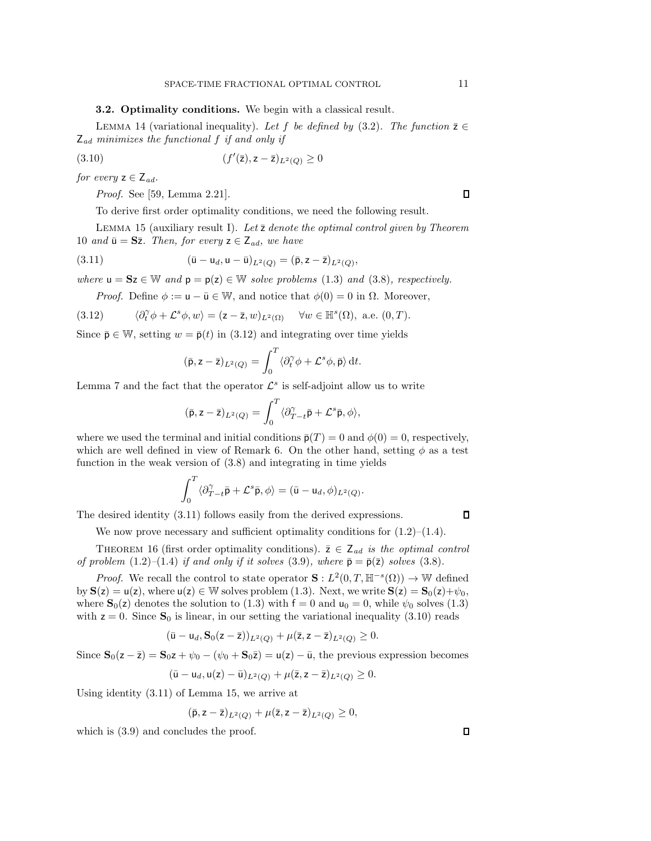## **3.2. Optimality conditions.** We begin with a classical result.

LEMMA 14 (variational inequality). Let f be defined by  $(3.2)$ . The function  $\bar{z} \in$ <sup>Z</sup>*ad minimizes the functional* <sup>f</sup> *if and only if*

(3.10) 
$$
(f'(\bar{z}), z - \bar{z})_{L^2(Q)} \geq 0
$$

*for every*  $z \in Z_{ad}$ *.* 

<span id="page-10-2"></span>*Proof.* See [\[59,](#page-33-0) Lemma 2.21].

To derive first order optimality conditions, we need the following result.

<span id="page-10-3"></span>Lemma 15 (auxiliary result I). *Let* ¯z *denote the optimal control given by Theorem* [10](#page-8-4) *and*  $\bar{u} = S\bar{z}$ *. Then, for every*  $z \in Z_{ad}$ *, we have* 

(3.11) 
$$
(\bar{u} - u_d, u - \bar{u})_{L^2(Q)} = (\bar{p}, z - \bar{z})_{L^2(Q)},
$$

*where*  $u = Sz \in W$  *and*  $p = p(z) \in W$  *solve problems* [\(1.3\)](#page-0-2) *and* [\(3.8\)](#page-9-0)*, respectively.* 

<span id="page-10-0"></span>*Proof.* Define  $\phi := \mathbf{u} - \bar{\mathbf{u}} \in \mathbb{W}$ , and notice that  $\phi(0) = 0$  in  $\Omega$ . Moreover,

(3.12) 
$$
\langle \partial_t^{\gamma} \phi + \mathcal{L}^s \phi, w \rangle = (\mathsf{z} - \overline{\mathsf{z}}, w)_{L^2(\Omega)} \quad \forall w \in \mathbb{H}^s(\Omega), \text{ a.e. } (0, T).
$$

Since  $\bar{\mathbf{p}} \in \mathbb{W}$ , setting  $w = \bar{\mathbf{p}}(t)$  in [\(3.12\)](#page-10-0) and integrating over time yields

<span id="page-10-1"></span>
$$
(\bar{\mathsf{p}}, \mathsf{z} - \bar{\mathsf{z}})_{L^2(Q)} = \int_0^T \langle \partial_t^\gamma \phi + \mathcal{L}^s \phi, \bar{\mathsf{p}} \rangle \, \mathrm{d}t.
$$

Lemma [7](#page-7-3) and the fact that the operator  $\mathcal{L}^s$  is self-adjoint allow us to write

$$
(\bar{\mathbf{p}},\mathbf{z}-\bar{\mathbf{z}})_{L^2(Q)}=\int_0^T \langle \partial_{T-t}^{\gamma} \bar{\mathbf{p}}+\mathcal{L}^s \bar{\mathbf{p}}, \phi \rangle,
$$

where we used the terminal and initial conditions  $\bar{p}(T) = 0$  and  $\phi(0) = 0$ , respectively, which are well defined in view of Remark [6.](#page-7-4) On the other hand, setting  $\phi$  as a test function in the weak version of [\(3.8\)](#page-9-0) and integrating in time yields

$$
\int_0^T \langle \partial_{T-t}^{\gamma} \bar{\mathbf{p}} + \mathcal{L}^s \bar{\mathbf{p}}, \phi \rangle = (\bar{\mathbf{u}} - \mathbf{u}_d, \phi)_{L^2(Q)}.
$$

The desired identity [\(3.11\)](#page-10-1) follows easily from the derived expressions.

We now prove necessary and sufficient optimality conditions for  $(1.2)$ – $(1.4)$ .

<span id="page-10-4"></span>THEOREM 16 (first order optimality conditions).  $\bar{z} \in Z_{ad}$  *is the optimal control of problem*  $(1.2)$ – $(1.4)$  *if and only if it solves*  $(3.9)$ *, where*  $\bar{p} = \bar{p}(\bar{z})$  *solves*  $(3.8)$ *.* 

*Proof.* We recall the control to state operator  $\mathbf{S}: L^2(0,T,\mathbb{H}^{-s}(\Omega)) \to \mathbb{W}$  defined by  $S(z) = u(z)$ , where  $u(z) \in \mathbb{W}$  solves problem [\(1.3\)](#page-0-2). Next, we write  $S(z) = S_0(z) + \psi_0$ , where  $\mathbf{S}_0(z)$  denotes the solution to [\(1.3\)](#page-0-2) with  $f = 0$  and  $u_0 = 0$ , while  $\psi_0$  solves (1.3) with  $z = 0$ . Since  $S_0$  is linear, in our setting the variational inequality [\(3.10\)](#page-10-2) reads<br>  $(\bar{u} - u_d, S_0(z - \bar{z}))_{L^2(\Omega)} + \mu(\bar{z}, z - \bar{z})_{L^2(\Omega)} \ge 0$ .

$$
(\bar{\mathbf{u}}-\mathbf{u}_d,\mathbf{S}_0(\mathbf{z}-\bar{\mathbf{z}}))_{L^2(Q)}+\mu(\bar{\mathbf{z}},\mathbf{z}-\bar{\mathbf{z}})_{L^2(Q)}\geq 0.
$$

Since  $S_0(z - \bar{z}) = S_0 z + \psi_0 - (\psi_0 + S_0 \bar{z}) = u(z) - \bar{u}$ , the previous expression becomes

$$
(\bar{u} - u_d, u(z) - \bar{u})_{L^2(Q)} + \mu(\bar{z}, z - \bar{z})_{L^2(Q)} \geq 0.
$$

Using identity [\(3.11\)](#page-10-1) of Lemma [15,](#page-10-3) we arrive at

$$
(\bar{\mathsf{p}}, \mathsf{z} - \bar{\mathsf{z}})_{L^2(Q)} + \mu(\bar{\mathsf{z}}, \mathsf{z} - \bar{\mathsf{z}})_{L^2(Q)} \geq 0,
$$

which is [\(3.9\)](#page-9-1) and concludes the proof.

 $\Box$ 

 $\Box$ 

 $\Box$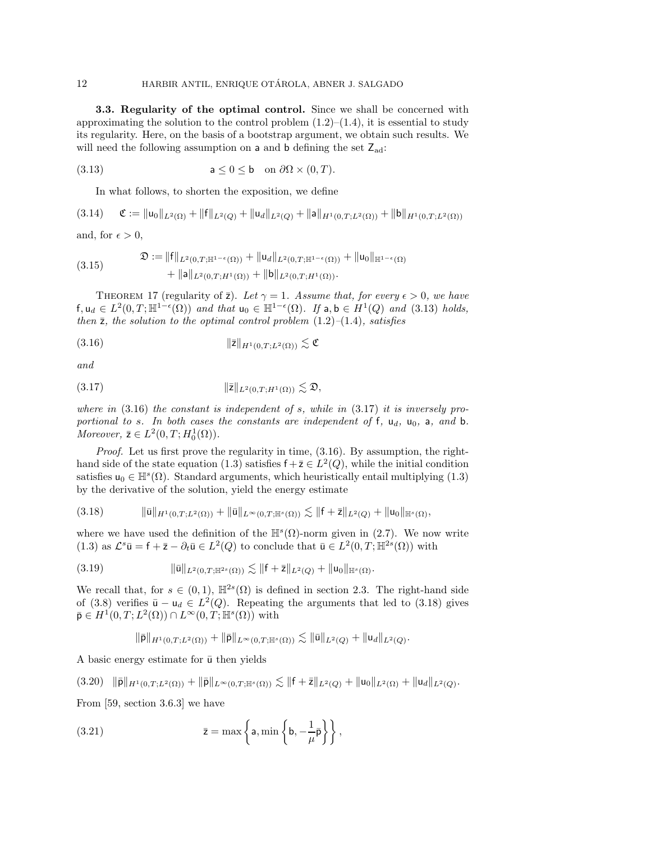**3.3. Regularity of the optimal control.** Since we shall be concerned with approximating the solution to the control problem  $(1.2)$ – $(1.4)$ , it is essential to study its regularity. Here, on the basis of a bootstrap argument, we obtain such results. We will need the following assumption on a and b defining the set  $Z_{ad}$ :

(3.13) 
$$
\mathsf{a} \leq 0 \leq \mathsf{b} \quad \text{on } \partial \Omega \times (0,T).
$$

<span id="page-11-5"></span><span id="page-11-0"></span>In what follows, to shorten the exposition, we define

$$
(3.14) \quad \mathfrak{C} := \| \mathsf{u}_0 \|_{L^2(\Omega)} + \| \mathsf{f} \|_{L^2(Q)} + \| \mathsf{u}_d \|_{L^2(Q)} + \| \mathsf{a} \|_{H^1(0,T;L^2(\Omega))} + \| \mathsf{b} \|_{H^1(0,T;L^2(\Omega))}
$$

and, for  $\epsilon > 0$ ,

<span id="page-11-8"></span>
$$
(3.15) \quad \mathfrak{D} := \|f\|_{L^2(0,T;\mathbb{H}^{1-\epsilon}(\Omega))} + \|u_d\|_{L^2(0,T;\mathbb{H}^{1-\epsilon}(\Omega))} + \|u_0\|_{\mathbb{H}^{1-\epsilon}(\Omega)} + \|a\|_{L^2(0,T;H^1(\Omega))} + \|b\|_{L^2(0,T;H^1(\Omega))}.
$$

<span id="page-11-9"></span>THEOREM 17 (regularity of  $\bar{z}$ ). Let  $\gamma = 1$ . Assume that, for every  $\epsilon > 0$ , we have f,  $u_d \text{ } \in L^2(0,T;\mathbb{H}^{1-\epsilon}(\Omega))$  and that  $u_0 \in \mathbb{H}^{1-\epsilon}(\Omega)$ . If a, b  $\in H^1(Q)$  and [\(3.13\)](#page-11-0) holds,<br>then  $\overline{z}$  the solution to the optimal control problem (1.2)–(1.4) satisfies *then* ¯z*, the solution to the optimal control problem* [\(1.2\)](#page-0-0)*–*[\(1.4\)](#page-0-1)*, satisfies*

<span id="page-11-1"></span>
$$
||\overline{\mathsf{z}}||_{H^1(0,T;L^2(\Omega))} \lesssim \mathfrak{C}
$$

*and*

<span id="page-11-2"></span>
$$
||\bar{z}||_{L^2(0,T;H^1(\Omega))} \lesssim \mathfrak{D},
$$

*where in* [\(3.16\)](#page-11-1) *the constant is independent of* s*, while in* [\(3.17\)](#page-11-2) *it is inversely proportional to* s*.* In both cases the constants are independent of f,  $u_d$ ,  $u_0$ , a, and b. *Moreover,*  $\bar{z} \in L^2(0, T; H_0^1(\Omega)).$ 

*Proof.* Let us first prove the regularity in time, [\(3.16\)](#page-11-1). By assumption, the right-hand side of the state equation [\(1.3\)](#page-0-2) satisfies  $f + \overline{z} \in L^2(Q)$ , while the initial condition satisfies  $u_0 \in \mathbb{H}^s(\Omega)$ . Standard arguments, which heuristically entail multiplying [\(1.3\)](#page-0-2) by the derivative of the solution, yield the energy estimate

<span id="page-11-3"></span>
$$
(3.18) \t\t ||\bar{u}||_{H^1(0,T;L^2(\Omega))} + ||\bar{u}||_{L^{\infty}(0,T;\mathbb{H}^s(\Omega))} \lesssim ||f+\bar{z}||_{L^2(Q)} + ||u_0||_{\mathbb{H}^s(\Omega)},
$$

where we have used the definition of the  $\mathbb{H}^{s}(\Omega)$ -norm given in [\(2.7\)](#page-5-2). We now write [\(1.3\)](#page-0-2) as  $\mathcal{L}^s \bar{\mathbf{u}} = \mathbf{f} + \bar{\mathbf{z}} - \partial_t \bar{\mathbf{u}} \in L^2(Q)$  to conclude that  $\bar{\mathbf{u}} \in L^2(0,T;\mathbb{H}^{2s}(\Omega))$  with

$$
(3.19) \t\t\t ||\bar{u}||_{L^2(0,T;\mathbb{H}^{2s}(\Omega))} \lesssim ||f+\bar{z}||_{L^2(Q)} + ||u_0||_{\mathbb{H}^s(\Omega)}.
$$

We recall that, for  $s \in (0,1)$ ,  $\mathbb{H}^{2s}(\Omega)$  is defined in section [2.3.](#page-5-3) The right-hand side of [\(3.8\)](#page-9-0) verifies  $\bar{u} - u_d \in L^2(Q)$ . Repeating the arguments that led to [\(3.18\)](#page-11-3) gives  $\bar{\mathsf{p}} \in H^1(0,T;L^2(\Omega)) \cap L^{\infty}(0,T;\mathbb{H}^s(\Omega))$  with

<span id="page-11-7"></span><span id="page-11-6"></span> $\|\bar{\mathsf{p}}\|_{H^1(0,T;L^2(\Omega))} + \|\bar{\mathsf{p}}\|_{L^{\infty}(0,T;\mathbb{H}^s(\Omega))} \lesssim \|\bar{\mathsf{u}}\|_{L^2(Q)} + \|\mathsf{u}_d\|_{L^2(Q)}.$ 

A basic energy estimate for  $\bar{u}$  then yields

<span id="page-11-4"></span> $(3.20)$   $\|\bar{\mathsf{p}}\|_{H^1(0,T;L^2(\Omega))} + \|\bar{\mathsf{p}}\|_{L^\infty(0,T;\mathbb{H}^s(\Omega))} \lesssim \|f+\bar{\mathsf{z}}\|_{L^2(Q)} + \|u_0\|_{L^2(\Omega)} + \|u_d\|_{L^2(Q)}.$ 

From [\[59,](#page-33-0) section 3.6.3] we have

(3.21) 
$$
\bar{z} = \max \left\{ a, \min \left\{ b, -\frac{1}{\mu} \bar{p} \right\} \right\},
$$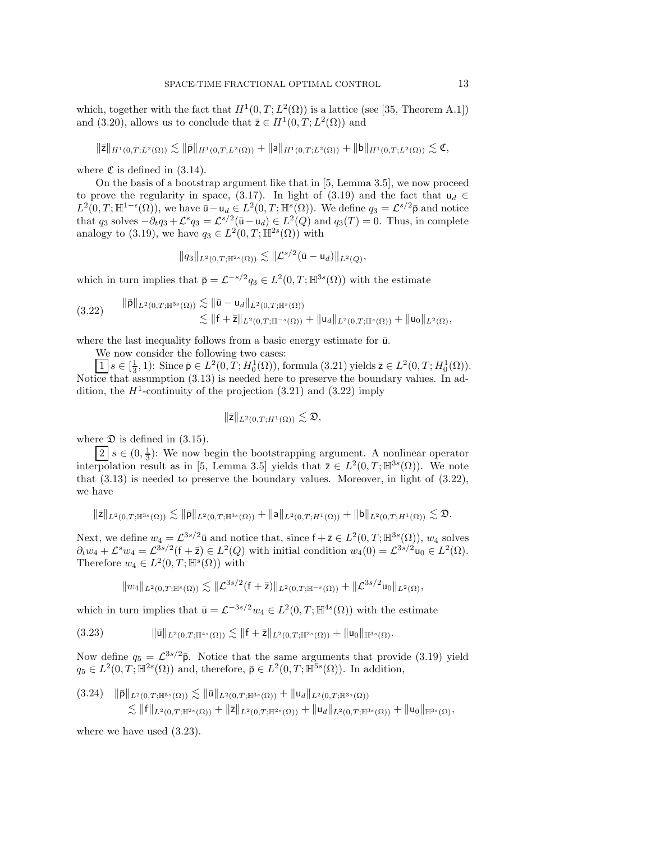which, together with the fact that  $H^1(0, T; L^2(\Omega))$  is a lattice (see [\[35,](#page-32-21) Theorem A.1]) and [\(3.20\)](#page-11-4), allows us to conclude that  $\bar{z} \in H^1(0,T;L^2(\Omega))$  and

$$
\|\bar{\mathbf{z}}\|_{H^1(0,T;L^2(\Omega))} \lesssim \|\bar{\mathbf{p}}\|_{H^1(0,T;L^2(\Omega))} + \|\mathbf{a}\|_{H^1(0,T;L^2(\Omega))} + \|\mathbf{b}\|_{H^1(0,T;L^2(\Omega))} \lesssim \mathfrak{C},
$$

where  $\mathfrak C$  is defined in [\(3.14\)](#page-11-5).

On the basis of a bootstrap argument like that in [\[5,](#page-31-16) Lemma 3.5], we now proceed to prove the regularity in space, [\(3.17\)](#page-11-2). In light of [\(3.19\)](#page-11-6) and the fact that  $u_d \in$  $L^2(0,T;\mathbb{H}^{1-\epsilon}(\Omega))$ , we have  $\bar{u} - u_d \in L^2(0,T;\mathbb{H}^s(\Omega))$ . We define  $q_3 = \mathcal{L}^{s/2}\bar{p}$  and notice<br>that  $q_3$  solves  $-\partial_t q_3 + \mathcal{L}^s q_3 - \mathcal{L}^{s/2}(\bar{u} - u_1) \in L^2(\Omega)$  and  $q_2(T) = 0$ . Thus in complete that  $q_3$  solves  $-\partial_t q_3 + \mathcal{L}^s q_3 = \mathcal{L}^{s/2}(\bar{u} - u_d) \in L^2(Q)$  and  $q_3(T) = 0$ . Thus, in complete analogy to [\(3.19\)](#page-11-6), we have  $q_3 \in L^2(0,T;\mathbb{H}^{2s}(\Omega))$  with

$$
||q_3||_{L^2(0,T;\mathbb{H}^{2s}(\Omega))} \lesssim ||\mathcal{L}^{s/2}(\bar{u}-u_d)||_{L^2(Q)},
$$

which in turn implies that  $\bar{\mathsf{p}} = \mathcal{L}^{-s/2}q_3 \in L^2(0,T;\mathbb{H}^{3s}(\Omega))$  with the estimate

<span id="page-12-0"></span>(3.22) p¯<sup>L</sup>2(0,T;H3*s*(Ω)) u¯ <sup>−</sup> <sup>u</sup><sup>d</sup><sup>L</sup>2(0,T;H*s*(Ω)) <sup>f</sup> <sup>+</sup> ¯z<sup>L</sup>2(0,T;H−*s*(Ω)) <sup>+</sup> u<sup>d</sup><sup>L</sup>2(0,T;H*s*(Ω)) <sup>+</sup> u<sup>0</sup><sup>L</sup>2(Ω),

where the last inequality follows from a basic energy estimate for  $\bar{u}$ .

We now consider the following two cases:

 $\overline{1}\ s \in [\frac{1}{3}, 1)$ : Since  $\overline{p} \in L^2(0, T; H_0^1(\Omega))$ , formula [\(3.21\)](#page-11-7) yields  $\overline{z} \in L^2(0, T; H_0^1(\Omega))$ . Notice that assumption [\(3.13\)](#page-11-0) is needed here to preserve the boundary values. In addition, the  $H^1$ -continuity of the projection  $(3.21)$  and  $(3.22)$  imply

$$
\|\bar{\mathsf{z}}\|_{L^2(0,T;H^1(\Omega))}\lesssim \mathfrak{D},
$$

where  $\mathfrak D$  is defined in [\(3.15\)](#page-11-8).

 $\boxed{2}$   $s \in (0, \frac{1}{3})$ : We now begin the bootstrapping argument. A nonlinear operator interpolation result as in [\[5,](#page-31-16) Lemma 3.5] yields that  $\bar{z} \in L^2(0,T;\mathbb{H}^{3s}(\Omega))$ . We note that [\(3.13\)](#page-11-0) is needed to preserve the boundary values. Moreover, in light of [\(3.22\)](#page-12-0), we have

$$
\|\bar{z}\|_{L^2(0,T;\mathbb{H}^{3s}(\Omega))} \lesssim \|\bar{p}\|_{L^2(0,T;\mathbb{H}^{3s}(\Omega))} + \|a\|_{L^2(0,T;H^1(\Omega))} + \|b\|_{L^2(0,T;H^1(\Omega))} \lesssim \mathfrak{D}.
$$

Next, we define  $w_4 = \mathcal{L}^{3s/2} \bar{u}$  and notice that, since  $f + \bar{z} \in L^2(0, T; \mathbb{H}^{3s}(\Omega))$ ,  $w_4$  solves  $\partial_3 w_4 + C^3 w_4 - C^{3s/2}(f + \bar{z}) \in L^2(0)$  with initial condition  $w_4(0) - C^{3s/2} \mu_0 \in L^2(0)$  $\partial_t w_4 + \mathcal{L}^s w_4 = \mathcal{L}^{3s/2}(\mathsf{f} + \bar{\mathsf{z}}) \in L^2(Q)$  with initial condition  $w_4(0) = \mathcal{L}^{3s/2}u_0 \in L^2(\Omega)$ .<br>Therefore  $w_4 \in L^2(0, T; \mathbb{H}^s(\Omega))$  with Therefore  $w_4 \in L^2(0,T;\mathbb{H}^s(\Omega))$  with

<span id="page-12-1"></span>
$$
||w_4||_{L^2(0,T;\mathbb{H}^s(\Omega))} \lesssim ||\mathcal{L}^{3s/2}(f+\overline{z})||_{L^2(0,T;\mathbb{H}^{-s}(\Omega))} + ||\mathcal{L}^{3s/2}u_0||_{L^2(\Omega)},
$$

which in turn implies that  $\bar{u} = \mathcal{L}^{-3s/2}w_4 \in L^2(0,T;\mathbb{H}^{4s}(\Omega))$  with the estimate

$$
(3.23) \t\t ||\bar{u}||_{L^2(0,T;\mathbb{H}^{4s}(\Omega))} \lesssim ||f+\bar{z}||_{L^2(0,T;\mathbb{H}^{2s}(\Omega))} + ||u_0||_{\mathbb{H}^{3s}(\Omega)}.
$$

Now define  $q_5 = \mathcal{L}^{3s/2}$   $\bar{\mathsf{p}}$ . Notice that the same arguments that provide [\(3.19\)](#page-11-6) yield  $q_5 \in L^2(0,T;\mathbb{H}^{2s}(\Omega))$  and, therefore,  $\bar{\mathsf{p}} \in L^2(0,T;\mathbb{H}^{5s}(\Omega))$ . In addition,

<span id="page-12-2"></span>
$$
(3.24) \quad \|\bar{\mathbf{p}}\|_{L^{2}(0,T;\mathbb{H}^{5s}(\Omega))} \lesssim \|\bar{\mathbf{u}}\|_{L^{2}(0,T;\mathbb{H}^{3s}(\Omega))} + \|\mathbf{u}_{d}\|_{L^{2}(0,T;\mathbb{H}^{3s}(\Omega))}
$$
  

$$
\lesssim \|\mathbf{f}\|_{L^{2}(0,T;\mathbb{H}^{2s}(\Omega))} + \|\bar{\mathbf{z}}\|_{L^{2}(0,T;\mathbb{H}^{2s}(\Omega))} + \|\mathbf{u}_{d}\|_{L^{2}(0,T;\mathbb{H}^{3s}(\Omega))} + \|\mathbf{u}_{0}\|_{\mathbb{H}^{3s}(\Omega)},
$$

where we have used [\(3.23\)](#page-12-1).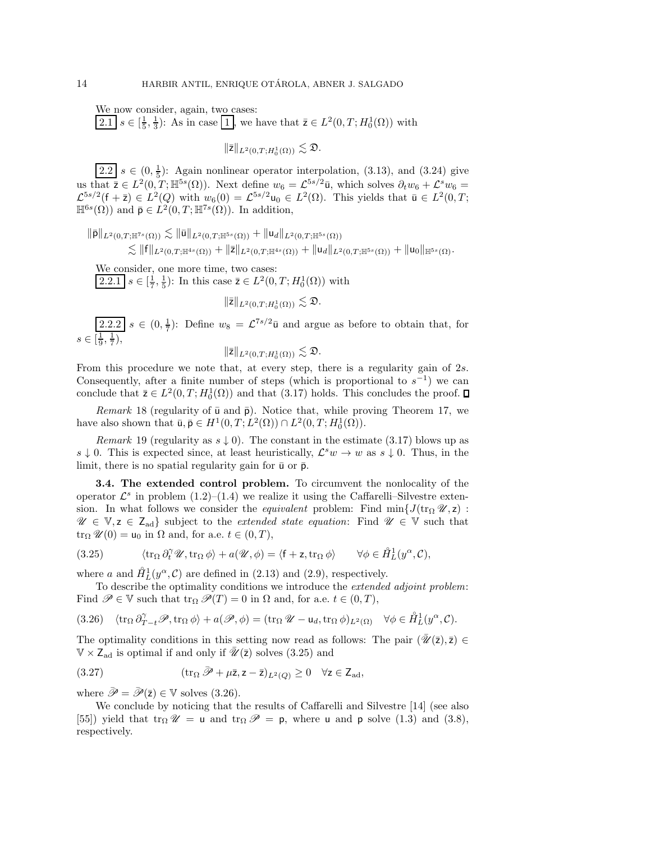We now consider, again, two cases:  $\overline{2.1}$   $s \in \left[\frac{1}{5}, \frac{1}{3}\right)$ : As in case 1, we have that  $\overline{z} \in L^2(0, T; H_0^1(\Omega))$  with

 $\|\bar{\mathsf{z}}\|_{L^2(0,T;H^1_0(\Omega))} \lesssim \mathfrak{D}.$ 

 $\overline{2.2}$   $s \in (0, \frac{1}{5})$ : Again nonlinear operator interpolation, [\(3.13\)](#page-11-0), and [\(3.24\)](#page-12-2) give us that  $\overline{z} \in L^2(0,T;\mathbb{H}^{5s}(\Omega))$ . Next define  $w_6 = \mathcal{L}^{5s/2}\overline{u}$ , which solves  $\partial_t w_6 + \mathcal{L}^s w_6 =$  $\mathcal{L}^{5s/2}(\mathsf{f} + \bar{\mathsf{z}}) \in L^2(Q)$  with  $w_6(0) = \mathcal{L}^{5s/2}\mathsf{u}_0 \in L^2(\Omega)$ . This yields that  $\bar{\mathsf{u}} \in L^2(0,T;$  $\mathbb{H}^{6s}(\Omega)$  and  $\bar{\mathsf{p}} \in L^2(0,T;\mathbb{H}^{7s}(\Omega))$ . In addition,

$$
\|\bar{\mathsf{p}}\|_{L^2(0,T;\mathbb{H}^7{}^s(\Omega))} \lesssim \|\bar{\mathsf{u}}\|_{L^2(0,T;\mathbb{H}^{5s}(\Omega))} + \|\mathsf{u}_d\|_{L^2(0,T;\mathbb{H}^{5s}(\Omega))} \lesssim \|f\|_{L^2(0,T;\mathbb{H}^{4s}(\Omega))} + \|\bar{\mathsf{z}}\|_{L^2(0,T;\mathbb{H}^{4s}(\Omega))} + \|\mathsf{u}_d\|_{L^2(0,T;\mathbb{H}^{5s}(\Omega))} + \|\mathsf{u}_0\|_{\mathbb{H}^{5s}(\Omega)}.
$$

We consider, one more time, two cases:  $\overline{2.2.1}$   $s \in [\frac{1}{7}, \frac{1}{5})$ : In this case  $\overline{z} \in L^2(0, T; H_0^1(\Omega))$  with

 $\|\bar{\mathsf{z}}\|_{L^2(0,T;H^1_0(\Omega))} \lesssim \mathfrak{D}.$ 

 $\sqrt{2.2.2}$   $s \in (0, \frac{1}{7})$ : Define  $w_8 = \mathcal{L}^{7s/2}$ **ū** and argue as before to obtain that, for  $s \in [\frac{1}{9}, \frac{1}{7})$ ,

$$
\|\bar{\mathsf{z}}\|_{L^2(0,T;H^1_0(\Omega))} \lesssim \mathfrak{D}.
$$

From this procedure we note that, at every step, there is a regularity gain of 2s. Consequently, after a finite number of steps (which is proportional to  $s^{-1}$ ) we can conclude that  $\bar{z} \in L^2(0, T; H_0^1(\Omega))$  and that  $(3.17)$  holds. This concludes the proof.

<span id="page-13-3"></span>*Remark* 18 (regularity of  $\bar{u}$  and  $\bar{p}$ ). Notice that, while proving Theorem [17,](#page-11-9) we have also shown that  $\bar{u}, \bar{p} \in H^1(0, T; L^2(\Omega)) \cap L^2(0, T; H_0^1(\Omega)).$ 

*Remark* 19 (regularity as  $s \downarrow 0$ ). The constant in the estimate [\(3.17\)](#page-11-2) blows up as  $s \downarrow 0$ . This is expected since, at least heuristically,  $\mathcal{L}^s w \to w$  as  $s \downarrow 0$ . Thus, in the limit, there is no spatial regularity gain for  $\bar{u}$  or  $\bar{p}$ .

**3.4. The extended control problem.** To circumvent the nonlocality of the operator  $\mathcal{L}^s$  in problem  $(1.2)$ – $(1.4)$  we realize it using the Caffarelli–Silvestre extension. In what follows we consider the *equivalent* problem: Find min $J(tr_{\Omega} \mathscr{U}, z)$ :  $\mathscr{U} \in \mathbb{V}, z \in \mathsf{Z}_{ad}$  subject to the *extended state equation*: Find  $\mathscr{U} \in \mathbb{V}$  such that  $\operatorname{tr}_{\Omega} \mathscr{U}(0) = \mathsf{u}_0$  in  $\Omega$  and, for a.e.  $t \in (0, T)$ ,

<span id="page-13-0"></span>(3.25) 
$$
\langle \operatorname{tr}_{\Omega} \partial_t^{\gamma} \mathscr{U}, \operatorname{tr}_{\Omega} \phi \rangle + a(\mathscr{U}, \phi) = \langle f + z, \operatorname{tr}_{\Omega} \phi \rangle \qquad \forall \phi \in \mathring{H}_L^1(y^{\alpha}, \mathcal{C}),
$$

where a and  $\mathring{H}^1_L(y^\alpha, \mathcal{C})$  are defined in [\(2.13\)](#page-6-5) and [\(2.9\)](#page-6-6), respectively.

To describe the optimality conditions we introduce the *extended adjoint problem*: Find  $\mathscr{P} \in \mathbb{V}$  such that  $\text{tr}_{\Omega} \mathscr{P}(T) = 0$  in  $\Omega$  and, for a.e.  $t \in (0, T)$ ,

<span id="page-13-1"></span>
$$
(3.26) \quad \langle \operatorname{tr}_{\Omega} \partial_{T-t}^{\gamma} \mathscr{P}, \operatorname{tr}_{\Omega} \phi \rangle + a(\mathscr{P}, \phi) = (\operatorname{tr}_{\Omega} \mathscr{U} - \mathsf{u}_d, \operatorname{tr}_{\Omega} \phi)_{L^2(\Omega)} \quad \forall \phi \in \mathring{H}_L^1(y^{\alpha}, \mathcal{C}).
$$

The optimality conditions in this setting now read as follows: The pair  $(\mathscr{U}(\bar{z}), \bar{z}) \in$  $V \times Z_{ad}$  is optimal if and only if  $\mathcal{U}(\bar{z})$  solves [\(3.25\)](#page-13-0) and

<span id="page-13-2"></span>(3.27) 
$$
(\operatorname{tr}_{\Omega} \bar{\mathscr{P}} + \mu \bar{z}, z - \bar{z})_{L^2(Q)} \geq 0 \quad \forall z \in \mathsf{Z}_{ad},
$$

where  $\bar{\mathscr{P}} = \bar{\mathscr{P}}(\bar{z}) \in \mathbb{V}$  solves [\(3.26\)](#page-13-1).

We conclude by noticing that the results of Caffarelli and Silvestre [\[14\]](#page-31-0) (see also [\[55\]](#page-32-2)) yield that tr<sub>Ω</sub>  $\mathscr{U} =$  **u** and tr<sub>Ω</sub>  $\mathscr{P} =$  **p**, where **u** and **p** solve [\(1.3\)](#page-0-2) and [\(3.8\)](#page-9-0), respectively.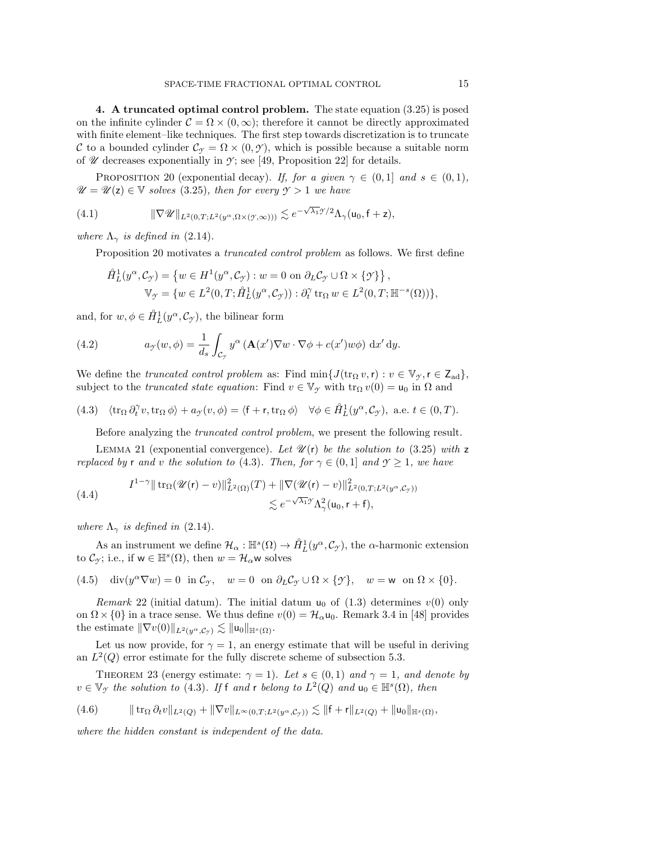<span id="page-14-0"></span>**4. A truncated optimal control problem.** The state equation [\(3.25\)](#page-13-0) is posed on the infinite cylinder  $\mathcal{C} = \Omega \times (0, \infty)$ ; therefore it cannot be directly approximated with finite element–like techniques. The first step towards discretization is to truncate C to a bounded cylinder  $\mathcal{C}_{\gamma} = \Omega \times (0, \gamma)$ , which is possible because a suitable norm of  $\mathscr U$  decreases exponentially in  $\mathscr Y$ ; see [\[49,](#page-32-4) Proposition 22] for details.

<span id="page-14-1"></span>PROPOSITION 20 (exponential decay). *If, for a given*  $\gamma \in (0,1]$  *and*  $s \in (0,1)$ *,*  $\mathscr{U} = \mathscr{U}(\mathsf{z}) \in \mathbb{V}$  *solves* [\(3.25\)](#page-13-0)*, then for every*  $\mathscr{Y} > 1$  *we have* 

(4.1) 
$$
\|\nabla \mathscr{U}\|_{L^2(0,T;L^2(y^{\alpha},\Omega\times(Y,\infty)))} \lesssim e^{-\sqrt{\lambda_1}\mathscr{I}/2}\Lambda_{\gamma}(\mathsf{u}_0,\mathsf{f}+\mathsf{z}),
$$

*where*  $\Lambda_{\gamma}$  *is defined in* [\(2.14\)](#page-6-7)*.* 

Proposition [20](#page-14-1) motivates a *truncated control problem* as follows. We first define

$$
\hat{H}_L^1(y^\alpha, \mathcal{C}_\mathcal{Y}) = \{ w \in H^1(y^\alpha, \mathcal{C}_\mathcal{Y}) : w = 0 \text{ on } \partial_L \mathcal{C}_\mathcal{Y} \cup \Omega \times \{ \mathcal{Y} \} \},\
$$

$$
\mathbb{V}_\mathcal{Y} = \{ w \in L^2(0, T; \hat{H}_L^1(y^\alpha, \mathcal{C}_\mathcal{Y})) : \partial_t^\gamma \operatorname{tr}_\Omega w \in L^2(0, T; \mathbb{H}^{-s}(\Omega)) \},\
$$

and, for  $w, \phi \in \mathring{H}_L^1(y^\alpha, \mathcal{C}_{\mathcal{I}})$ , the bilinear form

<span id="page-14-6"></span>(4.2) 
$$
a_{\mathcal{Y}}(w,\phi) = \frac{1}{d_s} \int_{\mathcal{C}_{\mathcal{Y}}} y^{\alpha} \left( \mathbf{A}(x') \nabla w \cdot \nabla \phi + c(x') w \phi \right) dx' dy.
$$

We define the *truncated control problem* as: Find  $\min\{J(\text{tr}_{\Omega} v, r) : v \in V_{\mathcal{Y}}, r \in Z_{ad}\},\$ subject to the *truncated state equation*: Find  $v \in V_\gamma$  with  $\text{tr}_\Omega v(0) = u_0$  in  $\Omega$  and

(4.3) 
$$
\langle \operatorname{tr}_{\Omega} \partial_t^{\gamma} v, \operatorname{tr}_{\Omega} \phi \rangle + a_{\gamma}(v, \phi) = \langle f + r, \operatorname{tr}_{\Omega} \phi \rangle \quad \forall \phi \in \hat{H}_L^1(y^{\alpha}, C_{\gamma}), \text{ a.e. } t \in (0, T).
$$

<span id="page-14-2"></span>Before analyzing the *truncated control problem*, we present the following result.

<span id="page-14-4"></span>LEMMA 21 (exponential convergence). Let  $\mathcal{U}(r)$  *be the solution to* [\(3.25\)](#page-13-0) *with* z *replaced by r and v the solution to [\(4.3\)](#page-14-2). Then, for*  $\gamma \in (0,1]$  *and*  $\gamma > 1$ *, we have* 

(4.4) 
$$
I^{1-\gamma} \|\operatorname{tr}_{\Omega}(\mathscr{U}(\mathbf{r})-v)\|_{L^2(\Omega)}^2(T) + \|\nabla(\mathscr{U}(\mathbf{r})-v)\|_{L^2(0,T;L^2(y^{\alpha},\mathcal{C}_{\gamma}))}^2 \n\lesssim e^{-\sqrt{\lambda_1}\mathscr{I}} \Lambda_{\gamma}^2(\mathsf{u}_0,\mathsf{r}+\mathsf{f}),
$$

*where*  $\Lambda_{\gamma}$  *is defined in* [\(2.14\)](#page-6-7)*.* 

As an instrument we define  $\mathcal{H}_{\alpha}: \mathbb{H}^{s}(\Omega) \to \mathring{H}^{1}_{L}(y^{\alpha}, \mathcal{C}_{\mathcal{I}})$ , the  $\alpha$ -harmonic extension to  $\mathcal{C}_{\gamma}$ ; i.e., if  $w \in \mathbb{H}^{s}(\Omega)$ , then  $w = \mathcal{H}_{\alpha}$  solves

<span id="page-14-5"></span>(4.5) 
$$
\operatorname{div}(y^{\alpha}\nabla w) = 0 \quad \text{in } \mathcal{C}_{\mathcal{Y}}, \quad w = 0 \quad \text{on } \partial_L \mathcal{C}_{\mathcal{Y}} \cup \Omega \times \{\mathcal{Y}\}, \quad w = w \quad \text{on } \Omega \times \{0\}.
$$

<span id="page-14-3"></span>*Remark* 22 (initial datum). The initial datum  $u_0$  of [\(1.3\)](#page-0-2) determines  $v(0)$  only on  $\Omega \times \{0\}$  in a trace sense. We thus define  $v(0) = \mathcal{H}_{\alpha} \mathsf{u}_0$ . Remark 3.4 in [\[48\]](#page-32-3) provides the estimate  $\|\nabla v(0)\|_{L^2(y^{\alpha}, \mathcal{C}_{\mathcal{I}})} \lesssim \|u_0\|_{\mathbb{H}^s(\Omega)}.$ 

Let us now provide, for  $\gamma = 1$ , an energy estimate that will be useful in deriving an  $L^2(Q)$  error estimate for the fully discrete scheme of subsection [5.3.](#page-17-0)

THEOREM 23 (energy estimate:  $\gamma = 1$ ). Let  $s \in (0, 1)$  and  $\gamma = 1$ , and denote by  $v \in \mathbb{V}_{\gamma}$  *the solution to* [\(4.3\)](#page-14-2). If f *and* r *belong to*  $L^2(Q)$  *and*  $u_0 \in \mathbb{H}^s(\Omega)$ *, then* 

$$
(4.6) \t\t ||tr_{\Omega} \partial_t v||_{L^2(Q)} + ||\nabla v||_{L^{\infty}(0,T;L^2(y^{\alpha},C_{\mathcal{I}}))} \lesssim ||f+r||_{L^2(Q)} + ||u_0||_{\mathbb{H}^s(\Omega)},
$$

*where the hidden constant is independent of the data.*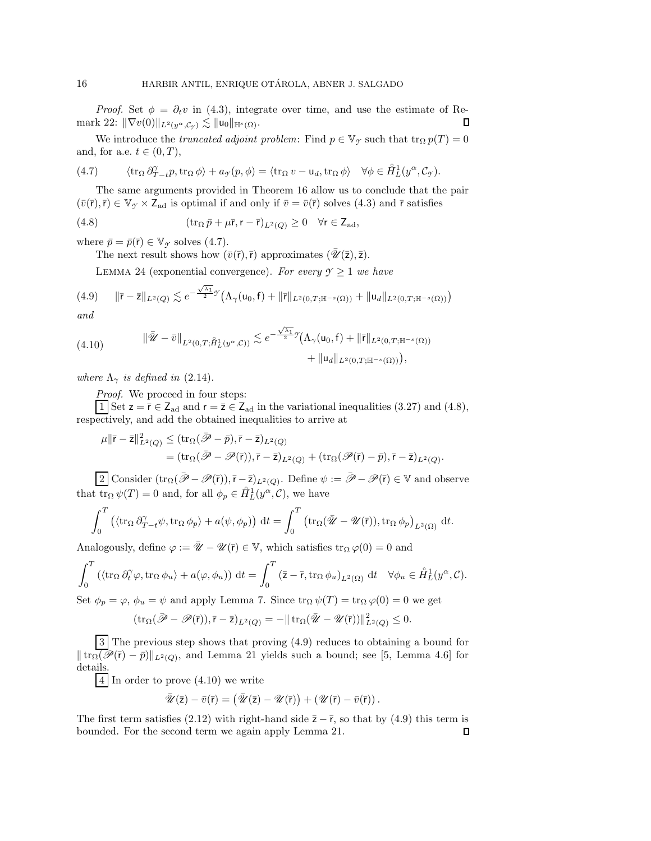*Proof.* Set  $\phi = \partial_t v$  in [\(4.3\)](#page-14-2), integrate over time, and use the estimate of Re- $\text{mark } 22: \|\nabla v(0)\|_{L^2(y^{\alpha}, \mathcal{C}_{\mathcal{I}})} \lesssim \|u_0\|_{\mathbb{H}^s(\Omega)}.$  $\text{mark } 22: \|\nabla v(0)\|_{L^2(y^{\alpha}, \mathcal{C}_{\mathcal{I}})} \lesssim \|u_0\|_{\mathbb{H}^s(\Omega)}.$  $\text{mark } 22: \|\nabla v(0)\|_{L^2(y^{\alpha}, \mathcal{C}_{\mathcal{I}})} \lesssim \|u_0\|_{\mathbb{H}^s(\Omega)}.$ П

We introduce the *truncated adjoint problem*: Find  $p \in V_\gamma$  such that  $\text{tr}_\Omega p(T) = 0$ and, for a.e.  $t \in (0, T)$ ,

<span id="page-15-0"></span>(4.7) 
$$
\langle \operatorname{tr}_{\Omega} \partial_{T-t}^{\gamma} p, \operatorname{tr}_{\Omega} \phi \rangle + a_{\gamma}(p, \phi) = \langle \operatorname{tr}_{\Omega} v - \mathsf{u}_d, \operatorname{tr}_{\Omega} \phi \rangle \quad \forall \phi \in \mathring{H}_L^1(y^{\alpha}, \mathcal{C}_{\gamma}).
$$

The same arguments provided in Theorem [16](#page-10-4) allow us to conclude that the pair  $(\bar{v}(\bar{r}), \bar{r}) \in V_{\gamma} \times Z_{ad}$  is optimal if and only if  $\bar{v} = \bar{v}(\bar{r})$  solves [\(4.3\)](#page-14-2) and  $\bar{r}$  satisfies

(4.8) 
$$
(\operatorname{tr}_{\Omega} \bar{p} + \mu \bar{r}, r - \bar{r})_{L^2(Q)} \geq 0 \quad \forall r \in Z_{ad},
$$

<span id="page-15-5"></span>where  $\bar{p} = \bar{p}(\bar{r}) \in \mathbb{V}_{\mathcal{T}}$  solves [\(4.7\)](#page-15-0).

<span id="page-15-1"></span>The next result shows how  $(\bar{v}(\bar{r}),\bar{r})$  approximates  $(\bar{\mathscr{U}}(\bar{z}),\bar{z})$ .

<span id="page-15-2"></span>LEMMA 24 (exponential convergence). For every  $\gamma \geq 1$  we have

$$
(4.9) \qquad \|\bar{r} - \bar{z}\|_{L^{2}(Q)} \lesssim e^{-\frac{\sqrt{\lambda_{1}}}{2}\mathcal{I}}\left(\Lambda_{\gamma}(u_{0}, f) + \|\bar{r}\|_{L^{2}(0,T; \mathbb{H}^{-s}(\Omega))} + \|u_{d}\|_{L^{2}(0,T; \mathbb{H}^{-s}(\Omega))}\right)
$$

*and*

<span id="page-15-3"></span>(4.10) 
$$
\|\bar{\mathscr{U}} - \bar{v}\|_{L^2(0,T;\hat{H}_L^1(y^{\alpha}, \mathcal{C}))} \lesssim e^{-\frac{\sqrt{\lambda_1}}{2}\gamma} \Big(\Lambda_\gamma(u_0, f) + \|\bar{r}\|_{L^2(0,T;\mathbb{H}^{-s}(\Omega))} + \|u_d\|_{L^2(0,T;\mathbb{H}^{-s}(\Omega))}\Big),
$$

*where*  $\Lambda_{\gamma}$  *is defined in* [\(2.14\)](#page-6-7)*.* 

*Proof.* We proceed in four steps:

1 Set  $z = \overline{r} \in Z_{ad}$  and  $r = \overline{z} \in Z_{ad}$  in the variational inequalities [\(3.27\)](#page-13-2) and [\(4.8\)](#page-15-1), respectively, and add the obtained inequalities to arrive at

$$
\begin{split} \mu \| \bar{\mathbf{r}} - \bar{\mathbf{z}} \|_{L^2(Q)}^2 &\leq (\operatorname{tr}_\Omega(\bar{\mathscr{P}} - \bar{p}), \bar{\mathbf{r}} - \bar{\mathbf{z}})_{L^2(Q)} \\ & = (\operatorname{tr}_\Omega(\bar{\mathscr{P}} - \mathscr{P}(\bar{\mathbf{r}})), \bar{\mathbf{r}} - \bar{\mathbf{z}})_{L^2(Q)} + (\operatorname{tr}_\Omega(\mathscr{P}(\bar{\mathbf{r}}) - \bar{p}), \bar{\mathbf{r}} - \bar{\mathbf{z}})_{L^2(Q)}. \end{split}
$$

2 Consider  $(\text{tr}_{\Omega}(\bar{\mathscr{P}} - \mathscr{P}(\bar{r})), \bar{r} - \bar{z})_{L^2(Q)}$ . Define  $\psi := \bar{\mathscr{P}} - \mathscr{P}(\bar{r}) \in \mathbb{V}$  and observe that  $\overline{\text{tr}_{\Omega} \psi(T)} = 0$  and, for all  $\phi_p \in \mathring{H}_L^1(y^{\alpha}, \mathcal{C})$ , we have

$$
\int_0^T \left( \langle \operatorname{tr}_{\Omega} \partial_{T-t}^{\gamma} \psi, \operatorname{tr}_{\Omega} \phi_p \rangle + a(\psi, \phi_p) \right) dt = \int_0^T \left( \operatorname{tr}_{\Omega} (\overline{\mathscr{U}} - \mathscr{U}(\overline{r})), \operatorname{tr}_{\Omega} \phi_p \right)_{L^2(\Omega)} dt.
$$

Analogously, define  $\varphi := \bar{\mathscr{U}} - \mathscr{U}(\bar{r}) \in \mathbb{V}$ , which satisfies  $\text{tr}_{\Omega} \varphi(0) = 0$  and

$$
\int_0^T \left( \langle \operatorname{tr}_{\Omega} \partial_t^{\gamma} \varphi, \operatorname{tr}_{\Omega} \phi_u \rangle + a(\varphi, \phi_u) \right) dt = \int_0^T (\overline{z} - \overline{r}, \operatorname{tr}_{\Omega} \phi_u)_{L^2(\Omega)} dt \quad \forall \phi_u \in \mathring{H}_L^1(y^{\alpha}, \mathcal{C}).
$$

Set  $\phi_p = \varphi$ ,  $\phi_u = \psi$  and apply Lemma [7.](#page-7-3) Since  $\text{tr}_\Omega \psi(T) = \text{tr}_\Omega \varphi(0) = 0$  we get

$$
(\operatorname{tr}_{\Omega}(\bar{\mathscr{P}}-\mathscr{P}(\bar{r})),\bar{r}-\bar{z})_{L^2(Q)}=-\|\operatorname{tr}_{\Omega}(\bar{\mathscr{U}}-\mathscr{U}(\bar{r}))\|_{L^2(Q)}^2\leq 0.
$$

3 The previous step shows that proving [\(4.9\)](#page-15-2) reduces to obtaining a bound for  $\|\operatorname{tr}_{\Omega}(\overline{\mathscr{P}}(\overline{r})-\overline{p})\|_{L^2(Q)}$ , and Lemma [21](#page-14-4) yields such a bound; see [\[5,](#page-31-16) Lemma 4.6] for details.

4 In order to prove [\(4.10\)](#page-15-3) we write

$$
\bar{\mathscr{U}}(\bar{z}) - \bar{v}(\bar{r}) = (\bar{\mathscr{U}}(\bar{z}) - \mathscr{U}(\bar{r})) + (\mathscr{U}(\bar{r}) - \bar{v}(\bar{r})).
$$

<span id="page-15-4"></span>The first term satisfies [\(2.12\)](#page-6-1) with right-hand side  $\bar{z} - \bar{r}$ , so that by [\(4.9\)](#page-15-2) this term is bounded. For the second term we again apply Lemma 21. bounded. For the second term we again apply Lemma [21.](#page-14-4)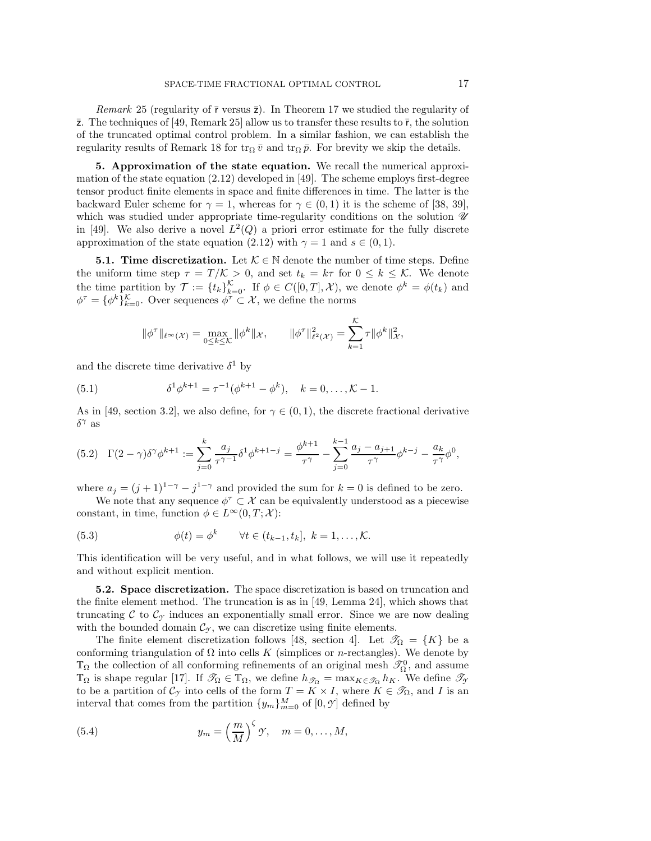*Remark* 25 (regularity of  $\bar{r}$  versus  $\bar{z}$ ). In Theorem [17](#page-11-9) we studied the regularity of  $\bar{z}$ . The techniques of [\[49,](#page-32-4) Remark 25] allow us to transfer these results to  $\bar{r}$ , the solution of the truncated optimal control problem. In a similar fashion, we can establish the regularity results of Remark [18](#page-13-3) for  $\text{tr}_{\Omega} \bar{v}$  and  $\text{tr}_{\Omega} \bar{p}$ . For brevity we skip the details.

<span id="page-16-0"></span>**5. Approximation of the state equation.** We recall the numerical approximation of the state equation [\(2.12\)](#page-6-1) developed in [\[49\]](#page-32-4). The scheme employs first-degree tensor product finite elements in space and finite differences in time. The latter is the backward Euler scheme for  $\gamma = 1$ , whereas for  $\gamma \in (0,1)$  it is the scheme of [\[38,](#page-32-15) [39\]](#page-32-16), which was studied under appropriate time-regularity conditions on the solution  $\mathcal{U}$ in [\[49\]](#page-32-4). We also derive a novel  $L^2(Q)$  a priori error estimate for the fully discrete approximation of the state equation [\(2.12\)](#page-6-1) with  $\gamma = 1$  and  $s \in (0, 1)$ .

<span id="page-16-3"></span>**5.1. Time discretization.** Let  $K \in \mathbb{N}$  denote the number of time steps. Define the uniform time step  $\tau = T/\mathcal{K} > 0$ , and set  $t_k = k\tau$  for  $0 \leq k \leq \mathcal{K}$ . We denote the time partition by  $\mathcal{T} := \{t_k\}_{k=0}^{\mathcal{K}}$ . If  $\phi \in C([0,T], \mathcal{X})$ , we denote  $\phi^k = \phi(t_k)$  and  $\phi^{\tau} = {\phi^k}_{k=0}^{\mathcal{K}}$ . Over sequences  $\phi^{\tau} \subset \mathcal{X}$ , we define the norms

<span id="page-16-5"></span>
$$
\|\phi^{\tau}\|_{\ell^{\infty}}(\mathcal{X}) = \max_{0 \leq k \leq K} \|\phi^k\|_{\mathcal{X}}, \qquad \|\phi^{\tau}\|_{\ell^2(\mathcal{X})}^2 = \sum_{k=1}^K \tau \|\phi^k\|_{\mathcal{X}}^2,
$$

and the discrete time derivative  $\delta^1$  by

(5.1) 
$$
\delta^1 \phi^{k+1} = \tau^{-1} (\phi^{k+1} - \phi^k), \quad k = 0, ..., \mathcal{K} - 1.
$$

As in [\[49,](#page-32-4) section 3.2], we also define, for  $\gamma \in (0,1)$ , the discrete fractional derivative δ<sup>γ</sup> as

<span id="page-16-4"></span>
$$
(5.2)\quad \Gamma(2-\gamma)\delta^{\gamma}\phi^{k+1} := \sum_{j=0}^{k} \frac{a_j}{\tau^{\gamma-1}} \delta^1 \phi^{k+1-j} = \frac{\phi^{k+1}}{\tau^{\gamma}} - \sum_{j=0}^{k-1} \frac{a_j - a_{j+1}}{\tau^{\gamma}} \phi^{k-j} - \frac{a_k}{\tau^{\gamma}} \phi^0,
$$

where  $a_j = (j + 1)^{1-\gamma} - j^{1-\gamma}$  and provided the sum for  $k = 0$  is defined to be zero.

We note that any sequence  $\phi^{\tau} \subset \mathcal{X}$  can be equivalently understood as a piecewise constant, in time, function  $\phi \in L^{\infty}(0,T; \mathcal{X})$ :

<span id="page-16-6"></span>(5.3) 
$$
\phi(t) = \phi^k \quad \forall t \in (t_{k-1}, t_k], \ k = 1, ..., K.
$$

This identification will be very useful, and in what follows, we will use it repeatedly and without explicit mention.

<span id="page-16-2"></span>**5.2. Space discretization.** The space discretization is based on truncation and the finite element method. The truncation is as in [\[49,](#page-32-4) Lemma 24], which shows that truncating C to  $\mathcal{C}_{\gamma}$  induces an exponentially small error. Since we are now dealing with the bounded domain  $\mathcal{C}_{\gamma}$ , we can discretize using finite elements.

The finite element discretization follows [\[48,](#page-32-3) section 4]. Let  $\mathcal{T}_{\Omega} = \{K\}$  be a conforming triangulation of  $\Omega$  into cells K (simplices or n-rectangles). We denote by  $\mathbb{T}_{\Omega}$  the collection of all conforming refinements of an original mesh  $\mathscr{T}_{\Omega}^0$ , and assume  $\mathbb{T}_{\Omega}$  is shape regular [\[17\]](#page-31-24). If  $\mathscr{T}_{\Omega} \in \mathbb{T}_{\Omega}$ , we define  $h_{\mathscr{T}_{\Omega}} = \max_{K \in \mathscr{T}_{\Omega}} h_K$ . We define  $\mathscr{T}_{\gamma}$ to be a partition of  $\mathcal{C}_{\gamma}$  into cells of the form  $T = K \times I$ , where  $K \in \mathcal{S}_{\Omega}$ , and I is an interval that comes from the partition  $\{y_m\}_{m=0}^M$  of  $[0, \mathcal{Y}]$  defined by

<span id="page-16-1"></span>(5.4) 
$$
y_m = \left(\frac{m}{M}\right)^{\zeta} \mathcal{Y}, \quad m = 0, \dots, M,
$$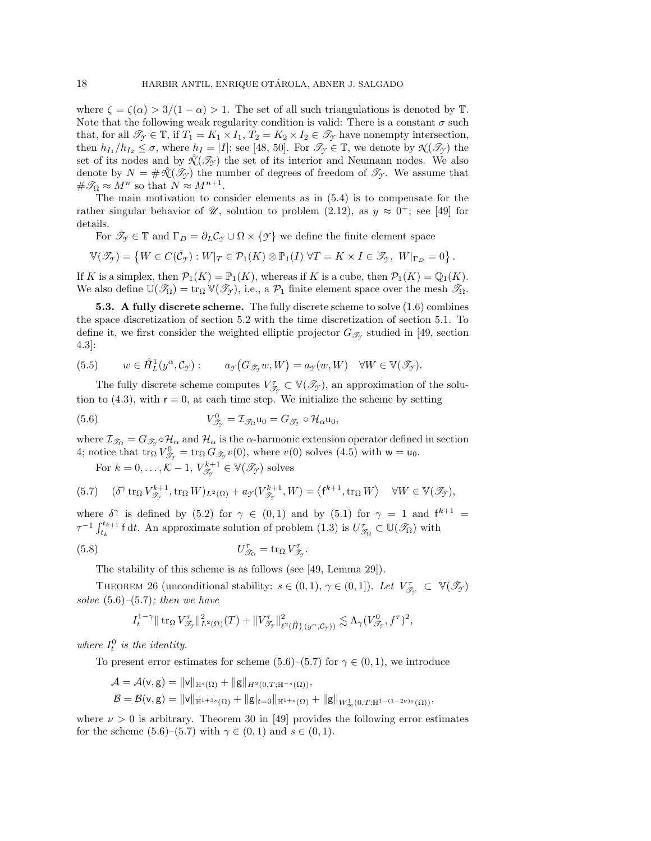where  $\zeta = \zeta(\alpha) > 3/(1 - \alpha) > 1$ . The set of all such triangulations is denoted by T. Note that the following weak regularity condition is valid: There is a constant  $\sigma$  such that, for all  $\mathcal{T}_{\gamma} \in \mathbb{T}$ , if  $T_1 = K_1 \times I_1$ ,  $T_2 = K_2 \times I_2 \in \mathcal{T}_{\gamma}$  have nonempty intersection, then  $h_{I_1}/h_{I_2} \leq \sigma$ , where  $h_I = |I|$ ; see [\[48,](#page-32-3) [50\]](#page-32-22). For  $\mathcal{I}_{\mathcal{I}} \in \mathbb{T}$ , we denote by  $\mathcal{N}(\mathcal{I}_{\mathcal{I}})$  the set of its nodes and by  $\mathcal{N}(\mathcal{I}_{\mathcal{T}})$  the set of its interior and Neumann nodes. We also denote by  $N = #\mathcal{K}(\mathcal{I}_{\mathcal{F}})$  the number of degrees of freedom of  $\mathcal{I}_{\mathcal{F}}$ . We assume that  $\#\mathscr{T}_{\Omega} \approx M^n$  so that  $N \approx M^{n+1}$ .

The main motivation to consider elements as in [\(5.4\)](#page-16-1) is to compensate for the rather singular behavior of  $\mathscr{U}$ , solution to problem [\(2.12\)](#page-6-1), as  $y \approx 0^+$ ; see [\[49\]](#page-32-4) for details.

For  $\mathscr{T}_{\gamma} \in \mathbb{T}$  and  $\Gamma_D = \partial_L \mathcal{C}_{\gamma} \cup \Omega \times \{\gamma\}$  we define the finite element space

$$
\mathbb{V}(\mathscr{T}_{\mathcal{T}}) = \left\{ W \in C(\bar{\mathcal{C}}_{\mathcal{T}}) : W|_{T} \in \mathcal{P}_{1}(K) \otimes \mathbb{P}_{1}(I) \; \forall T = K \times I \in \mathscr{T}_{\mathcal{T}}, \; W|_{\Gamma_{D}} = 0 \right\}.
$$

If K is a simplex, then  $\mathcal{P}_1(K) = \mathbb{P}_1(K)$ , whereas if K is a cube, then  $\mathcal{P}_1(K) = \mathbb{Q}_1(K)$ . We also define  $\mathbb{U}(\mathscr{T}_{\Omega}) = \text{tr}_{\Omega} \mathbb{V}(\mathscr{T}_{\gamma})$ , i.e., a  $\mathcal{P}_1$  finite element space over the mesh  $\mathscr{T}_{\Omega}$ .

<span id="page-17-0"></span>**5.3.** A fully discrete scheme. The fully discrete scheme to solve  $(1.6)$  combines the space discretization of section [5.2](#page-16-2) with the time discretization of section [5.1.](#page-16-3) To define it, we first consider the weighted elliptic projector  $G_{\mathscr{T}_{\gamma}}$  studied in [\[49,](#page-32-4) section 4.3]:

<span id="page-17-3"></span>(5.5) 
$$
w \in \mathring{H}_L^1(y^\alpha, \mathcal{C}_\mathcal{Y}) : \qquad a_{\mathcal{Y}}(G_{\mathcal{I}_\mathcal{Y}}w, W) = a_{\mathcal{Y}}(w, W) \quad \forall W \in \mathbb{V}(\mathcal{I}_\mathcal{Y}).
$$

The fully discrete scheme computes  $V_{\mathcal{T}_{\gamma}}^{\tau} \subset \mathbb{V}(\mathcal{T}_{\gamma})$ , an approximation of the solution to  $(4.3)$ , with  $r = 0$ , at each time step. We initialize the scheme by setting

(5.6) 
$$
V_{\mathscr{T}_{\gamma}}^{0} = \mathcal{I}_{\mathscr{T}_{\Omega}} \mathsf{u}_{0} = G_{\mathscr{T}_{\gamma}} \circ \mathcal{H}_{\alpha} \mathsf{u}_{0},
$$

where  $\mathcal{I}_{\mathcal{J}_{\Omega}} = G_{\mathcal{J}_{\gamma}} \circ \mathcal{H}_{\alpha}$  and  $\mathcal{H}_{\alpha}$  is the  $\alpha$ -harmonic extension operator defined in section [4;](#page-14-0) notice that  $\operatorname{tr}_{\Omega} V^0_{\mathcal{F}^{\gamma}} = \operatorname{tr}_{\Omega} G_{\mathcal{F}^{\gamma}} v(0)$ , where  $v(0)$  solves  $(4.5)$  with  $w = u_0$ .

<span id="page-17-2"></span><span id="page-17-1"></span>For  $k = 0, ..., K - 1, V_{\mathcal{T}_{\mathcal{T}}}^{k+1} \in \mathbb{V}(\mathcal{T}_{\mathcal{T}})$  solves

(5.7) 
$$
(\delta^{\gamma} \operatorname{tr}_{\Omega} V_{\mathcal{S}_{\gamma}}^{k+1}, \operatorname{tr}_{\Omega} W)_{L^{2}(\Omega)} + a_{\gamma}(V_{\mathcal{S}_{\gamma}}^{k+1}, W) = \left\langle f^{k+1}, \operatorname{tr}_{\Omega} W \right\rangle \quad \forall W \in \mathbb{V}(\mathcal{S}_{\gamma}),
$$

where  $\delta^{\gamma}$  is defined by [\(5.2\)](#page-16-4) for  $\gamma \in (0,1)$  and by [\(5.1\)](#page-16-5) for  $\gamma = 1$  and  $f^{k+1} =$  $\tau^{-1} \int_{t_k}^{t_{k+1}} f \, dt$ . An approximate solution of problem  $(1.3)$  is  $U_{\mathscr{T}_{\Omega}}^{\tau} \subset \mathbb{U}(\mathscr{T}_{\Omega})$  with

(5.8) 
$$
U_{\mathcal{T}_{\Omega}}^{\tau} = \text{tr}_{\Omega} V_{\mathcal{T}_{\gamma}}^{\tau}.
$$

The stability of this scheme is as follows (see [\[49,](#page-32-4) Lemma 29]).

<span id="page-17-6"></span>THEOREM 26 (unconditional stability:  $s \in (0,1)$ ,  $\gamma \in (0,1]$ ). Let  $V_{\mathscr{T}_{\gamma}}^{\tau} \subset \mathbb{V}(\mathscr{T}_{\gamma})$ *solve* [\(5.6\)](#page-17-1)*–*[\(5.7\)](#page-17-2)*; then we have*

<span id="page-17-4"></span>
$$
I_t^{1-\gamma} \|\mathop{\rm tr}\nolimits_{\Omega} V_{\mathscr{T}_{\mathcal{T}}}^\tau\|^2_{L^2(\Omega)}(T) + \|V_{\mathscr{T}_{\mathcal{T}}}^\tau\|^2_{\ell^2(\mathring{H}^1_L(y^\alpha, \mathcal{C}_{\mathcal{T}}))} \lesssim \Lambda_\gamma(V_{\mathscr{T}_{\mathcal{T}}}^0, f^\tau)^2,
$$

where  $I_t^0$  is the identity.

To present error estimates for scheme [\(5.6\)](#page-17-1)–[\(5.7\)](#page-17-2) for  $\gamma \in (0,1)$ , we introduce

- $\mathcal{A} = \mathcal{A}(\mathsf{v}, \mathsf{g}) = ||\mathsf{v}||_{\mathbb{H}^s(\Omega)} + ||\mathsf{g}||_{H^2(0,T;\mathbb{H}^{-s}(\Omega))},$
- $\mathcal{B} = \mathcal{B}(\mathsf{v}, \mathsf{g}) = \|\mathsf{v}\|_{\mathbb{H}^{1+3s}(\Omega)} + \|\mathsf{g}|_{t=0}\|_{\mathbb{H}^{1+s}(\Omega)} + \|\mathsf{g}\|_{W^1_\infty(0,T;\mathbb{H}^{1-(1-2\nu)s}(\Omega))},$

<span id="page-17-5"></span>where  $\nu > 0$  is arbitrary. Theorem 30 in [\[49\]](#page-32-4) provides the following error estimates for the scheme [\(5.6\)](#page-17-1)–[\(5.7\)](#page-17-2) with  $\gamma \in (0,1)$  and  $s \in (0,1)$ .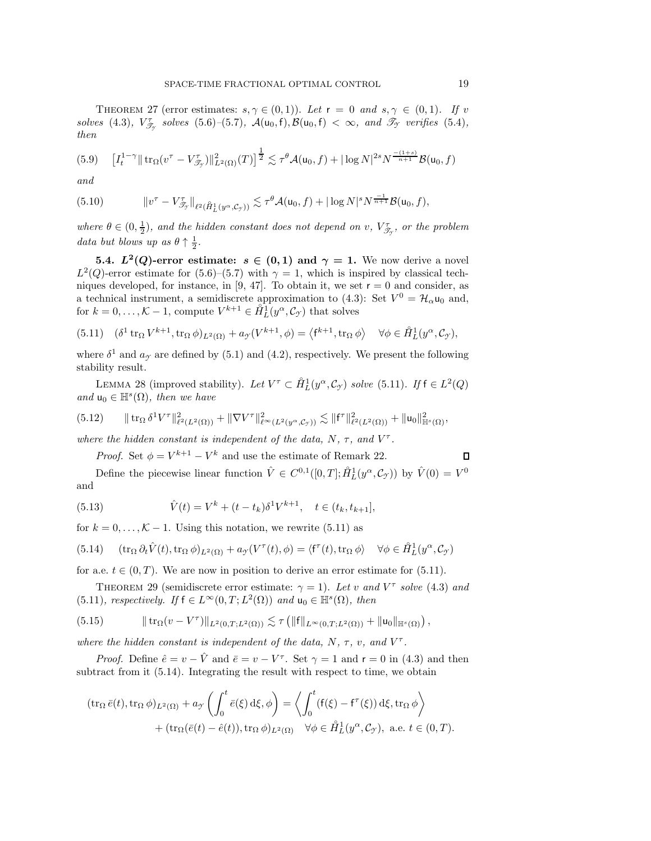THEOREM 27 (error estimates:  $s, \gamma \in (0,1)$ ). Let  $r = 0$  and  $s, \gamma \in (0,1)$ . If v *solves* [\(4.3\)](#page-14-2)*,*  $V_{\mathcal{J}_{\mathcal{J}}}^{\tau}$  *solves* [\(5.6\)](#page-17-1)–[\(5.7\)](#page-17-2)*,*  $\mathcal{A}(u_0, f), \mathcal{B}(u_0, f) < \infty$ *, and*  $\mathcal{J}_{\mathcal{J}}$  *verifies* [\(5.4\)](#page-16-1)*,* then *then*

<span id="page-18-6"></span>
$$
(5.9) \quad \left[I_t^{1-\gamma} \|\operatorname{tr}_{\Omega}(v^{\tau} - V_{\mathscr{T}_{\gamma}}^{\tau})\|_{L^2(\Omega)}^2(T)\right]^{\frac{1}{2}} \lesssim \tau^{\theta} \mathcal{A}(\mathsf{u}_0, f) + |\log N|^{2s} N^{\frac{-(1+s)}{n+1}} \mathcal{B}(\mathsf{u}_0, f)
$$

*and*

<span id="page-18-7"></span>
$$
(5.10) \t\t\t ||v^{\tau} - V_{\mathscr{T}_{\mathcal{I}}}^{\tau}||_{\ell^2(\hat{H}_L^1(y^{\alpha}, \mathcal{C}_{\mathcal{I}}))} \lesssim \tau^{\theta} \mathcal{A}(\mathsf{u}_0, f) + |\log N|^s N^{\frac{-1}{n+1}} \mathcal{B}(\mathsf{u}_0, f),
$$

where  $\theta \in (0, \frac{1}{2})$ , and the hidden constant does not depend on v,  $V_{\mathscr{T}_{\mathscr{T}}}^{\tau}$ , or the problem *data but blows up as*  $\theta \uparrow \frac{1}{2}$ *.* 

<span id="page-18-0"></span>**5.4.**  $L^2(Q)$ -error estimate:  $s \in (0,1)$  and  $\gamma = 1$ . We now derive a novel  $L^2(Q)$ -error estimate for [\(5.6\)](#page-17-1)–[\(5.7\)](#page-17-2) with  $\gamma = 1$ , which is inspired by classical tech-niques developed, for instance, in [\[9,](#page-31-25) [47\]](#page-32-23). To obtain it, we set  $r = 0$  and consider, as a technical instrument, a semidiscrete approximation to [\(4.3\)](#page-14-2): Set  $V^0 = \mathcal{H}_{\alpha} \mathsf{u}_0$  and, for  $k = 0, \ldots, K - 1$ , compute  $V^{k+1} \in \hat{H}_L^1(y^\alpha, \mathcal{C}_\mathcal{I})$  that solves

<span id="page-18-1"></span>(5.11) 
$$
(\delta^1 \operatorname{tr}_\Omega V^{k+1}, \operatorname{tr}_\Omega \phi)_{L^2(\Omega)} + a_{\mathcal{T}}(V^{k+1}, \phi) = \langle f^{k+1}, \operatorname{tr}_\Omega \phi \rangle \quad \forall \phi \in \mathring{H}_L^1(y^\alpha, \mathcal{C}_{\mathcal{T}}),
$$

where  $\delta^1$  and  $a_{\gamma}$  are defined by [\(5.1\)](#page-16-5) and [\(4.2\)](#page-14-6), respectively. We present the following stability result.

LEMMA 28 (improved stability). Let  $V^{\tau} \subset \mathring{H}_L^1(y^{\alpha}, \mathcal{C}_{\gamma})$  solve [\(5.11\)](#page-18-1). If  $f \in L^2(Q)$ <br>us  $\in \mathbb{H}^s(\Omega)$  then we have *and*  $u_0 \in \mathbb{H}^s(\Omega)$ *, then we have* 

$$
(5.12) \qquad \|\operatorname{tr}_{\Omega} \delta^1 V^{\tau}\|_{\ell^2(L^2(\Omega))}^2 + \|\nabla V^{\tau}\|_{\ell^{\infty}(L^2(y^{\alpha}, \mathcal{C}_{\mathcal{F}}))}^2 \lesssim \|f^{\tau}\|_{\ell^2(L^2(\Omega))}^2 + \|u_0\|_{\mathbb{H}^s(\Omega)}^2,
$$

*where the hidden constant is independent of the data,*  $N$ *,*  $\tau$ *, and*  $V^{\tau}$ *.* 

<span id="page-18-3"></span>*Proof.* Set  $\phi = V^{k+1} - V^k$  and use the estimate of Remark [22.](#page-14-3)

Define the piecewise linear function  $\hat{V} \in C^{0,1}([0,T]; \hat{H}_L^1(y^\alpha, \mathcal{C}_{\mathcal{I}}))$  by  $\hat{V}(0) = V^0$ and

(5.13) 
$$
\hat{V}(t) = V^k + (t - t_k)\delta^1 V^{k+1}, \quad t \in (t_k, t_{k+1}],
$$

for  $k = 0, \ldots, \mathcal{K} - 1$ . Using this notation, we rewrite [\(5.11\)](#page-18-1) as

<span id="page-18-2"></span>(5.14) 
$$
(\operatorname{tr}_{\Omega} \partial_t \hat{V}(t), \operatorname{tr}_{\Omega} \phi)_{L^2(\Omega)} + a_{\mathcal{T}}(V^{\tau}(t), \phi) = \langle f^{\tau}(t), \operatorname{tr}_{\Omega} \phi \rangle \quad \forall \phi \in \mathring{H}_L^1(y^{\alpha}, \mathcal{C}_{\mathcal{T}})
$$

<span id="page-18-5"></span>for a.e.  $t \in (0, T)$ . We are now in position to derive an error estimate for [\(5.11\)](#page-18-1).

THEOREM 29 (semidiscrete error estimate:  $\gamma = 1$ ). Let v and  $V^{\tau}$  solve [\(4.3\)](#page-14-2) and [\(5.11\)](#page-18-1)*, respectively.* If  $f \in L^{\infty}(0,T; L^{2}(\Omega))$  *and*  $u_0 \in \mathbb{H}^{s}(\Omega)$ *, then* 

<span id="page-18-4"></span>(5.15) trΩ(v − V <sup>τ</sup> )<sup>L</sup>2(0,T;L2(Ω)) τ f<sup>L</sup>∞(0,T;L2(Ω)) <sup>+</sup> u<sup>0</sup><sup>H</sup>*s*(Ω) ,

*where the hidden constant is independent of the data,*  $N$ *,*  $\tau$ *, v<sub>i</sub>, and*  $V^{\tau}$ *.* 

*Proof.* Define  $\hat{e} = v - \hat{V}$  and  $\bar{e} = v - V^{\tau}$ . Set  $\gamma = 1$  and  $r = 0$  in [\(4.3\)](#page-14-2) and then subtract from it  $(5.14)$ . Integrating the result with respect to time, we obtain

$$
(\operatorname{tr}_{\Omega} \bar{e}(t), \operatorname{tr}_{\Omega} \phi)_{L^2(\Omega)} + a_{\mathcal{Y}} \left( \int_0^t \bar{e}(\xi) \,d\xi, \phi \right) = \left\langle \int_0^t (f(\xi) - f^\tau(\xi)) \,d\xi, \operatorname{tr}_{\Omega} \phi \right\rangle + (\operatorname{tr}_{\Omega} (\bar{e}(t) - \hat{e}(t)), \operatorname{tr}_{\Omega} \phi)_{L^2(\Omega)} \quad \forall \phi \in \hat{H}_L^1(y^\alpha, \mathcal{C}_{\mathcal{Y}}), \text{ a.e. } t \in (0, T).
$$

 $\Box$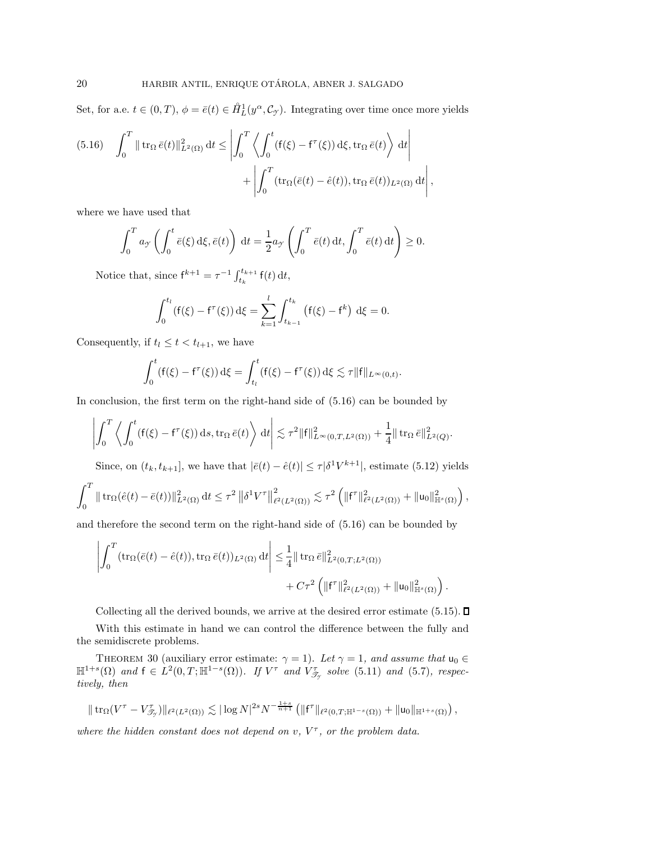Set, for a.e.  $t \in (0,T)$ ,  $\phi = \bar{e}(t) \in \mathring{H}_L^1(y^\alpha, \mathcal{C}_\mathcal{I})$ . Integrating over time once more yields

<span id="page-19-0"></span>(5.16) 
$$
\int_0^T \|\operatorname{tr}_{\Omega} \bar{e}(t)\|_{L^2(\Omega)}^2 dt \le \left| \int_0^T \left\langle \int_0^t (f(\xi) - f^\tau(\xi)) d\xi, \operatorname{tr}_{\Omega} \bar{e}(t) \right\rangle dt \right| + \left| \int_0^T (\operatorname{tr}_{\Omega} (\bar{e}(t) - \hat{e}(t)), \operatorname{tr}_{\Omega} \bar{e}(t))_{L^2(\Omega)} dt \right|,
$$

where we have used that

$$
\int_0^T a_{\mathcal{Y}} \left( \int_0^t \bar{e}(\xi) \,d\xi, \bar{e}(t) \right) dt = \frac{1}{2} a_{\mathcal{Y}} \left( \int_0^T \bar{e}(t) \,dt, \int_0^T \bar{e}(t) \,dt \right) \ge 0.
$$

Notice that, since  $f^{k+1} = \tau^{-1} \int_{t_k}^{t_{k+1}} f(t) dt$ ,

$$
\int_0^{t_l} (f(\xi) - f^{\tau}(\xi)) d\xi = \sum_{k=1}^l \int_{t_{k-1}}^{t_k} (f(\xi) - f^k) d\xi = 0.
$$

Consequently, if  $t_l \leq t < t_{l+1}$ , we have

$$
\int_0^t (f(\xi) - f^{\tau}(\xi)) d\xi = \int_{t_l}^t (f(\xi) - f^{\tau}(\xi)) d\xi \lesssim \tau ||f||_{L^{\infty}(0,t)}.
$$

In conclusion, the first term on the right-hand side of [\(5.16\)](#page-19-0) can be bounded by

$$
\left| \int_0^T \left\langle \int_0^t (f(\xi) - f^\tau(\xi)) ds, \operatorname{tr}_\Omega \bar{e}(t) \right\rangle dt \right| \lesssim \tau^2 \|f\|_{L^\infty(0,T,L^2(\Omega))}^2 + \frac{1}{4} \|\operatorname{tr}_\Omega \bar{e}\|_{L^2(Q)}^2.
$$

Since, on  $(t_k, t_{k+1}]$ , we have that  $|\bar{e}(t) - \hat{e}(t)| \leq \tau |\delta^1 V^{k+1}|$ , estimate [\(5.12\)](#page-18-3) yields

$$
\int_0^T \|\operatorname{tr}_\Omega(\hat{e}(t)-\bar{e}(t))\|_{L^2(\Omega)}^2 \,\mathrm{d} t \leq \tau^2 \left\| \delta^1 V^\tau \right\|_{\ell^2(L^2(\Omega))}^2 \lesssim \tau^2 \left( \| \mathsf{f}^\tau \|_{\ell^2(L^2(\Omega))}^2 + \| \mathsf{u}_0 \|_{\mathbb{H}^s(\Omega)}^2 \right),
$$

and therefore the second term on the right-hand side of [\(5.16\)](#page-19-0) can be bounded by

$$
\left| \int_0^T (\operatorname{tr}_\Omega(\bar{e}(t) - \hat{e}(t)), \operatorname{tr}_\Omega \bar{e}(t))_{L^2(\Omega)} dt \right| \leq \frac{1}{4} ||\operatorname{tr}_\Omega \bar{e}||^2_{L^2(0,T;L^2(\Omega))} + C\tau^2 \left( ||f^{\tau}||^2_{\ell^2(L^2(\Omega))} + ||u_0||^2_{\mathbb{H}^s(\Omega)} \right).
$$

Collecting all the derived bounds, we arrive at the desired error estimate  $(5.15)$ .  $\Box$ 

With this estimate in hand we can control the difference between the fully and the semidiscrete problems.

<span id="page-19-1"></span>THEOREM 30 (auxiliary error estimate:  $\gamma = 1$ ). Let  $\gamma = 1$ , and assume that  $u_0 \in$  $\mathbb{H}^{1+s}(\Omega)$  and  $f \in L^2(0,T;\mathbb{H}^{1-s}(\Omega))$ *. If*  $V^{\tau}$  and  $V^{\tau}_{\mathscr{T}_{\gamma}}$  solve [\(5.11\)](#page-18-1) and [\(5.7\)](#page-17-2)*, respectively then tively, then*

$$
\|\operatorname{tr}_{\Omega}(V^{\tau}-V^{\tau}_{\mathscr{T}_{\mathcal{T}}})\|_{\ell^{2}(L^{2}(\Omega))}\lesssim |\log N|^{2s}N^{-\frac{1+s}{n+1}}\left(\|f^{\tau}\|_{\ell^{2}(0,T;\mathbb{H}^{1-s}(\Omega))}+\|u_{0}\|_{\mathbb{H}^{1+s}(\Omega)}\right),
$$

*where the hidden constant does not depend on*  $v$ ,  $V^{\tau}$ , or the problem data.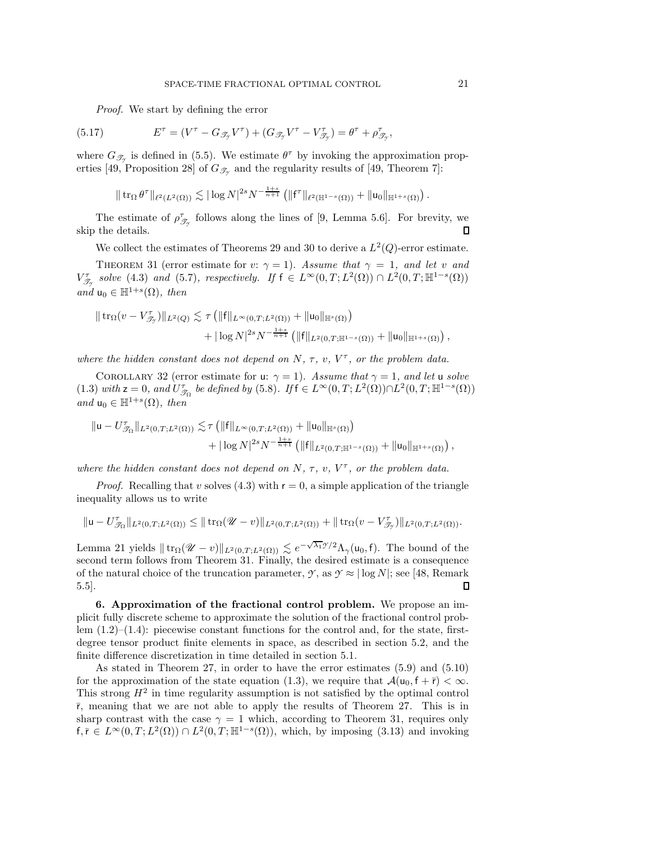*Proof.* We start by defining the error

(5.17) 
$$
E^{\tau} = (V^{\tau} - G_{\mathscr{T}_{\mathcal{Y}}}V^{\tau}) + (G_{\mathscr{T}_{\mathcal{Y}}}V^{\tau} - V_{\mathscr{T}_{\mathcal{Y}}}^{\tau}) = \theta^{\tau} + \rho_{\mathscr{T}_{\mathcal{Y}}}^{\tau},
$$

where  $G_{\mathscr{T}_{Y}}$  is defined in [\(5.5\)](#page-17-3). We estimate  $\theta^{\tau}$  by invoking the approximation prop-erties [\[49,](#page-32-4) Proposition 28] of  $G_{\mathscr{T}_{\gamma}}$  and the regularity results of [49, Theorem 7]:

$$
\|\operatorname{tr}_{\Omega} \theta^{\tau}\|_{\ell^2(L^2(\Omega))} \lesssim |\log N|^{2s} N^{-\frac{1+s}{n+1}} \left( \| {\sf f}^{\tau}\|_{\ell^2(\mathbb{H}^{1-s}(\Omega))} + \| {\sf u}_0 \|_{\mathbb{H}^{1+s}(\Omega)} \right).
$$

The estimate of  $\rho_{\mathscr{T}_{\mathscr{T}}}^{\tau}$  follows along the lines of [\[9,](#page-31-25) Lemma 5.6]. For brevity, we skip the details.

We collect the estimates of Theorems [29](#page-18-5) and [30](#page-19-1) to derive a  $L^2(Q)$ -error estimate.

<span id="page-20-0"></span>THEOREM 31 (error estimate for v:  $\gamma = 1$ ). Assume that  $\gamma = 1$ , and let v and  $V_{\mathcal{F}}^{\tau}$  solve [\(4.3\)](#page-14-2) and [\(5.7\)](#page-17-2)*, respectively.* If  $f \in L^{\infty}(0,T;L^2(\Omega)) \cap L^2(0,T;\mathbb{H}^{1-s}(\Omega))$  $and \, u_0 \in \mathbb{H}^{1+s}(\Omega), \, then$ 

$$
\begin{aligned} \|\operatorname{tr}_\Omega(v - V_{\mathscr{T}_{\mathcal{T}}})\|_{L^2(Q)} &\lesssim \tau \left( \|{\sf f}\|_{L^\infty(0,T;L^2(\Omega))} + \|{\sf u}_0\|_{\mathbb{H}^s(\Omega)} \right) \\ &+ |\log N|^{2s} N^{-\frac{1+s}{n+1}} \left( \|{\sf f}\|_{L^2(0,T;\mathbb{H}^{1-s}(\Omega))} + \|{\sf u}_0\|_{\mathbb{H}^{1+s}(\Omega)} \right), \end{aligned}
$$

<span id="page-20-1"></span>*where the hidden constant does not depend on*  $N, \tau, v, V^{\tau}$ , or the problem data.

COROLLARY 32 (error estimate for u:  $\gamma = 1$ ). *Assume that*  $\gamma = 1$ *, and let* u *solve*  $(1.3)$  *with*  $z = 0$ *, and*  $U_{\mathcal{T}_{\Omega}}^{\tau}$  *be defined by*  $(5.8)$ *. If*  $f \in L^{\infty}(0,T;L^{2}(\Omega)) \cap L^{2}(0,T;\mathbb{H}^{1-s}(\Omega))$ *and*  $u_0 \in \mathbb{H}^{1+s}(\Omega)$ *, then* 

$$
\| \mathbf{u} - U_{\mathscr{T}_{\Omega}}^{\tau} \|_{L^{2}(0,T;L^{2}(\Omega))} \lesssim \tau \left( \| \mathbf{f} \|_{L^{\infty}(0,T;L^{2}(\Omega))} + \| \mathbf{u}_{0} \|_{\mathbb{H}^{s}(\Omega)} \right) + |\log N|^{2s} N^{-\frac{1+s}{n+1}} \left( \| \mathbf{f} \|_{L^{2}(0,T;\mathbb{H}^{1-s}(\Omega))} + \| \mathbf{u}_{0} \|_{\mathbb{H}^{1+s}(\Omega)} \right),
$$

*where the hidden constant does not depend on*  $N$ ,  $\tau$ ,  $v$ ,  $V^{\tau}$ , or the problem data.

*Proof.* Recalling that v solves  $(4.3)$  with  $r = 0$ , a simple application of the triangle inequality allows us to write

$$
\|{\mathbf{u}}-U_{\mathcal{I}_\Omega}^\tau\|_{L^2(0,T;L^2(\Omega))}\leq \|\operatorname{tr}_\Omega(\mathscr{U}-v)\|_{L^2(0,T;L^2(\Omega))}+\|\operatorname{tr}_\Omega(v-V_{\mathcal{I}_\mathcal{I}}^\tau)\|_{L^2(0,T;L^2(\Omega))}.
$$

Lemma [21](#page-14-4) yields  $|| \text{tr}_\Omega(\mathcal{U} - v) ||_{L^2(0,T;L^2(\Omega))} \lesssim e^{-\sqrt{\lambda_1} \mathcal{I}/2} \Lambda_\gamma(\mathsf{u}_0, \mathsf{f}).$  The bound of the second term follows from Theorem 31. Finally, the desired estimate is a consequence second term follows from Theorem [31.](#page-20-0) Finally, the desired estimate is a consequence of the natural choice of the truncation parameter,  $\mathcal{Y}$ , as  $\mathcal{Y} \approx |\log N|$ ; see [\[48,](#page-32-3) Remark 5.5]. П

**6. Approximation of the fractional control problem.** We propose an implicit fully discrete scheme to approximate the solution of the fractional control problem  $(1.2)$ – $(1.4)$ : piecewise constant functions for the control and, for the state, firstdegree tensor product finite elements in space, as described in section [5.2,](#page-16-2) and the finite difference discretization in time detailed in section [5.1.](#page-16-3)

As stated in Theorem [27,](#page-17-5) in order to have the error estimates [\(5.9\)](#page-18-6) and [\(5.10\)](#page-18-7) for the approximation of the state equation [\(1.3\)](#page-0-2), we require that  $\mathcal{A}(u_0, f + \bar{r}) < \infty$ . This strong  $H^2$  in time regularity assumption is not satisfied by the optimal control  $\bar{r}$ , meaning that we are not able to apply the results of Theorem [27.](#page-17-5) This is in sharp contrast with the case  $\gamma = 1$  which, according to Theorem [31,](#page-20-0) requires only  $f, \overline{r} \in L^{\infty}(0,T; L^{2}(\Omega)) \cap L^{2}(0,T; \mathbb{H}^{1-s}(\Omega))$ , which, by imposing [\(3.13\)](#page-11-0) and invoking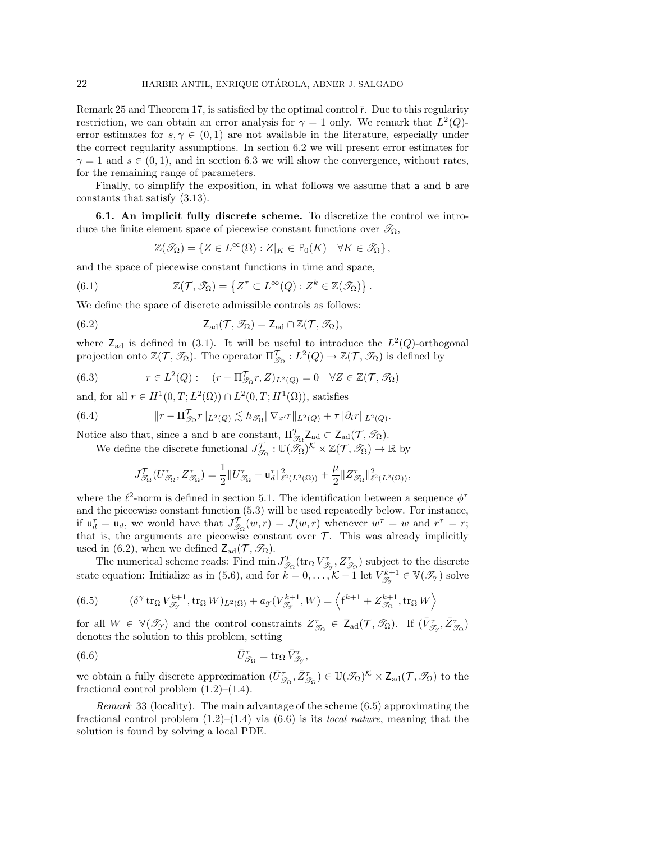Remark [25](#page-15-4) and Theorem [17,](#page-11-9) is satisfied by the optimal control  $\bar{r}$ . Due to this regularity restriction, we can obtain an error analysis for  $\gamma = 1$  only. We remark that  $L^2(Q)$ error estimates for  $s, \gamma \in (0, 1)$  are not available in the literature, especially under the correct regularity assumptions. In section [6.2](#page-22-0) we will present error estimates for  $\gamma = 1$  and  $s \in (0, 1)$ , and in section [6.3](#page-24-0) we will show the convergence, without rates, for the remaining range of parameters.

Finally, to simplify the exposition, in what follows we assume that a and b are constants that satisfy [\(3.13\)](#page-11-0).

<span id="page-21-0"></span>**6.1. An implicit fully discrete scheme.** To discretize the control we introduce the finite element space of piecewise constant functions over  $\mathcal{T}_{\Omega}$ ,

<span id="page-21-1"></span>
$$
\mathbb{Z}(\mathscr{T}_{\Omega}) = \{ Z \in L^{\infty}(\Omega) : Z|_{K} \in \mathbb{P}_{0}(K) \quad \forall K \in \mathscr{T}_{\Omega} \},
$$

and the space of piecewise constant functions in time and space,

(6.1) 
$$
\mathbb{Z}(\mathcal{T},\mathscr{T}_{\Omega})=\left\{Z^{\tau}\subset L^{\infty}(Q):Z^{k}\in\mathbb{Z}(\mathscr{T}_{\Omega})\right\}.
$$

We define the space of discrete admissible controls as follows:

(6.2) 
$$
Z_{\text{ad}}(\mathcal{T}, \mathscr{T}_{\Omega}) = Z_{\text{ad}} \cap \mathbb{Z}(\mathcal{T}, \mathscr{T}_{\Omega}),
$$

where  $Z_{ad}$  is defined in [\(3.1\)](#page-7-5). It will be useful to introduce the  $L^2(Q)$ -orthogonal projection onto  $\mathbb{Z}(\mathcal{T}, \mathscr{T}_{\Omega})$ . The operator  $\Pi_{\mathscr{T}_{\Omega}}^{\mathcal{T}} : L^2(Q) \to \mathbb{Z}(\mathcal{T}, \mathscr{T}_{\Omega})$  is defined by

<span id="page-21-4"></span>(6.3) 
$$
r \in L^2(Q):
$$
  $(r - \Pi_{\mathcal{J}_\Omega}^{\mathcal{T}} r, Z)_{L^2(Q)} = 0 \quad \forall Z \in \mathbb{Z}(\mathcal{T}, \mathcal{J}_\Omega)$ 

and, for all  $r \in H^1(0,T;L^2(\Omega)) \cap L^2(0,T;H^1(\Omega))$ , satisfies

(6.4) 
$$
\|r - \Pi_{\mathcal{T}_{\Omega}}^{\mathcal{T}} r\|_{L^2(Q)} \lesssim h_{\mathcal{T}_{\Omega}} \|\nabla_{x'} r\|_{L^2(Q)} + \tau \|\partial_t r\|_{L^2(Q)}.
$$

Notice also that, since a and b are constant,  $\Pi_{\mathcal{J}_{\Omega}}^{\mathcal{T}} Z_{ad} \subset Z_{ad}(\mathcal{T}, \mathcal{J}_{\Omega})$ .<br>We define the discrete functional  $J_{\mathcal{J}_{\Omega}}^{\mathcal{T}} : \mathbb{U}(\mathcal{J}_{\Omega})^{\mathcal{K}} \times \mathbb{Z}(\mathcal{T}, \mathcal{J}_{\Omega}) \to \mathbb{R}$  by

$$
J^{\mathcal{T}}_{\mathscr{T}_\Omega}(U^{\tau}_{\mathscr{T}_\Omega},Z^{\tau}_{\mathscr{T}_\Omega})=\frac{1}{2}\|U^{\tau}_{\mathscr{T}_\Omega}-\mathbf{u}^{\tau}_{d}\|^2_{\ell^2(L^2(\Omega))}+\frac{\mu}{2}\|Z^{\tau}_{\mathscr{T}_\Omega}\|^2_{\ell^2(L^2(\Omega))},
$$

where the  $\ell^2$ -norm is defined in section [5.1.](#page-16-3) The identification between a sequence  $\phi^{\tau}$ and the piecewise constant function [\(5.3\)](#page-16-6) will be used repeatedly below. For instance, if  $u_d^{\tau} = u_d$ , we would have that  $J_{\mathcal{J}_\Omega}^{\tau}(w, r) = J(w, r)$  whenever  $w^{\tau} = w$  and  $r^{\tau} = r$ ;<br>that is the arguments are piecewise constant over  $\mathcal{T}$ . This was already implicitly that is, the arguments are piecewise constant over  $\mathcal T$ . This was already implicitly used in [\(6.2\)](#page-21-1), when we defined  $Z_{ad}(\mathcal{T}, \mathscr{T}_{\Omega})$ .

The numerical scheme reads: Find  $\min J_{\mathcal{T}_\Omega}^{\mathcal{T}}(\text{tr}_\Omega V_{\mathcal{T}_\mathcal{T}}^{\tau}, Z_{\mathcal{T}_\Omega}^{\tau})$  subject to the discrete state equation: Initialize as in [\(5.6\)](#page-17-1), and for  $k = 0, ..., K-1$  let  $V^{k+1}_{\mathscr{T}_{\mathcal{T}}} \in V(\mathscr{T}_{\mathcal{T}})$  solve

<span id="page-21-2"></span>(6.5) 
$$
(\delta^{\gamma} \operatorname{tr}_{\Omega} V_{\mathcal{T}_{\gamma}}^{k+1}, \operatorname{tr}_{\Omega} W)_{L^{2}(\Omega)} + a_{\gamma}(V_{\mathcal{T}_{\gamma}}^{k+1}, W) = \left\langle f^{k+1} + Z_{\mathcal{T}_{\Omega}}^{k+1}, \operatorname{tr}_{\Omega} W \right\rangle
$$

for all  $W \in \mathbb{V}(\mathcal{I}_{\mathcal{I}})$  and the control constraints  $Z_{\mathcal{I}_{\Omega}}^{\tau} \in \mathsf{Z}_{ad}(\mathcal{T}, \mathcal{I}_{\Omega})$ . If  $(\bar{V}_{\mathcal{I}_{\mathcal{I}}}^{\tau}, \bar{Z}_{\mathcal{I}_{\Omega}}^{\tau})$  denotes the solution to this problem, setting denotes the solution to this problem, setting

<span id="page-21-3"></span>(6.6) 
$$
\bar{U}_{\mathcal{T}_{\Omega}}^{\tau} = \text{tr}_{\Omega} \,\bar{V}_{\mathcal{T}_{\mathcal{T}}}^{\tau},
$$

we obtain a fully discrete approximation  $(\bar{U}_{\mathcal{T}_{\Omega}}^{\tau}, \bar{Z}_{\mathcal{T}_{\Omega}}^{\tau}) \in \mathbb{U}(\mathcal{R}_{\Omega})^{\mathcal{K}} \times \mathbb{Z}_{ad}(\mathcal{T}, \mathcal{R}_{\Omega})$  to the fractional control problem  $(1, 2)$ – $(1, 4)$ fractional control problem  $(1.2)$ – $(1.4)$ .

*Remark* 33 (locality). The main advantage of the scheme [\(6.5\)](#page-21-2) approximating the fractional control problem [\(1.2\)](#page-0-0)–[\(1.4\)](#page-0-1) via [\(6.6\)](#page-21-3) is its *local nature*, meaning that the solution is found by solving a local PDE.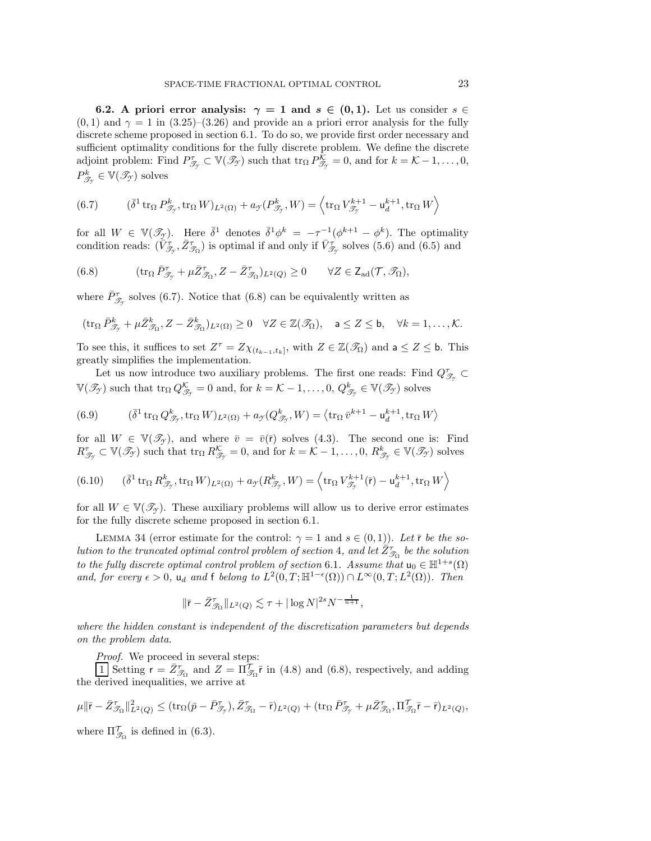<span id="page-22-0"></span>**6.2.** A priori error analysis:  $\gamma = 1$  and  $s \in (0,1)$ . Let us consider  $s \in \mathbb{R}$  $(0, 1)$  and  $\gamma = 1$  in  $(3.25)-(3.26)$  $(3.25)-(3.26)$  $(3.25)-(3.26)$  and provide an a priori error analysis for the fully discrete scheme proposed in section [6.1.](#page-21-0) To do so, we provide first order necessary and sufficient optimality conditions for the fully discrete problem. We define the discrete adjoint problem: Find  $P_{\mathcal{T}_{\gamma}}^{\tau} \subset \mathbb{V}(\mathcal{I}_{\gamma})$  such that  $\text{tr}_{\Omega} P_{\mathcal{T}_{\gamma}}^{\tilde{\mathcal{K}}} = 0$ , and for  $k = \mathcal{K} - 1, \ldots, 0$ ,  $P_{\mathcal{T}_{\gamma}}^{k} \in \mathbb{V}(\mathcal{T}_{\gamma})$  solves

<span id="page-22-1"></span>(6.7) 
$$
(\bar{\delta}^1 \operatorname{tr}_{\Omega} P^k_{\mathcal{T}_y}, \operatorname{tr}_{\Omega} W)_{L^2(\Omega)} + a_{\mathcal{T}}(P^k_{\mathcal{T}_y}, W) = \left\langle \operatorname{tr}_{\Omega} V^{k+1}_{\mathcal{T}_y} - \mathsf{u}_d^{k+1}, \operatorname{tr}_{\Omega} W \right\rangle
$$

for all  $W \in \mathbb{V}(\mathcal{I}_{\mathcal{Y}})$ . Here  $\bar{\delta}^1$  denotes  $\bar{\delta}^1 \phi^k = -\tau^{-1}(\phi^{k+1} - \phi^k)$ . The optimality condition reads:  $(\tilde{V}_{\mathcal{T}_{\gamma}}, \bar{Z}_{\mathcal{T}_{\Omega}}^{\tau})$  is optimal if and only if  $\tilde{V}_{\mathcal{T}_{\gamma}}^{\tau}$  solves [\(5.6\)](#page-17-1) and [\(6.5\)](#page-21-2) and

<span id="page-22-2"></span>(6.8) 
$$
(\operatorname{tr}_{\Omega} \bar{P}_{\mathcal{T}_y}^{\tau} + \mu \bar{Z}_{\mathcal{T}_{\Omega}}^{\tau}, Z - \bar{Z}_{\mathcal{T}_{\Omega}}^{\tau})_{L^2(Q)} \geq 0 \qquad \forall Z \in \mathsf{Z}_{ad}(\mathcal{T}, \mathcal{T}_{\Omega}),
$$

where  $\bar{P}^{\tau}_{\mathscr{T}_{\gamma}}$  solves [\(6.7\)](#page-22-1). Notice that [\(6.8\)](#page-22-2) can be equivalently written as

$$
(\operatorname{tr}_{\Omega} \bar{P}_{\mathscr{T}_{\mathcal{T}}}^{k} + \mu \bar{Z}_{\mathscr{T}_{\Omega}}^{k}, Z - \bar{Z}_{\mathscr{T}_{\Omega}}^{k})_{L^{2}(\Omega)} \geq 0 \quad \forall Z \in \mathbb{Z}(\mathscr{T}_{\Omega}), \quad \mathsf{a} \leq Z \leq \mathsf{b}, \quad \forall k = 1, \ldots, \mathcal{K}.
$$

To see this, it suffices to set  $Z^{\tau} = Z \chi_{(t_{k-1},t_k]}$ , with  $Z \in \mathbb{Z}(\mathscr{T}_{\Omega})$  and  $a \leq Z \leq b$ . This greatly simplifies the implementation.

Let us now introduce two auxiliary problems. The first one reads: Find  $Q_{\mathcal{I}_{\gamma}}^{\tau} \subset$  $\mathbb{V}(\mathscr{T}_{\mathcal{T}})$  such that  $\text{tr}_{\Omega} Q_{\mathscr{T}_{\mathcal{T}}}^{\mathcal{K}} = 0$  and, for  $k = \mathcal{K} - 1, \ldots, 0, Q_{\mathscr{T}_{\mathcal{T}}}^k \in \mathbb{V}(\mathscr{T}_{\mathcal{T}})$  solves

<span id="page-22-3"></span>(6.9) 
$$
(\bar{\delta}^1 \operatorname{tr}_{\Omega} Q^k_{\mathscr{T}_{\mathcal{T}}}, \operatorname{tr}_{\Omega} W)_{L^2(\Omega)} + a_{\mathscr{T}} (Q^k_{\mathscr{T}_{\mathcal{T}}}, W) = \left\langle \operatorname{tr}_{\Omega} \bar{v}^{k+1} - \mathsf{u}_d^{k+1}, \operatorname{tr}_{\Omega} W \right\rangle
$$

for all  $W \in \mathbb{V}(\mathcal{I}_\gamma)$ , and where  $\bar{v} = \bar{v}(\bar{r})$  solves [\(4.3\)](#page-14-2). The second one is: Find  $R^{\tau}_{\mathscr{T}_{\gamma}} \subset \mathbb{V}(\mathscr{T}_{\gamma})$  such that  $\text{tr}_{\Omega} R^{\mathcal{K}}_{\mathscr{T}_{\gamma}} = 0$ , and for  $k = \mathcal{K} - 1, \ldots, 0$ ,  $R^{k}_{\mathscr{T}_{\gamma}} \in \mathbb{V}(\mathscr{T}_{\gamma})$  solves

<span id="page-22-4"></span>(6.10) 
$$
(\bar{\delta}^1 \operatorname{tr}_\Omega R^k_{\mathscr{T}_{\mathcal{T}}}, \operatorname{tr}_\Omega W)_{L^2(\Omega)} + a_{\mathcal{T}}(R^k_{\mathscr{T}_{\mathcal{T}}}, W) = \left\langle \operatorname{tr}_\Omega V^{k+1}_{\mathscr{T}_{\mathcal{T}}}(\bar{\mathsf{r}}) - \mathsf{u}_d^{k+1}, \operatorname{tr}_\Omega W \right\rangle
$$

<span id="page-22-5"></span>for all  $W \in V(\mathscr{T}_{\mathscr{I}})$ . These auxiliary problems will allow us to derive error estimates for the fully discrete scheme proposed in section [6.1.](#page-21-0)

LEMMA 34 (error estimate for the control:  $\gamma = 1$  and  $s \in (0, 1)$ ). Let  $\bar{r}$  be the so*lution to the truncated optimal control problem of section* [4](#page-14-0), and let  $\tilde{Z}^{\tau}_{\mathcal{F}_{\Omega}}$  be the solution *to the fully discrete optimal control problem of section* [6.1](#page-21-0)*.* Assume that  $u_0 \in \mathbb{H}^{1+s}(\Omega)$ *and, for every*  $\epsilon > 0$ ,  $u_d$  *and* f *belong to*  $L^2(0,T;\mathbb{H}^{1-\epsilon}(\Omega)) \cap L^{\infty}(0,T;L^2(\Omega))$ *. Then* 

$$
\|\bar{r}-\bar{Z}_{\mathcal{T}_{\Omega}}^{\tau}\|_{L^{2}(Q)} \lesssim \tau + |\log N|^{2s} N^{-\frac{1}{n+1}},
$$

*where the hidden constant is independent of the discretization parameters but depends on the problem data.*

*Proof.* We proceed in several steps:

**1** Setting  $\mathbf{r} = \bar{Z}^T_{\mathcal{I}_{\Omega}}$  and  $Z = \Pi \bar{\mathcal{I}}_{\Omega} \bar{\mathbf{r}}$  in [\(4.8\)](#page-15-1) and [\(6.8\)](#page-22-2), respectively, and adding legiting inequalities we arrive at the derived inequalities, we arrive at

$$
\mu \|\bar{\mathbf{r}}-\bar{Z}_{\mathcal{J}_{\Omega}}^{\tau}\|_{L^2(Q)}^2 \leq (\mathrm{tr}_\Omega(\bar{p}-\bar{P}_{\mathcal{J}_{\mathcal{T}}}^{\tau}), \bar{Z}_{\mathcal{J}_{\Omega}}^{\tau}-\bar{\mathbf{r}})_{L^2(Q)} + (\mathrm{tr}_\Omega\,\bar{P}_{\mathcal{J}_{\mathcal{T}}}^{\tau}+\mu\bar{Z}_{\mathcal{J}_{\Omega}}^{\tau}, \Pi_{\mathcal{J}_{\Omega}}^{\mathcal{T}}\bar{\mathbf{r}}-\bar{\mathbf{r}})_{L^2(Q)},
$$

where  $\Pi_{\mathscr{T}_{\Omega}}^{\prime}$  is defined in [\(6.3\)](#page-21-4).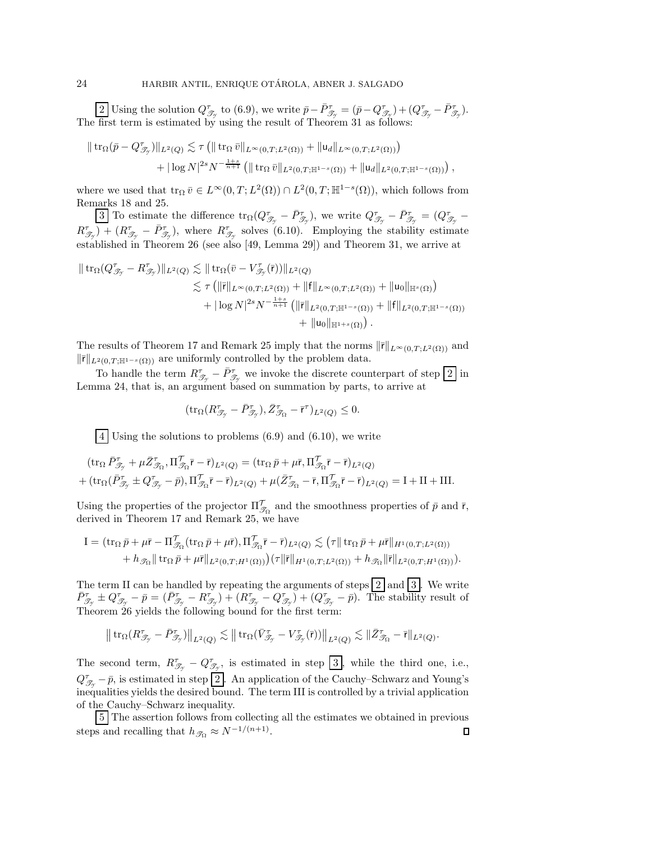Using the solution  $Q_{\mathcal{I}_{\mathcal{I}}}^{\tau}$  to [\(6.9\)](#page-22-3), we write  $\bar{p} - \bar{P}_{\mathcal{I}_{\mathcal{I}}}^{\tau} = (\bar{p} - Q_{\mathcal{I}_{\mathcal{I}}}^{\tau}) + (Q_{\mathcal{I}_{\mathcal{I}}}^{\tau} - \bar{P}_{\mathcal{I}_{\mathcal{I}}}^{\tau})$ . The first term is estimated by using the result of Theorem [31](#page-20-0) as follows:

$$
\| \operatorname{tr}_{\Omega} (\bar{p} - Q_{\mathcal{T}_{\gamma}}^{\tau}) \|_{L^{2}(Q)} \lesssim \tau \left( \| \operatorname{tr}_{\Omega} \bar{v} \|_{L^{\infty}(0,T;L^{2}(\Omega))} + \| u_{d} \|_{L^{\infty}(0,T;L^{2}(\Omega))} \right) + |\log N|^{2s} N^{-\frac{1+s}{n+1}} \left( \| \operatorname{tr}_{\Omega} \bar{v} \|_{L^{2}(0,T;\mathbb{H}^{1-s}(\Omega))} + \| u_{d} \|_{L^{2}(0,T;\mathbb{H}^{1-s}(\Omega))} \right),
$$

where we used that  $\text{tr}_{\Omega} \overline{v} \in L^{\infty}(0,T;L^2(\Omega)) \cap L^2(0,T;\mathbb{H}^{1-s}(\Omega))$ , which follows from Remarks [18](#page-13-3) and [25.](#page-15-4)

3 To estimate the difference  $\text{tr}_{\Omega}(Q^{\tau}_{\mathscr{T}_{\mathscr{T}}}-\bar{P}^{\tau}_{\mathscr{T}_{\mathscr{T}}})$ , we write  $Q^{\tau}_{\mathscr{T}_{\mathscr{T}}}-\bar{P}^{\tau}_{\mathscr{T}_{\mathscr{T}}}= (Q^{\tau}_{\mathscr{T}_{\mathscr{T}}} R_{\mathcal{J}_{\mathcal{I}}}^{\tau}$  +  $(R_{\mathcal{J}_{\mathcal{I}}}^{\tau} - \bar{P}_{\mathcal{J}_{\mathcal{I}}}^{\tau})$ , where  $R_{\mathcal{J}_{\mathcal{I}}}^{\tau}$  solves [\(6.10\)](#page-22-4). Employing the stability estimate established in Theorem [26](#page-17-6) (see also [\[49,](#page-32-4) Lemma 29]) and Theorem [31,](#page-20-0) we arrive at

$$
\| \operatorname{tr}_{\Omega}(Q^{\tau}_{\mathscr{D}_{\mathcal{T}}}-R^{\tau}_{\mathscr{D}_{\mathcal{T}}})\|_{L^{2}(Q)} \lesssim \| \operatorname{tr}_{\Omega}(\bar{v}-V^{\tau}_{\mathscr{D}_{\mathcal{T}}}(\bar{r}))\|_{L^{2}(Q)} \n\lesssim \tau \left( \|\bar{r}\|_{L^{\infty}(0,T;L^{2}(\Omega))} + \|f\|_{L^{\infty}(0,T;L^{2}(\Omega))} + \|u_{0}\|_{\mathbb{H}^{s}(\Omega)} \right) \n+ |\log N|^{2s} N^{-\frac{1+s}{n+1}} \left( \|\bar{r}\|_{L^{2}(0,T;\mathbb{H}^{1-s}(\Omega))} + \|f\|_{L^{2}(0,T;\mathbb{H}^{1-s}(\Omega))} \right. \n+ \|u_{0}\|_{\mathbb{H}^{1+s}(\Omega)} .
$$

The results of Theorem [17](#page-11-9) and Remark [25](#page-15-4) imply that the norms  $\|\bar{r}\|_{L^{\infty}(0,T;L^{2}(\Omega))}$  and  $\|\bar{r}\|_{L^2(0,T;\mathbb{H}^{1-s}(\Omega))}$  are uniformly controlled by the problem data.

To handle the term  $R^{\tau}_{\mathscr{T}_{\mathscr{T}}} - \bar{P}^{\tau}_{\mathscr{T}_{\mathscr{T}}}$  we invoke the discrete counterpart of step  $\boxed{2}$  in Lemma [24,](#page-15-5) that is, an argument based on summation by parts, to arrive at

$$
(\text{tr}_\Omega (R^\tau_{\mathscr{T}_{\mathscr{T}}} - \bar{P}^\tau_{\mathscr{T}_{\mathscr{T}}}), \bar{Z}^\tau_{\mathscr{T}_{\Omega}} - \bar{r}^\tau)_{L^2(Q)} \leq 0.
$$

4 Using the solutions to problems [\(6.9\)](#page-22-3) and [\(6.10\)](#page-22-4), we write

$$
(\operatorname{tr}_{\Omega} \bar{P}_{\mathcal{J}_{\mathcal{T}}}^{\tau} + \mu \bar{Z}_{\mathcal{J}_{\Omega}}, \Pi_{\mathcal{J}_{\Omega}}^{\tau} \bar{r} - \bar{r})_{L^{2}(Q)} = (\operatorname{tr}_{\Omega} \bar{p} + \mu \bar{r}, \Pi_{\mathcal{J}_{\Omega}}^{\tau} \bar{r} - \bar{r})_{L^{2}(Q)} + (\operatorname{tr}_{\Omega} (\bar{P}_{\mathcal{J}_{\mathcal{T}}}^{\tau} \pm Q_{\mathcal{J}_{\mathcal{T}}}^{\tau} - \bar{p}), \Pi_{\mathcal{J}_{\Omega}}^{\tau} \bar{r} - \bar{r})_{L^{2}(Q)} + \mu (\bar{Z}_{\mathcal{J}_{\Omega}}^{\tau} - \bar{r}, \Pi_{\mathcal{J}_{\Omega}}^{\tau} \bar{r} - \bar{r})_{L^{2}(Q)} = \mathbf{I} + \mathbf{II} + \mathbf{III}.
$$

Using the properties of the projector  $\Pi_{\mathcal{T}_\Omega}^{\prime}$  and the smoothness properties of  $\bar{p}$  and  $\bar{r}$ , derived in Theorem 17 and Bemark 25, we have derived in Theorem [17](#page-11-9) and Remark [25,](#page-15-4) we have

$$
I = (\operatorname{tr}_{\Omega} \bar{p} + \mu \bar{r} - \Pi_{\mathcal{T}_{\Omega}}^T (\operatorname{tr}_{\Omega} \bar{p} + \mu \bar{r}), \Pi_{\mathcal{T}_{\Omega}}^T \bar{r} - \bar{r})_{L^2(Q)} \lesssim (\tau || \operatorname{tr}_{\Omega} \bar{p} + \mu \bar{r} ||_{H^1(0,T;L^2(\Omega))} + h_{\mathcal{T}_{\Omega}} || \operatorname{tr}_{\Omega} \bar{p} + \mu \bar{r} ||_{L^2(0,T;H^1(\Omega))})(\tau || \bar{r} ||_{H^1(0,T;L^2(\Omega))} + h_{\mathcal{T}_{\Omega}} || \bar{r} ||_{L^2(0,T;H^1(\Omega))}).
$$

The term II can be handled by repeating the arguments of steps  $\boxed{2}$  and  $\boxed{3}$ . We write  $\bar{P}_{\mathcal{T}_{\gamma}}^{\tau} \pm Q_{\mathcal{T}_{\gamma}}^{\tau} - \bar{p} = (\bar{P}_{\mathcal{T}_{\gamma}}^{\tau} - R_{\mathcal{T}_{\gamma}}^{\tau}) + (R_{\mathcal{T}_{\gamma}}^{\tau} - Q_{\mathcal{T}_{\gamma}}^{\tau}) + (Q_{\mathcal{T}_{\gamma}}^{\tau} - \bar{p}).$  The stability result of Theorem [26](#page-17-6) yields the following bound for the first term:

$$
\big\|\operatorname{tr}_\Omega (R^\tau_{\mathscr{T}_{\mathscr{T}}}-\bar{P}^\tau_{\mathscr{T}_{\mathscr{T}}})\big\|_{L^2(Q)}\lesssim \big\|\operatorname{tr}_\Omega (\bar{V}^\tau_{\mathscr{T}_{\mathscr{T}}}-V^\tau_{\mathscr{T}_{\mathscr{T}}}(\bar{\mathsf{r}}))\big\|_{L^2(Q)}\lesssim \|\bar{Z}^\tau_{\mathscr{T}_\Omega}-\bar{\mathsf{r}}\|_{L^2(Q)}.
$$

The second term,  $R^{\tau}_{\mathscr{T}_{\mathscr{T}}} - Q^{\tau}_{\mathscr{T}_{\mathscr{T}}}$ , is estimated in step  $\boxed{3}$ , while the third one, i.e.,  $Q^{\tau}_{\mathscr{T}_{\mathcal{T}}} - \bar{p}$ , is estimated in step 2. An application of the Cauchy–Schwarz and Young's inequalities yields the desired bound. The term III is controlled by a trivial application of the Cauchy–Schwarz inequality.

5 The assertion follows from collecting all the estimates we obtained in previous steps and recalling that  $h_{\mathscr{T}_{\Omega}} \approx N^{-1/(n+1)}$ .  $\Box$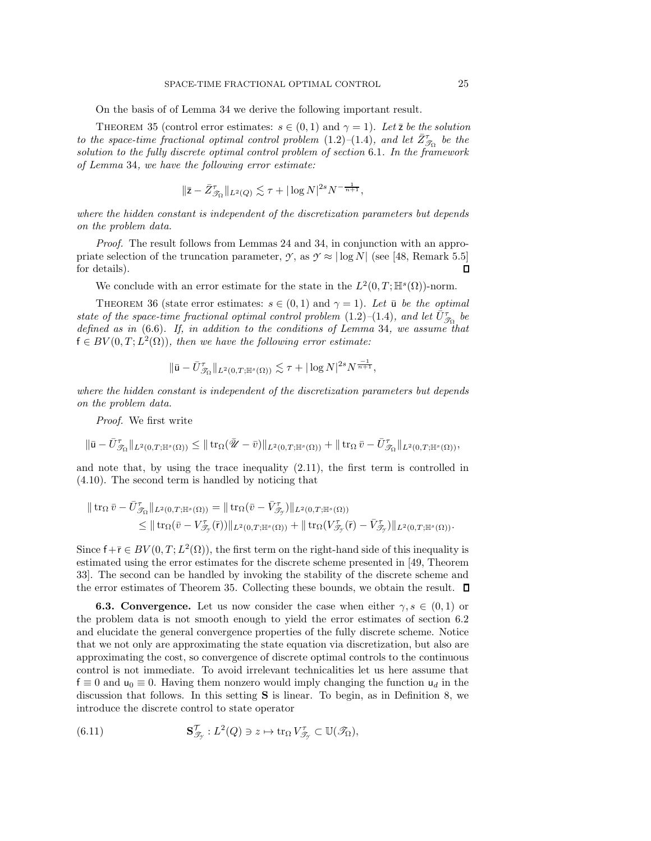On the basis of of Lemma [34](#page-22-5) we derive the following important result.

<span id="page-24-1"></span>THEOREM 35 (control error estimates:  $s \in (0,1)$  and  $\gamma = 1$ ). Let  $\bar{z}$  be the solution *to the space-time fractional optimal control problem*  $(1.2)$   $-(1.4)$  $-(1.4)$ *, and let*  $\bar{Z}^{\tau}_{\mathcal{S}_{\Omega}}$  *be the solution to the fully discrete optimal control problem of section* [6.1](#page-21-0)*. In the framework of Lemma* [34](#page-22-5)*, we have the following error estimate:*

$$
\|\bar{\mathbf{z}} - \bar{Z}_{\mathcal{T}_{\Omega}}^{\tau}\|_{L^2(Q)} \lesssim \tau + |\log N|^{2s} N^{-\frac{1}{n+1}},
$$

*where the hidden constant is independent of the discretization parameters but depends on the problem data.*

*Proof.* The result follows from Lemmas [24](#page-15-5) and [34,](#page-22-5) in conjunction with an appropriate selection of the truncation parameter, *y*, as  $\gamma \approx |\log N|$  (see [\[48,](#page-32-3) Remark 5.5] for details).  $\Box$ 

We conclude with an error estimate for the state in the  $L^2(0,T;\mathbb{H}^s(\Omega))$ -norm.

THEOREM 36 (state error estimates:  $s \in (0,1)$  and  $\gamma = 1$ ). Let  $\bar{u}$  be the optimal *state of the space-time fractional optimal control problem*  $(1.2)$ – $(1.4)$ *, and let*  $\overline{U}_{\mathcal{T}_{\Omega}}^{\tau}$  be *defined as in* [\(6.6\)](#page-21-3)*. If, in addition to the conditions of Lemma* [34](#page-22-5)*, we assume that*  $f \in BV(0,T;L^2(\Omega))$ , then we have the following error estimate:

$$
\|\bar{u} - \bar{U}_{\mathcal{T}_{\Omega}}^{\tau}\|_{L^{2}(0,T; \mathbb{H}^{s}(\Omega))} \lesssim \tau + |\log N|^{2s} N^{\frac{-1}{n+1}},
$$

*where the hidden constant is independent of the discretization parameters but depends on the problem data.*

*Proof.* We first write

$$
\|\bar{\mathbf{u}}-\bar{U}^{\tau}_{\mathscr{T}_{\Omega}}\|_{L^2(0,T;\mathbb{H}^s(\Omega))}\leq \|\operatorname{tr}_{\Omega}(\bar{\mathscr{U}}-\bar{v})\|_{L^2(0,T;\mathbb{H}^s(\Omega))}+\|\operatorname{tr}_{\Omega}\bar{v}-\bar{U}^{\tau}_{\mathscr{T}_{\Omega}}\|_{L^2(0,T;\mathbb{H}^s(\Omega))},
$$

and note that, by using the trace inequality [\(2.11\)](#page-6-8), the first term is controlled in [\(4.10\)](#page-15-3). The second term is handled by noticing that

$$
\| \operatorname{tr}_{\Omega} \overline{v} - \overline{U}_{\mathcal{T}_{\Omega}}^{\tau} \|_{L^{2}(0,T; \mathbb{H}^{s}(\Omega))} = \| \operatorname{tr}_{\Omega} (\overline{v} - \overline{V}_{\mathcal{T}_{\mathcal{T}}}^{\tau}) \|_{L^{2}(0,T; \mathbb{H}^{s}(\Omega))}
$$
  
\$\leq\$ 
$$
\| \operatorname{tr}_{\Omega} (\overline{v} - V_{\mathcal{T}_{\mathcal{T}}}^{\tau}(\overline{r})) \|_{L^{2}(0,T; \mathbb{H}^{s}(\Omega))} + \| \operatorname{tr}_{\Omega} (V_{\mathcal{T}_{\mathcal{T}}}^{\tau}(\overline{r}) - \overline{V}_{\mathcal{T}_{\mathcal{T}}}^{\tau}) \|_{L^{2}(0,T; \mathbb{H}^{s}(\Omega))}.
$$

Since  $f + \overline{r} \in BV(0, T; L^2(\Omega))$ , the first term on the right-hand side of this inequality is estimated using the error estimates for the discrete scheme presented in [\[49,](#page-32-4) Theorem 33]. The second can be handled by invoking the stability of the discrete scheme and the error estimates of Theorem [35.](#page-24-1) Collecting these bounds, we obtain the result.

<span id="page-24-0"></span>**6.3. Convergence.** Let us now consider the case when either  $\gamma, s \in (0,1)$  or the problem data is not smooth enough to yield the error estimates of section [6.2](#page-22-0) and elucidate the general convergence properties of the fully discrete scheme. Notice that we not only are approximating the state equation via discretization, but also are approximating the cost, so convergence of discrete optimal controls to the continuous control is not immediate. To avoid irrelevant technicalities let us here assume that  $f \equiv 0$  and  $u_0 \equiv 0$ . Having them nonzero would imply changing the function  $u_d$  in the discussion that follows. In this setting **S** is linear. To begin, as in Definition [8,](#page-7-6) we introduce the discrete control to state operator

(6.11) 
$$
\mathbf{S}_{\mathcal{J}_{\mathcal{I}}}^{\mathcal{T}}: L^{2}(Q) \ni z \mapsto \operatorname{tr}_{\Omega} V_{\mathcal{J}_{\mathcal{I}}}^{\mathcal{T}} \subset \mathbb{U}(\mathcal{J}_{\Omega}),
$$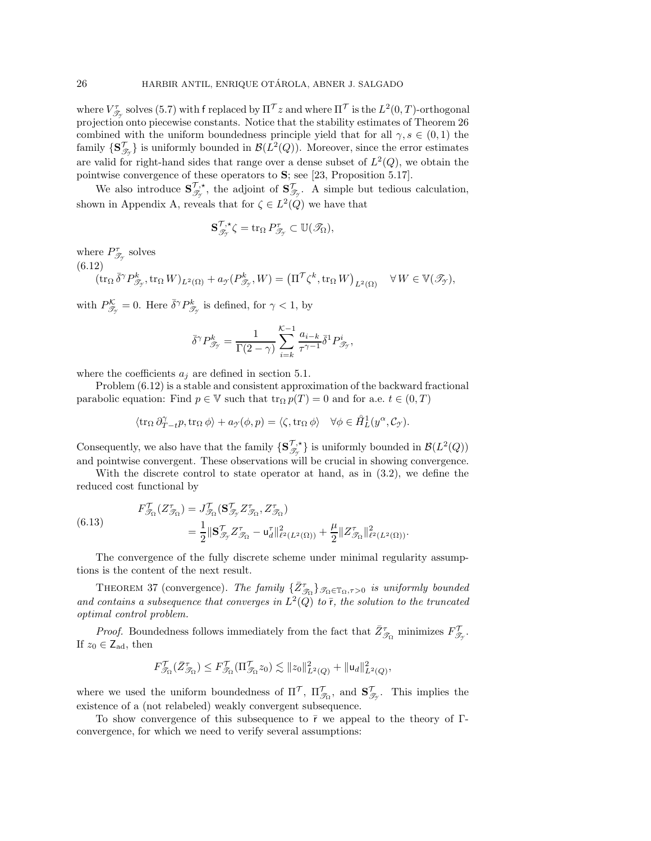where  $V_{\mathcal{T}_{\mathcal{P}}}^{\tau}$  solves [\(5.7\)](#page-17-2) with f replaced by  $\Pi^{\mathcal{T}} z$  and where  $\Pi^{\mathcal{T}}$  is the  $L^2(0,T)$ -orthogonal<br>projection onto piecewise constants. Notice that the stability estimates of Theorem 26 projection onto piecewise constants. Notice that the stability estimates of Theorem [26](#page-17-6) combined with the uniform boundedness principle yield that for all  $\gamma, s \in (0,1)$  the family  $\{S^{\mathcal{T}}_{\mathcal{T}_{\mathcal{T}}}\}$  is uniformly bounded in  $\mathcal{B}(L^2(Q))$ . Moreover, since the error estimates are valid for right-hand sides that range over a dense subset of  $L^2(Q)$ , we obtain the pointwise convergence of these operators to **S**; see [\[23,](#page-31-26) Proposition 5.17].

We also introduce  $\mathbf{S}_{\mathcal{I}_{\mathcal{I}}}^{\mathcal{T},\star}$ , the adjoint of  $\mathbf{S}_{\mathcal{I}_{\mathcal{I}}}^{\mathcal{T}}$ . A simple but tedious calculation, shown in Appendix [A,](#page-27-0) reveals that for  $\zeta \in L^2(Q)$  we have that

$$
\mathbf{S}^{\mathcal{T},\star}_{\mathscr{T}_{\mathcal{T}}} \zeta = \operatorname{tr}_\Omega P^\tau_{\mathscr{T}_{\mathcal{T}}} \subset \mathbb{U}(\mathscr{T}_\Omega),
$$

where  $P^{\tau}_{\mathscr{T}_{\mathscr{T}}}$  solves

<span id="page-25-0"></span>
$$
(6.12)
$$
  
\n
$$
(\operatorname{tr}_{\Omega} \bar{\delta}^{\gamma} P^k_{\mathcal{J}_{\gamma}}, \operatorname{tr}_{\Omega} W)_{L^2(\Omega)} + a_{\gamma}(P^k_{\mathcal{J}_{\gamma}}, W) = (\Pi^{\mathcal{T}} \zeta^k, \operatorname{tr}_{\Omega} W)_{L^2(\Omega)} \quad \forall W \in \mathbb{V}(\mathcal{J}_{\gamma}),
$$

with  $P^{\mathcal{K}}_{\mathcal{F}_{\mathcal{T}}} = 0$ . Here  $\bar{\delta}^{\gamma} P^k_{\mathcal{F}_{\mathcal{T}}}$  is defined, for  $\gamma < 1$ , by

$$
\bar{\delta}^{\gamma}P_{\mathscr{T}_{\gamma}}^{k}=\frac{1}{\Gamma(2-\gamma)}\sum_{i=k}^{\mathcal{K}-1}\frac{a_{i-k}}{\tau^{\gamma-1}}\bar{\delta}^{1}P_{\mathscr{T}_{\gamma}}^{i},
$$

where the coefficients  $a_j$  are defined in section [5.1.](#page-16-3)

Problem [\(6.12\)](#page-25-0) is a stable and consistent approximation of the backward fractional parabolic equation: Find  $p \in V$  such that  $\text{tr}_{\Omega} p(T) = 0$  and for a.e.  $t \in (0, T)$ 

$$
\langle \operatorname{tr}_{\Omega} \partial_{T-t}^{\gamma} p, \operatorname{tr}_{\Omega} \phi \rangle + a_{\gamma}(\phi, p) = \langle \zeta, \operatorname{tr}_{\Omega} \phi \rangle \quad \forall \phi \in \mathring{H}_L^1(y^{\alpha}, \mathcal{C}_{\gamma}).
$$

Consequently, we also have that the family  $\{S^{\mathcal{T},\star}_{\mathcal{T}_{\mathcal{T}}} \}$  is uniformly bounded in  $\mathcal{B}(L^2(Q))$ and pointwise convergent. These observations will be crucial in showing convergence.

With the discrete control to state operator at hand, as in [\(3.2\)](#page-8-3), we define the reduced cost functional by

(6.13) 
$$
F_{\mathcal{I}_{\Omega}}^{\mathcal{T}}(Z_{\mathcal{I}_{\Omega}}^{\tau}) = J_{\mathcal{I}_{\Omega}}^{\mathcal{T}}(\mathbf{S}_{\mathcal{I}_{\mathcal{T}}}^{\mathcal{T}}Z_{\mathcal{I}_{\Omega}}^{\tau}, Z_{\mathcal{I}_{\Omega}}^{\tau})
$$

$$
= \frac{1}{2} ||\mathbf{S}_{\mathcal{I}_{\mathcal{T}}}^{\mathcal{T}}Z_{\mathcal{I}_{\Omega}}^{\tau} - \mathbf{u}_{d}^{\tau}||_{\ell^{2}(L^{2}(\Omega))}^{2} + \frac{\mu}{2} ||Z_{\mathcal{I}_{\Omega}}^{\tau}||_{\ell^{2}(L^{2}(\Omega))}^{2}.
$$

The convergence of the fully discrete scheme under minimal regularity assumptions is the content of the next result.

THEOREM 37 (convergence). *The family*  $\{\bar{Z}_{\mathcal{T}_{\Omega}}^{\tau}\}_{\mathcal{T}_{\Omega}\in\mathbb{T}_{\Omega},\tau>0}$  *is uniformly bounded* and contains a subsequence that converges in  $L^2(Q)$  to  $\bar{r}$ , the solution to the truncated *optimal control problem.*

*Proof.* Boundedness follows immediately from the fact that  $\bar{Z}^{\tau}_{\mathscr{T}_{\Omega}}$  minimizes  $F^{\mathcal{T}}_{\mathscr{T}_{\mathcal{T}}}$ . If  $z_0 \in \mathsf{Z}_{\text{ad}}$ , then

$$
F_{\mathcal{T}_{\Omega}}^{\mathcal{T}}(\bar{Z}_{\mathcal{T}_{\Omega}}^{\tau}) \leq F_{\mathcal{T}_{\Omega}}^{\mathcal{T}}(\Pi_{\mathcal{T}_{\Omega}}^{\mathcal{T}}z_{0}) \lesssim ||z_{0}||_{L^{2}(Q)}^{2} + ||\mathbf{u}_{d}||_{L^{2}(Q)}^{2},
$$

where we used the uniform boundedness of  $\Pi^{\mathcal{T}}$ ,  $\Pi^{\mathcal{T}}_{\mathcal{T}_{\Omega}}$ , and  $\mathbf{S}^{\mathcal{T}}_{\mathcal{T}_{\mathcal{T}}}$ . This implies the existence of a (not relabeled) weakly convergent subsequence.

To show convergence of this subsequence to  $\bar{r}$  we appeal to the theory of  $\Gamma$ convergence, for which we need to verify several assumptions: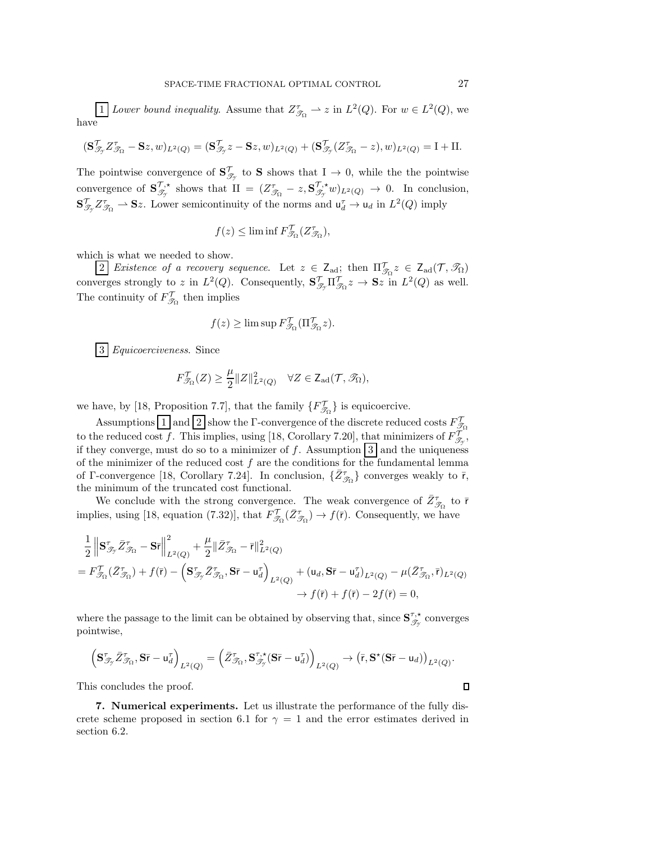1 *Lower bound inequality.* Assume that  $Z_{\mathcal{T}_{\Omega}}^{\tau} \rightharpoonup z$  in  $L^2(Q)$ . For  $w \in L^2(Q)$ , we have

$$
(\mathbf{S}_{\mathcal{I}_{\mathcal{I}}}^{\mathcal{T}}Z_{\mathcal{I}_{\Omega}}^{\mathcal{T}}-\mathbf{S}z,w)_{L^{2}(Q)}=(\mathbf{S}_{\mathcal{I}_{\mathcal{I}}}^{\mathcal{T}}z-\mathbf{S}z,w)_{L^{2}(Q)}+(\mathbf{S}_{\mathcal{I}_{\mathcal{I}}}^{\mathcal{T}}(Z_{\mathcal{I}_{\Omega}}^{\mathcal{T}}-z),w)_{L^{2}(Q)}=I+II.
$$

The pointwise convergence of  $S^{\mathcal{T}}_{\mathcal{T}_{\mathcal{T}}}$  to S shows that  $I \to 0$ , while the the pointwise convergence of  $S^{\mathcal{T},\star}_{\mathcal{T}_{\mathcal{T}}}$  shows that  $II = (Z^{\tau}_{\mathcal{T}_{\Omega}} - z, S^{\mathcal{T},\star}_{\mathcal{T}_{\mathcal{T}}}w)_{L^2(Q)} \to 0$ . In conclusion,  $\mathbf{S}_{\mathcal{I}_{\mathcal{I}}}^{\mathcal{T}}Z_{\mathcal{I}_{\Omega}}^{\tau} \to \mathbf{S}z$ . Lower semicontinuity of the norms and  $\mathsf{u}_d^{\tau} \to \mathsf{u}_d$  in  $L^2(Q)$  imply

$$
f(z) \le \liminf F_{\mathcal{T}_\Omega}^{\mathcal{T}}(Z_{\mathcal{T}_\Omega}^{\tau}),
$$

which is what we needed to show.

2 *Existence of a recovery sequence*. Let  $z \in Z_{\text{ad}}$ ; then  $\Pi_{\mathcal{J}_\Omega}^{\mathcal{T}} z \in Z_{\text{ad}}(\mathcal{T}, \mathcal{J}_\Omega)$ converges strongly to z in  $L^2(Q)$ . Consequently,  $\mathbf{S}_{\mathcal{I}_{\mathcal{I}}}^{\mathcal{T}}\Pi_{\mathcal{I}_{\Omega}}^{\mathcal{T}}z \to \mathbf{S}z$  in  $L^2(Q)$  as well. The continuity of  $F'_{\mathcal{S}_{\Omega}}$  then implies

$$
f(z) \ge \limsup F_{\mathcal{T}_{\Omega}}^{\mathcal{T}}(\Pi_{\mathcal{T}_{\Omega}}^{\mathcal{T}} z).
$$

3 *Equicoerciveness*. Since

$$
F_{\mathscr{T}_\Omega}^{\mathcal{T}}(Z) \geq \frac{\mu}{2}\|Z\|_{L^2(Q)}^2 \quad \forall Z \in \mathsf{Z}_{\text{ad}}(\mathcal{T},\mathscr{T}_\Omega),
$$

we have, by [\[18,](#page-31-23) Proposition 7.7], that the family  $\{F_{\mathcal{T}_{\Omega}}^{\mathcal{T}}\}$  is equicoercive.

Assumptions  $\boxed{1}$  and  $\boxed{2}$  show the  $\Gamma$ -convergence of the discrete reduced costs  $F'_{\mathcal{S}_{\Omega}}$ to the reduced cost f. This implies, using [\[18,](#page-31-23) Corollary 7.20], that minimizers of  $F_{\mathscr{T}_{\mathcal{I}}}^{\mathcal{I}}$ , if they converge, must do so to a minimizer of f. Assumption  $3$  and the uniqueness of the minimizer of the reduced cost  $f$  are the conditions for the fundamental lemma of  $\Gamma$ -convergence [\[18,](#page-31-23) Corollary 7.24]. In conclusion,  $\{\bar{Z}_{\mathcal{J}_{\Omega}}^{\tau}\}\)$  converges weakly to  $\bar{r}$ , the minimum of the truncated cost functional.

We conclude with the strong convergence. The weak convergence of  $\bar{Z}^{\tau}_{\mathcal{F}_0}$  to  $\bar{r}$ <br>*T*<sub>2</sub> to  $\bar{z}$ <sub>2</sub> to  $\bar{z}$ <sup>18</sup> to  $\bar{z}$ <sup>1</sup> to  $\bar{z}$ <sup>1</sup> to  $\bar{z}$ <sup>1</sup>  $\bar{z}$ <sup>1</sup>  $\bar{z}$ <sup>1</sup>  $\bar{z}$ <sup>1</sup>  $\bar{z}$ <sup>1</sup>  $\bar$ implies, using [\[18,](#page-31-23) equation (7.32)], that  $F_{\mathcal{T}_{\Omega}}^{\mathcal{T}}(\bar{Z}_{\mathcal{T}_{\Omega}}^{\tau}) \to f(\bar{r})$ . Consequently, we have

$$
\begin{split} &\frac{1}{2}\left\|\mathbf{S}_{\mathcal{I}\mathcal{I}}^{\tau}\bar{Z}_{\mathcal{I}\Omega}^{\tau}-\mathbf{S}\bar{\mathbf{r}}\right\|_{L^{2}(Q)}^{2}+\frac{\mu}{2}\|\bar{Z}_{\mathcal{I}\Omega}^{\tau}-\bar{\mathbf{r}}\|_{L^{2}(Q)}^{2}\\ &=F_{\mathcal{I}\Omega}^{\tau}\left(\bar{Z}_{\mathcal{I}\Omega}^{\tau}\right)+f(\bar{\mathbf{r}})-\left(\mathbf{S}_{\mathcal{I}\mathcal{I}}^{\tau}\bar{Z}_{\mathcal{I}\Omega}^{\tau},\mathbf{S}\bar{\mathbf{r}}-\mathbf{u}_{d}^{\tau}\right)_{L^{2}(Q)}+(\mathbf{u}_{d},\mathbf{S}\bar{\mathbf{r}}-\mathbf{u}_{d}^{\tau})_{L^{2}(Q)}-\mu(\bar{Z}_{\mathcal{I}\Omega}^{\tau},\bar{\mathbf{r}})_{L^{2}(Q)}\\ &\to f(\bar{\mathbf{r}})+f(\bar{\mathbf{r}})-2f(\bar{\mathbf{r}})=0, \end{split}
$$

where the passage to the limit can be obtained by observing that, since  $S^{\tau,*}_{\mathscr{T}_{\mathcal{T}}}$  converges pointwise,

$$
\left(\mathbf{S}^\tau_{\mathscr{T}_{\mathcal{T}}}\bar{Z}^\tau_{\mathscr{T}_{\Omega}}, \mathbf{S}\bar{\mathbf{r}} - \mathbf{u}^\tau_d\right)_{L^2(Q)} = \left(\bar{Z}^\tau_{\mathscr{T}_{\Omega}}, \mathbf{S}^{\tau,\star}_{\mathscr{T}_{\mathcal{T}}}(\mathbf{S}\bar{\mathbf{r}} - \mathbf{u}^\tau_d)\right)_{L^2(Q)} \rightarrow \left(\bar{\mathbf{r}}, \mathbf{S}^\star(\mathbf{S}\bar{\mathbf{r}} - \mathbf{u}_d)\right)_{L^2(Q)}.
$$

<span id="page-26-0"></span>This concludes the proof.

**7. Numerical experiments.** Let us illustrate the performance of the fully dis-crete scheme proposed in section [6.1](#page-21-0) for  $\gamma = 1$  and the error estimates derived in section [6.2.](#page-22-0)

 $\Box$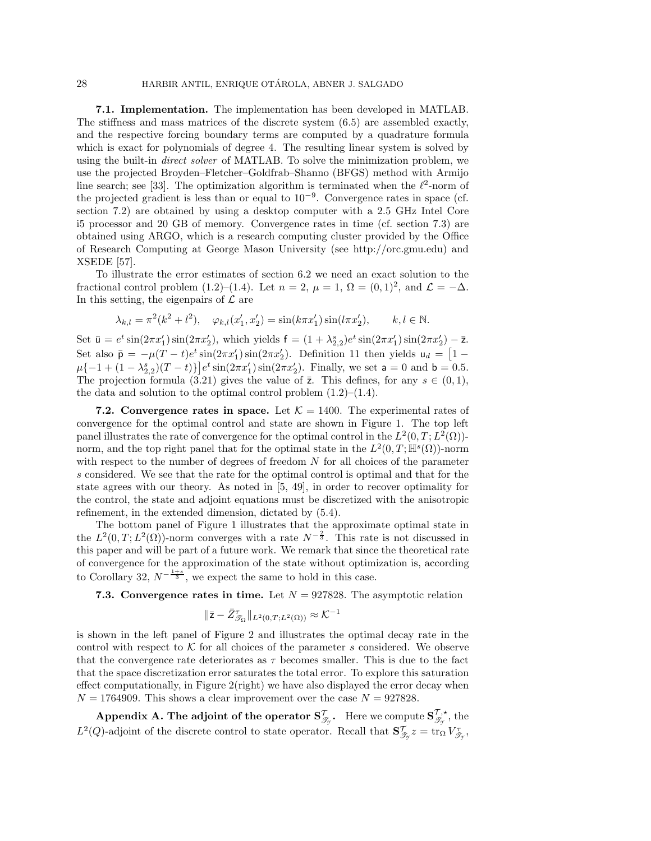**7.1. Implementation.** The implementation has been developed in MATLAB. The stiffness and mass matrices of the discrete system [\(6.5\)](#page-21-2) are assembled exactly, and the respective forcing boundary terms are computed by a quadrature formula which is exact for polynomials of degree 4. The resulting linear system is solved by using the built-in *direct solver* of MATLAB. To solve the minimization problem, we use the projected Broyden–Fletcher–Goldfrab–Shanno (BFGS) method with Armijo line search; see [\[33\]](#page-32-24). The optimization algorithm is terminated when the  $\ell^2$ -norm of the projected gradient is less than or equal to  $10^{-9}$ . Convergence rates in space (cf. section [7.2\)](#page-27-1) are obtained by using a desktop computer with a 2.5 GHz Intel Core i5 processor and 20 GB of memory. Convergence rates in time (cf. section [7.3\)](#page-27-2) are obtained using ARGO, which is a research computing cluster provided by the Office of Research Computing at George Mason University (see [http://orc.gmu.edu\)](http://orc.gmu.edu) and XSEDE [\[57\]](#page-33-6).

To illustrate the error estimates of section [6.2](#page-22-0) we need an exact solution to the fractional control problem [\(1.2\)](#page-0-0)–[\(1.4\)](#page-0-1). Let  $n = 2$ ,  $\mu = 1$ ,  $\Omega = (0, 1)^2$ , and  $\mathcal{L} = -\Delta$ . In this setting, the eigenpairs of  $\mathcal L$  are

$$
\lambda_{k,l} = \pi^2(k^2 + l^2), \quad \varphi_{k,l}(x_1', x_2') = \sin(k\pi x_1')\sin(l\pi x_2'), \qquad k, l \in \mathbb{N}.
$$

Set  $\bar{u} = e^t \sin(2\pi x_1') \sin(2\pi x_2')$ , which yields  $f = (1 + \lambda_{2,2}^s)e^t \sin(2\pi x_1') \sin(2\pi x_2') - \bar{z}$ .<br>Set also  $\bar{z} = u(T - t) e^t \sin(2\pi x') \sin(2\pi x')$ . Definition 11 then yields  $u = \bar{z}$ . Set also  $\bar{p} = -\mu(T - t)e^t \sin(2\pi x_1') \sin(2\pi x_2')$ . Definition [11](#page-9-2) then yields  $u_d = \begin{bmatrix} 1 - \mu(T - t) \mu(t) \sin(2\pi x_1') \sin(2\pi x_2') \end{bmatrix}$ . Einelly, we set  $z = 0$  and  $\bar{p} = 0.5$ .  $\mu\{-1+(1-\lambda_{2,2}^s)(T-t)\}e^t\sin(2\pi x_1')\sin(2\pi x_2')$ . Finally, we set  $a=0$  and  $b=0.5$ .<br>The projection formula (3.21) gives the value of  $\overline{z}$ . This defines for any  $s\in(0,1)$ . The projection formula [\(3.21\)](#page-11-7) gives the value of  $\overline{z}$ . This defines, for any  $s \in (0,1)$ , the data and solution to the optimal control problem  $(1.2)$ – $(1.4)$ .

<span id="page-27-1"></span>**7.2. Convergence rates in space.** Let  $K = 1400$ . The experimental rates of convergence for the optimal control and state are shown in Figure [1.](#page-28-0) The top left panel illustrates the rate of convergence for the optimal control in the  $L^2(0,T;L^2(\Omega))$ norm, and the top right panel that for the optimal state in the  $L^2(0,T;\mathbb{H}^s(\Omega))$ -norm with respect to the number of degrees of freedom  $N$  for all choices of the parameter s considered. We see that the rate for the optimal control is optimal and that for the state agrees with our theory. As noted in [\[5,](#page-31-16) [49\]](#page-32-4), in order to recover optimality for the control, the state and adjoint equations must be discretized with the anisotropic refinement, in the extended dimension, dictated by [\(5.4\)](#page-16-1).

The bottom panel of Figure [1](#page-28-0) illustrates that the approximate optimal state in the  $L^2(0,T;L^2(\Omega))$ -norm converges with a rate  $N^{-\frac{2}{3}}$ . This rate is not discussed in this paper and will be part of a future work. We remark that since the theoretical rate of convergence for the approximation of the state without optimization is, according to Corollary [32,](#page-20-1)  $N^{-\frac{1+s}{3}}$ , we expect the same to hold in this case.

<span id="page-27-2"></span>**7.3. Convergence rates in time.** Let  $N = 927828$ . The asymptotic relation

$$
\|\bar{\mathsf{z}}-\bar{Z}_{\mathcal{T}_{\Omega}}^{\tau}\|_{L^{2}(0,T;L^{2}(\Omega))}\approx\mathcal{K}^{-1}
$$

is shown in the left panel of Figure [2](#page-28-1) and illustrates the optimal decay rate in the control with respect to  $K$  for all choices of the parameter s considered. We observe that the convergence rate deteriorates as  $\tau$  becomes smaller. This is due to the fact that the space discretization error saturates the total error. To explore this saturation effect computationally, in Figure [2\(](#page-28-1)right) we have also displayed the error decay when  $N = 1764909$ . This shows a clear improvement over the case  $N = 927828$ .

<span id="page-27-0"></span> $\bf{Appendix~A. The adjoint of the operator~} S^{\mathcal{T}}_{\mathscr{T}_y}.$  Here we compute  $S^{\mathcal{T},\star}_{\mathscr{T}_y},$  the  $L^2(Q)$ -adjoint of the discrete control to state operator. Recall that  $\mathbf{S}_{\mathscr{T}_{\mathcal{T}}}^{\mathcal{T}} z = \text{tr}_{\Omega} V_{\mathscr{T}_{\mathcal{T}}}^{\mathcal{T}}$ ,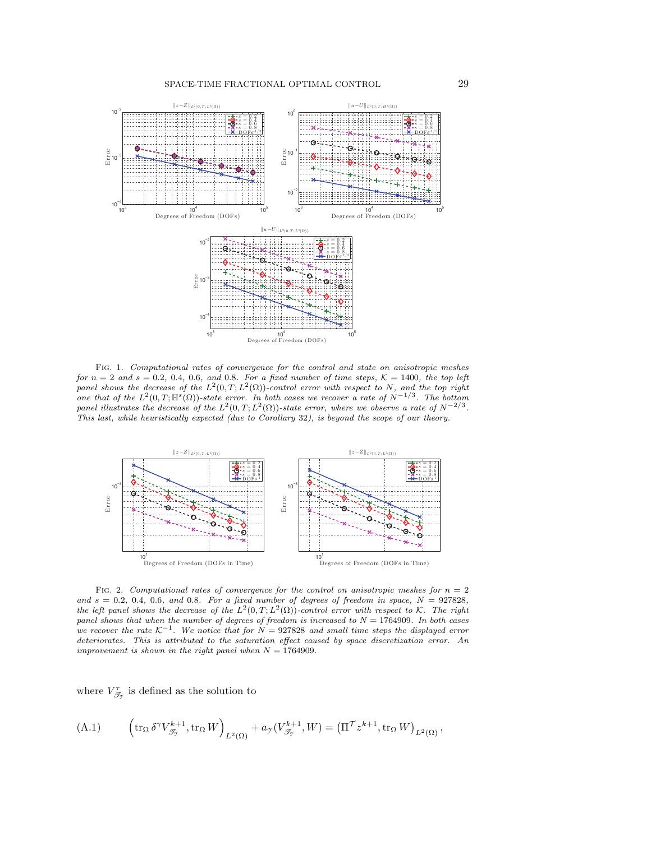<span id="page-28-0"></span>

Fig. 1. Computational rates of convergence for the control and state on anisotropic meshes for  $n = 2$  and  $s = 0.2, 0.4, 0.6,$  and 0.8. For a fixed number of time steps,  $K = 1400$ , the top left panel shows the decrease of the  $L^2(0,T;L^2(\Omega))$ -control error with respect to N, and the top right one that of the  $L^2(0,T;\mathbb{H}^s(\Omega))$ -state error. In both cases we recover a rate of  $N^{-1/3}$ . The bottom panel illustrates the decrease of the  $L^2(0,T;L^2(\Omega))$ -state error, where we observe a rate of  $N^{-2/3}$ . This last, while heuristically expected (due to Corollary [32](#page-20-1)), is beyond the scope of our theory.

<span id="page-28-1"></span>

FIG. 2. Computational rates of convergence for the control on anisotropic meshes for  $n = 2$ and  $s = 0.2, 0.4, 0.6, and 0.8.$  For a fixed number of degrees of freedom in space,  $N = 927828$ , the left panel shows the decrease of the  $L^2(0,T;L^2(\Omega))$ -control error with respect to K. The right panel shows that when the number of degrees of freedom is increased to  $N = 1764909$ . In both cases we recover the rate  $K^{-1}$ . We notice that for  $N = 927828$  and small time steps the displayed error deteriorates. This is attributed to the saturation effect caused by space discretization error. An improvement is shown in the right panel when  $N = 1764909$ .

where  $V_{\mathscr{T}_{\mathscr{T}}}^{\tau}$  is defined as the solution to

<span id="page-28-2"></span>(A.1) 
$$
\left(\operatorname{tr}_{\Omega} \delta^{\gamma} V^{k+1}_{\mathscr{T}_{\gamma}}, \operatorname{tr}_{\Omega} W\right)_{L^{2}(\Omega)} + a_{\gamma}(V^{k+1}_{\mathscr{T}_{\gamma}}, W) = \left(\Pi^{\mathcal{T}} z^{k+1}, \operatorname{tr}_{\Omega} W\right)_{L^{2}(\Omega)},
$$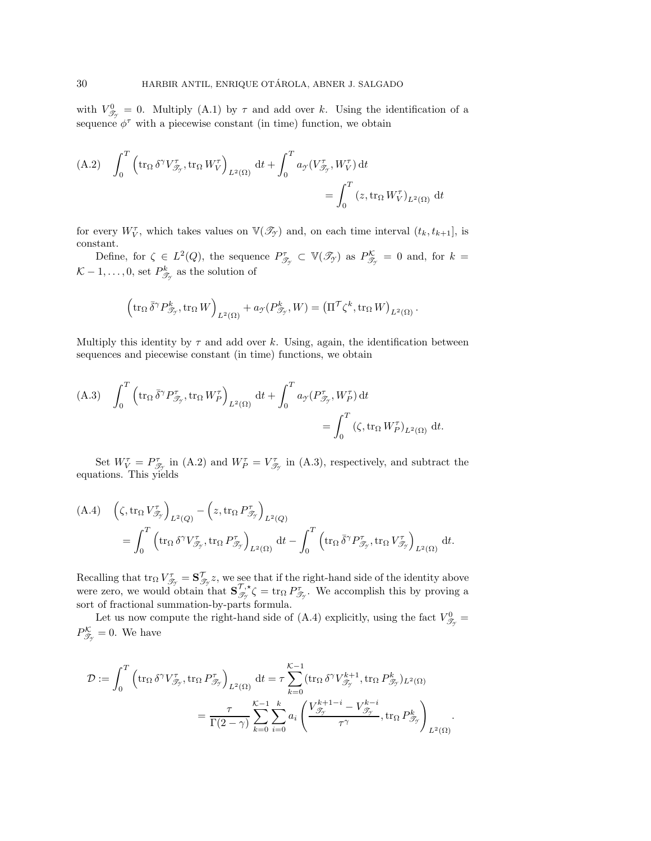with  $V_{\mathscr{T}_{\gamma}}^0 = 0$ . Multiply [\(A.1\)](#page-28-2) by  $\tau$  and add over k. Using the identification of a sequence  $\phi^{\tau}$  with a piecewise constant (in time) function, we obtain

<span id="page-29-0"></span>(A.2) 
$$
\int_0^T \left( \operatorname{tr}_{\Omega} \delta^{\gamma} V^{\tau}_{\mathcal{F}_{\gamma}}, \operatorname{tr}_{\Omega} W^{\tau}_{V} \right)_{L^2(\Omega)} dt + \int_0^T a_{\mathcal{I}} (V^{\tau}_{\mathcal{F}_{\gamma}}, W^{\tau}_{V}) dt = \int_0^T (z, \operatorname{tr}_{\Omega} W^{\tau}_{V})_{L^2(\Omega)} dt
$$

for every  $W_V^{\tau}$ , which takes values on  $\mathbb{V}(\mathscr{T}_{\gamma})$  and, on each time interval  $(t_k, t_{k+1}]$ , is constant.

Define, for  $\zeta \in L^2(Q)$ , the sequence  $P^{\tau}_{\mathscr{T}_{\mathcal{T}}} \subset \mathbb{V}(\mathscr{T}_{\mathcal{T}})$  as  $P^{\mathcal{K}}_{\mathscr{T}_{\mathcal{T}}} = 0$  and, for  $k =$  $K-1,\ldots,0$ , set  $P_{\mathscr{T}_{\mathscr{T}}}^k$  as the solution of

$$
\left(\operatorname{tr}_\Omega \bar{\delta}^\gamma P^k_{\mathscr{T}_{\mathcal{T}}},\operatorname{tr}_\Omega W\right)_{L^2(\Omega)} + a_{\mathcal{T}}(P^k_{\mathscr{T}_{\mathcal{T}}},W) = \left(\Pi^{\mathcal{T}} \zeta^k, \operatorname{tr}_\Omega W\right)_{L^2(\Omega)}.
$$

Multiply this identity by  $\tau$  and add over k. Using, again, the identification between sequences and piecewise constant (in time) functions, we obtain

<span id="page-29-1"></span>(A.3) 
$$
\int_0^T \left( \operatorname{tr}_\Omega \overline{\delta}^\gamma P_{\mathcal{T}_\gamma}^\tau, \operatorname{tr}_\Omega W_P^\tau \right)_{L^2(\Omega)} dt + \int_0^T a_{\mathcal{T}} (P_{\mathcal{T}_\gamma}^\tau, W_P^\tau) dt = \int_0^T (\zeta, \operatorname{tr}_\Omega W_P^\tau)_{L^2(\Omega)} dt.
$$

Set  $W_V^{\tau} = P_{\mathscr{T}_{\mathscr{T}}}^{\tau}$  in [\(A.2\)](#page-29-0) and  $W_P^{\tau} = V_{\mathscr{T}_{\mathscr{T}}}^{\tau}$  in [\(A.3\)](#page-29-1), respectively, and subtract the equations. This yields

<span id="page-29-2"></span>(A.4) 
$$
\left(\zeta, \operatorname{tr}_{\Omega} V_{\mathcal{J}_{\gamma}}^{\tau}\right)_{L^{2}(Q)} - \left(z, \operatorname{tr}_{\Omega} P_{\mathcal{J}_{\gamma}}^{\tau}\right)_{L^{2}(Q)}
$$

$$
= \int_{0}^{T} \left(\operatorname{tr}_{\Omega} \delta^{\gamma} V_{\mathcal{J}_{\gamma}}^{\tau}, \operatorname{tr}_{\Omega} P_{\mathcal{J}_{\gamma}}^{\tau}\right)_{L^{2}(\Omega)} dt - \int_{0}^{T} \left(\operatorname{tr}_{\Omega} \bar{\delta}^{\gamma} P_{\mathcal{J}_{\gamma}}^{\tau}, \operatorname{tr}_{\Omega} V_{\mathcal{J}_{\gamma}}^{\tau}\right)_{L^{2}(\Omega)} dt.
$$

Recalling that  $\text{tr}_{\Omega} V^{\tau}_{\mathscr{T}_{\mathscr{T}}} = \mathbf{S}^{\mathcal{T}}_{\mathscr{T}_{\mathscr{T}}} z$ , we see that if the right-hand side of the identity above were zero, we would obtain that  $\mathbf{S}_{\mathcal{I}_{\mathcal{I}}}^{\mathcal{T},\star} \zeta = \text{tr}_{\Omega} P_{\mathcal{I}_{\mathcal{I}}}^{\mathcal{T}}$ . We accomplish this by proving a sort of fractional summation-by-parts formula.

Let us now compute the right-hand side of [\(A.4\)](#page-29-2) explicitly, using the fact  $V_{\mathscr{T}_{\mathcal{T}}}^0$  $P_{\mathscr{T}_{\gamma}}^{\mathcal{K}}=0.$  We have

$$
\begin{split} \mathcal{D}:=\int_{0}^{T}\left(\operatorname{tr}_{\Omega}\delta^{\gamma}V_{\mathscr{T}_{\mathcal{Y}}},\operatorname{tr}_{\Omega}P_{\mathscr{T}_{\mathcal{Y}}}^{\tau}\right)_{L^{2}(\Omega)}\operatorname{d}t&=\tau\sum_{k=0}^{\mathcal{K}-1}(\operatorname{tr}_{\Omega}\delta^{\gamma}V_{\mathscr{T}_{\mathcal{Y}}}^{k+1},\operatorname{tr}_{\Omega}P_{\mathscr{T}_{\mathcal{Y}}}^{k})_{L^{2}(\Omega)}\\ &=\frac{\tau}{\Gamma(2-\gamma)}\sum_{k=0}^{\mathcal{K}-1}\sum_{i=0}^{k}a_{i}\left(\frac{V_{\mathscr{T}_{\mathcal{Y}}}^{k+1-i}-V_{\mathscr{T}_{\mathcal{Y}}}^{k-i}}{\tau^{\gamma}},\operatorname{tr}_{\Omega}P_{\mathscr{T}_{\mathcal{Y}}}^{k}\right)_{L^{2}(\Omega)} \end{split}
$$

.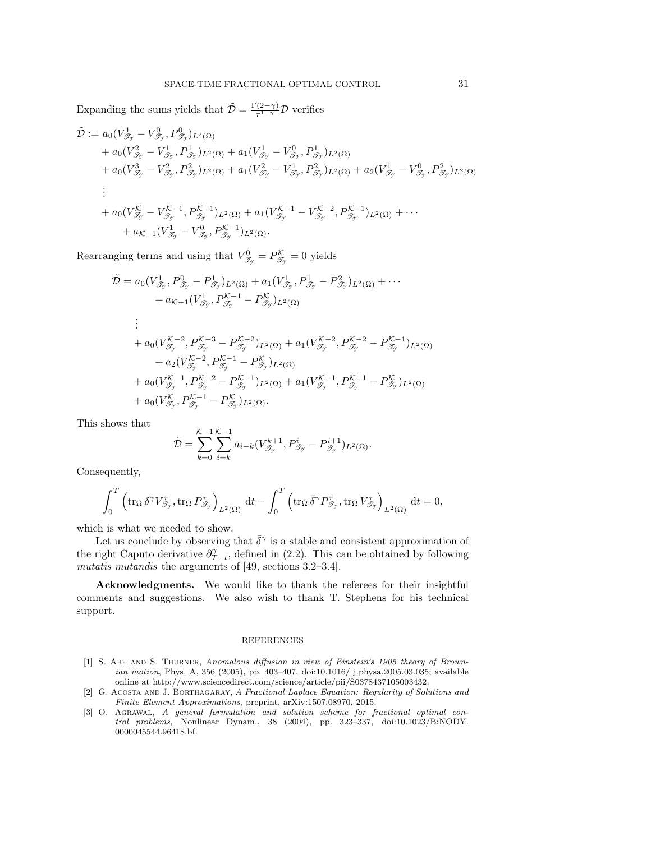Expanding the sums yields that  $\tilde{\mathcal{D}} = \frac{\Gamma(2-\gamma)}{\tau^{1-\gamma}} \mathcal{D}$  verifies

$$
\tilde{\mathcal{D}} := a_0 (V_{\mathcal{J}_y}^1 - V_{\mathcal{J}_y}^0, P_{\mathcal{J}_y}^0)_{L^2(\Omega)} \n+ a_0 (V_{\mathcal{J}_y}^2 - V_{\mathcal{J}_y}^1, P_{\mathcal{J}_y}^1)_{L^2(\Omega)} + a_1 (V_{\mathcal{J}_y}^1 - V_{\mathcal{J}_y}^0, P_{\mathcal{J}_y}^1)_{L^2(\Omega)} \n+ a_0 (V_{\mathcal{J}_y}^2 - V_{\mathcal{J}_y}^2, P_{\mathcal{J}_y}^2)_{L^2(\Omega)} + a_1 (V_{\mathcal{J}_y}^2 - V_{\mathcal{J}_y}^1, P_{\mathcal{J}_y}^2)_{L^2(\Omega)} + a_2 (V_{\mathcal{J}_y}^1 - V_{\mathcal{J}_y}^0, P_{\mathcal{J}_y}^2)_{L^2(\Omega)} \n\vdots \n+ a_0 (V_{\mathcal{J}_y}^K - V_{\mathcal{J}_y}^{K-1}, P_{\mathcal{J}_y}^{K-1})_{L^2(\Omega)} + a_1 (V_{\mathcal{J}_y}^{K-1} - V_{\mathcal{J}_y}^{K-2}, P_{\mathcal{J}_y}^{K-1})_{L^2(\Omega)} + \cdots \n+ a_{K-1} (V_{\mathcal{J}_y}^1 - V_{\mathcal{J}_y}^0, P_{\mathcal{J}_y}^{K-1})_{L^2(\Omega)}.
$$

Rearranging terms and using that  $V_{\mathcal{T}_{\mathcal{T}}}^{0} = P_{\mathcal{T}_{\mathcal{T}}}^{\mathcal{K}} = 0$  yields

$$
\tilde{\mathcal{D}} = a_0 (V_{\mathcal{F}_y}^1, P_{\mathcal{F}_y}^0 - P_{\mathcal{F}_y}^1)_{L^2(\Omega)} + a_1 (V_{\mathcal{F}_y}^1, P_{\mathcal{F}_y}^1 - P_{\mathcal{F}_y}^2)_{L^2(\Omega)} + \cdots \n+ a_{\mathcal{K}-1} (V_{\mathcal{F}_y}^1, P_{\mathcal{F}_y}^{\mathcal{K}-1} - P_{\mathcal{F}_y}^{\mathcal{K}})_{L^2(\Omega)} \n\vdots \n+ a_0 (V_{\mathcal{F}_y}^{\mathcal{K}-2}, P_{\mathcal{F}_y}^{\mathcal{K}-3} - P_{\mathcal{F}_y}^{\mathcal{K}-2})_{L^2(\Omega)} + a_1 (V_{\mathcal{F}_y}^{\mathcal{K}-2}, P_{\mathcal{F}_y}^{\mathcal{K}-2} - P_{\mathcal{F}_y}^{\mathcal{K}-1})_{L^2(\Omega)} \n+ a_2 (V_{\mathcal{F}_y}^{\mathcal{K}-2}, P_{\mathcal{F}_y}^{\mathcal{K}-1} - P_{\mathcal{F}_y}^{\mathcal{K}})_{L^2(\Omega)} \n+ a_0 (V_{\mathcal{F}_y}^{\mathcal{K}-1}, P_{\mathcal{F}_y}^{\mathcal{K}-2} - P_{\mathcal{F}_y}^{\mathcal{K}-1})_{L^2(\Omega)} + a_1 (V_{\mathcal{F}_y}^{\mathcal{K}-1}, P_{\mathcal{F}_y}^{\mathcal{K}-1} - P_{\mathcal{F}_y}^{\mathcal{K}})_{L^2(\Omega)} \n+ a_0 (V_{\mathcal{F}_y}^{\mathcal{K}}, P_{\mathcal{F}_y}^{\mathcal{K}-1} - P_{\mathcal{F}_y}^{\mathcal{K}})_{L^2(\Omega)}.
$$

This shows that

$$
\tilde{\mathcal{D}} = \sum_{k=0}^{\mathcal{K}-1} \sum_{i=k}^{\mathcal{K}-1} a_{i-k} (V_{\mathcal{J}_{\mathcal{Y}}}^{k+1}, P_{\mathcal{J}_{\mathcal{Y}}}^{i} - P_{\mathcal{J}_{\mathcal{Y}}}^{i+1})_{L^{2}(\Omega)}.
$$

Consequently,

$$
\int_0^T \left( \operatorname{tr}_{\Omega} \delta^{\gamma} V^{\tau}_{\mathscr{T}_{\gamma}}, \operatorname{tr}_{\Omega} P^{\tau}_{\mathscr{T}_{\gamma}} \right)_{L^2(\Omega)} \, \mathrm{d}t - \int_0^T \left( \operatorname{tr}_{\Omega} \bar{\delta}^{\gamma} P^{\tau}_{\mathscr{T}_{\gamma}}, \operatorname{tr}_{\Omega} V^{\tau}_{\mathscr{T}_{\gamma}} \right)_{L^2(\Omega)} \, \mathrm{d}t = 0,
$$

which is what we needed to show.

Let us conclude by observing that  $\bar{\delta}^{\gamma}$  is a stable and consistent approximation of the right Caputo derivative  $\partial_{T-t}^{\gamma}$ , defined in [\(2.2\)](#page-3-2). This can be obtained by following *mutatis mutandis* the arguments of [\[49,](#page-32-4) sections 3.2–3.4].

**Acknowledgments.** We would like to thank the referees for their insightful comments and suggestions. We also wish to thank T. Stephens for his technical support.

## REFERENCES

- <span id="page-30-0"></span>[1] S. Abe and S. Thurner, Anomalous diffusion in view of Einstein's 1905 theory of Brownian motion, Phys. A, 356 (2005), pp. 403–407, [doi:10.1016/ j.physa.2005.03.035;](http://dx.doi.org/http://dx.doi.org/10.1016/j.physa.2005.03.035) available online at [http://www.sciencedirect.com/science/article/pii/S0378437105003432.](http://www.sciencedirect.com/science/article/pii/S0378437105003432)
- <span id="page-30-1"></span>[2] G. Acosta and J. Borthagaray, A Fractional Laplace Equation: Regularity of Solutions and Finite Element Approximations, preprint, arXiv:1507.08970, 2015.
- <span id="page-30-2"></span>[3] O. Agrawal, A general formulation and solution scheme for fractional optimal control problems, Nonlinear Dynam., 38 (2004), pp. 323–337, [doi:10.1023/B:NODY.](http://dx.doi.org/10.1023/B:NODY.0000045544.96418.bf) [0000045544.96418.bf.](http://dx.doi.org/10.1023/B:NODY.0000045544.96418.bf)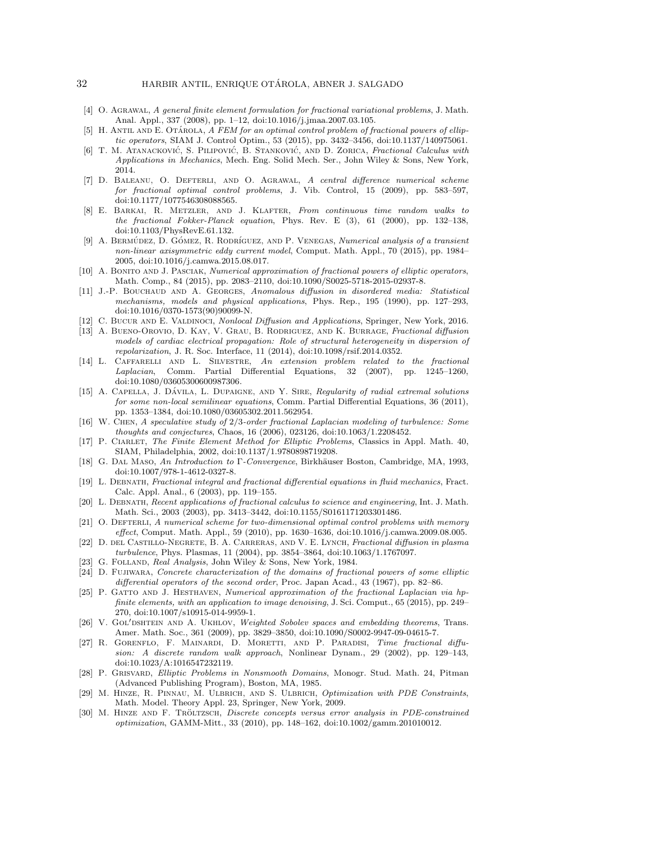- <span id="page-31-17"></span>[4] O. Agrawal, A general finite element formulation for fractional variational problems, J. Math. Anal. Appl., 337 (2008), pp. 1–12, [doi:10.1016/j.jmaa.2007.03.105.](http://dx.doi.org/10.1016/j.jmaa.2007.03.105)
- <span id="page-31-16"></span>[5] H. ANTIL AND E. OTÁROLA, A FEM for an optimal control problem of fractional powers of elliptic operators, SIAM J. Control Optim., 53 (2015), pp. 3432–3456, [doi:10.1137/140975061.](http://dx.doi.org/10.1137/140975061)
- <span id="page-31-2"></span>[6] T. M. ATANACKOVIĆ, S. PILIPOVIĆ, B. STANKOVIĆ, AND D. ZORICA, *Fractional Calculus with* Applications in Mechanics, Mech. Eng. Solid Mech. Ser., John Wiley & Sons, New York, 2014.
- <span id="page-31-18"></span>[7] D. Baleanu, O. Defterli, and O. Agrawal, A central difference numerical scheme for fractional optimal control problems, J. Vib. Control, 15 (2009), pp. 583–597, [doi:10.1177/1077546308088565.](http://dx.doi.org/10.1177/1077546308088565)
- <span id="page-31-7"></span>[8] E. Barkai, R. Metzler, and J. Klafter, From continuous time random walks to the fractional Fokker-Planck equation, Phys. Rev. E (3), 61 (2000), pp. 132–138, [doi:10.1103/PhysRevE.61.132.](http://dx.doi.org/10.1103/PhysRevE.61.132)
- <span id="page-31-25"></span>[9] A. BERMÚDEZ, D. GÓMEZ, R. RODRÍGUEZ, AND P. VENEGAS, Numerical analysis of a transient non-linear axisymmetric eddy current model, Comput. Math. Appl., 70 (2015), pp. 1984– 2005, [doi:10.1016/j.camwa.2015.08.017.](http://dx.doi.org/10.1016/j.camwa.2015.08.017)
- <span id="page-31-13"></span>[10] A. BONITO AND J. PASCIAK, Numerical approximation of fractional powers of elliptic operators, Math. Comp., 84 (2015), pp. 2083–2110, [doi:10.1090/S0025-5718-2015-02937-8.](http://dx.doi.org/10.1090/S0025-5718-2015-02937-8)
- <span id="page-31-8"></span>[11] J.-P. Bouchaud and A. Georges, Anomalous diffusion in disordered media: Statistical mechanisms, models and physical applications, Phys. Rep., 195 (1990), pp. 127–293, [doi:10.1016/0370-1573\(90\)90099-N.](http://dx.doi.org/10.1016/0370-1573(90)90099-N)
- <span id="page-31-11"></span><span id="page-31-9"></span>[12] C. Bucur and E. Valdinoci, Nonlocal Diffusion and Applications, Springer, New York, 2016.
- [13] A. Bueno-Orovio, D. Kay, V. Grau, B. Rodriguez, and K. Burrage, Fractional diffusion models of cardiac electrical propagation: Role of structural heterogeneity in dispersion of repolarization, J. R. Soc. Interface, 11 (2014), [doi:10.1098/rsif.2014.0352.](http://dx.doi.org/10.1098/rsif.2014.0352)
- <span id="page-31-0"></span>[14] L. Caffarelli and L. Silvestre, An extension problem related to the fractional Laplacian, Comm. Partial Differential Equations, 32 (2007), pp. 1245–1260, [doi:10.1080/03605300600987306.](http://dx.doi.org/10.1080/03605300600987306)
- <span id="page-31-1"></span>[15] A. CAPELLA, J. DÁVILA, L. DUPAIGNE, AND Y. SIRE, Regularity of radial extremal solutions for some non-local semilinear equations, Comm. Partial Differential Equations, 36 (2011), pp. 1353–1384, [doi:10.1080/03605302.2011.562954.](http://dx.doi.org/10.1080/03605302.2011.562954)
- <span id="page-31-4"></span>[16] W. Chen, A speculative study of 2/3-order fractional Laplacian modeling of turbulence: Some thoughts and conjectures, Chaos, 16 (2006), 023126, [doi:10.1063/1.2208452.](http://dx.doi.org/http://dx.doi.org/10.1063/1.2208452)
- <span id="page-31-24"></span>[17] P. CIARLET, The Finite Element Method for Elliptic Problems, Classics in Appl. Math. 40, SIAM, Philadelphia, 2002, [doi:10.1137/1.9780898719208.](http://dx.doi.org/10.1137/1.9780898719208)
- <span id="page-31-23"></span>[18] G. DAL MASO, An Introduction to Γ-Convergence, Birkhäuser Boston, Cambridge, MA, 1993, [doi:10.1007/978-1-4612-0327-8.](http://dx.doi.org/10.1007/978-1-4612-0327-8)
- <span id="page-31-3"></span>[19] L. DEBNATH, Fractional integral and fractional differential equations in fluid mechanics, Fract. Calc. Appl. Anal., 6 (2003), pp. 119–155.
- <span id="page-31-12"></span>[20] L. Debnath, Recent applications of fractional calculus to science and engineering, Int. J. Math. Math. Sci., 2003 (2003), pp. 3413–3442, [doi:10.1155/S0161171203301486.](http://dx.doi.org/10.1155/S0161171203301486)
- <span id="page-31-19"></span>[21] O. DEFTERLI, A numerical scheme for two-dimensional optimal control problems with memory effect, Comput. Math. Appl., 59 (2010), pp. 1630–1636, [doi:10.1016/j.camwa.2009.08.005.](http://dx.doi.org/10.1016/j.camwa.2009.08.005)
- <span id="page-31-5"></span>[22] D. DEL CASTILLO-NEGRETE, B. A. CARRERAS, AND V. E. LYNCH, Fractional diffusion in plasma turbulence, Phys. Plasmas, 11 (2004), pp. 3854–3864, [doi:10.1063/1.1767097.](http://dx.doi.org/http://dx.doi.org/10.1063/1.1767097)
- <span id="page-31-26"></span><span id="page-31-21"></span>[23] G. FOLLAND, Real Analysis, John Wiley & Sons, New York, 1984.
- [24] D. Fujiwara, Concrete characterization of the domains of fractional powers of some elliptic differential operators of the second order, Proc. Japan Acad., 43 (1967), pp. 82–86.
- <span id="page-31-10"></span>[25] P. GATTO AND J. HESTHAVEN, Numerical approximation of the fractional Laplacian via hpfinite elements, with an application to image denoising, J. Sci. Comput., 65 (2015), pp. 249– 270, [doi:10.1007/s10915-014-9959-1.](http://dx.doi.org/10.1007/s10915-014-9959-1)
- <span id="page-31-22"></span>[26] V. GOL'DSHTEIN AND A. UKHLOV, Weighted Sobolev spaces and embedding theorems, Trans. Amer. Math. Soc., 361 (2009), pp. 3829–3850, [doi:10.1090/S0002-9947-09-04615-7.](http://dx.doi.org/10.1090/S0002-9947-09-04615-7)
- <span id="page-31-6"></span>[27] R. Gorenflo, F. Mainardi, D. Moretti, and P. Paradisi, Time fractional diffusion: A discrete random walk approach, Nonlinear Dynam., 29 (2002), pp. 129–143, [doi:10.1023/A:1016547232119.](http://dx.doi.org/10.1023/A:1016547232119)
- <span id="page-31-20"></span>[28] P. Grisvard, Elliptic Problems in Nonsmooth Domains, Monogr. Stud. Math. 24, Pitman (Advanced Publishing Program), Boston, MA, 1985.
- <span id="page-31-14"></span>[29] M. Hinze, R. Pinnau, M. Ulbrich, and S. Ulbrich, Optimization with PDE Constraints, Math. Model. Theory Appl. 23, Springer, New York, 2009.
- <span id="page-31-15"></span>[30] M. HINZE AND F. TRÖLTZSCH, Discrete concepts versus error analysis in PDE-constrained optimization, GAMM-Mitt., 33 (2010), pp. 148–162, [doi:10.1002/gamm.201010012.](http://dx.doi.org/10.1002/gamm.201010012)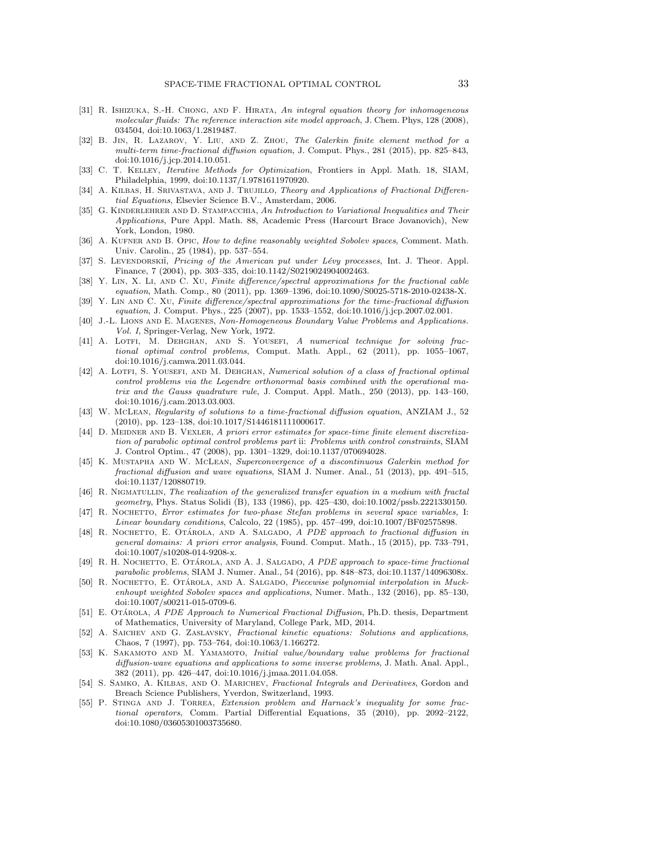- <span id="page-32-6"></span>[31] R. ISHIZUKA, S.-H. CHONG, AND F. HIRATA, An integral equation theory for inhomogeneous molecular fluids: The reference interaction site model approach, J. Chem. Phys, 128 (2008), 034504, [doi:10.1063/1.2819487.](http://dx.doi.org/http://dx.doi.org/10.1063/1.2819487)
- <span id="page-32-14"></span>[32] B. Jin, R. Lazarov, Y. Liu, and Z. Zhou, The Galerkin finite element method for a multi-term time-fractional diffusion equation, J. Comput. Phys., 281 (2015), pp. 825–843, [doi:10.1016/j.jcp.2014.10.051.](http://dx.doi.org/10.1016/j.jcp.2014.10.051)
- <span id="page-32-24"></span>[33] C. T. Kelley, Iterative Methods for Optimization, Frontiers in Appl. Math. 18, SIAM, Philadelphia, 1999, [doi:10.1137/1.9781611970920.](http://dx.doi.org/10.1137/1.9781611970920)
- <span id="page-32-0"></span>[34] A. KILBAS, H. SRIVASTAVA, AND J. TRUJILLO, Theory and Applications of Fractional Differential Equations, Elsevier Science B.V., Amsterdam, 2006.
- <span id="page-32-21"></span>[35] G. KINDERLEHRER AND D. STAMPACCHIA, An Introduction to Variational Inequalities and Their Applications, Pure Appl. Math. 88, Academic Press (Harcourt Brace Jovanovich), New York, London, 1980.
- <span id="page-32-19"></span>[36] A. KUFNER AND B. OPIC, How to define reasonably weighted Sobolev spaces, Comment. Math. Univ. Carolin., 25 (1984), pp. 537–554.
- <span id="page-32-7"></span>[37] S. LEVENDORSKII, Pricing of the American put under Lévy processes, Int. J. Theor. Appl. Finance, 7 (2004), pp. 303–335, [doi:10.1142/S0219024904002463.](http://dx.doi.org/10.1142/S0219024904002463)
- <span id="page-32-15"></span>[38] Y. LIN, X. LI, AND C. XU, Finite difference/spectral approximations for the fractional cable equation, Math. Comp., 80 (2011), pp. 1369–1396, [doi:10.1090/S0025-5718-2010-02438-X.](http://dx.doi.org/10.1090/S0025-5718-2010-02438-X)
- <span id="page-32-16"></span>[39] Y. Lin and C. Xu, Finite difference/spectral approximations for the time-fractional diffusion equation, J. Comput. Phys., 225 (2007), pp. 1533–1552, [doi:10.1016/j.jcp.2007.02.001.](http://dx.doi.org/10.1016/j.jcp.2007.02.001)
- <span id="page-32-18"></span>[40] J.-L. LIONS AND E. MAGENES, Non-Homogeneous Boundary Value Problems and Applications. Vol. I, Springer-Verlag, New York, 1972.
- <span id="page-32-12"></span>[41] A. LOTFI, M. DEHGHAN, AND S. YOUSEFI, A numerical technique for solving fractional optimal control problems, Comput. Math. Appl., 62 (2011), pp. 1055–1067, [doi:10.1016/j.camwa.2011.03.044.](http://dx.doi.org/10.1016/j.camwa.2011.03.044)
- <span id="page-32-13"></span>[42] A. LOTFI, S. YOUSEFI, AND M. DEHGHAN, Numerical solution of a class of fractional optimal control problems via the Legendre orthonormal basis combined with the operational matrix and the Gauss quadrature rule, J. Comput. Appl. Math., 250 (2013), pp. 143–160, [doi:10.1016/j.cam.2013.03.003.](http://dx.doi.org/10.1016/j.cam.2013.03.003)
- <span id="page-32-17"></span>[43] W. McLean, Regularity of solutions to a time-fractional diffusion equation, ANZIAM J., 52 (2010), pp. 123–138, [doi:10.1017/S1446181111000617.](http://dx.doi.org/10.1017/S1446181111000617)
- <span id="page-32-11"></span>[44] D. MEIDNER AND B. VEXLER, A priori error estimates for space-time finite element discretization of parabolic optimal control problems part ii: Problems with control constraints, SIAM J. Control Optim., 47 (2008), pp. 1301–1329, [doi:10.1137/070694028.](http://dx.doi.org/10.1137/070694028)
- <span id="page-32-9"></span>[45] K. Mustapha and W. McLean, Superconvergence of a discontinuous Galerkin method for fractional diffusion and wave equations, SIAM J. Numer. Anal., 51 (2013), pp. 491–515, [doi:10.1137/120880719.](http://dx.doi.org/10.1137/120880719)
- <span id="page-32-5"></span>[46] R. NIGMATULLIN, The realization of the generalized transfer equation in a medium with fractal geometry, Phys. Status Solidi (B), 133 (1986), pp. 425–430, [doi:10.1002/pssb.2221330150.](http://dx.doi.org/10.1002/pssb.2221330150)
- <span id="page-32-23"></span>[47] R. NOCHETTO, Error estimates for two-phase Stefan problems in several space variables, I: Linear boundary conditions, Calcolo, 22 (1985), pp. 457–499, [doi:10.1007/BF02575898.](http://dx.doi.org/10.1007/BF02575898)
- <span id="page-32-3"></span>[48] R. Nochetto, E. Otárola, and A. Salgado, A PDE approach to fractional diffusion in general domains: A priori error analysis, Found. Comput. Math., 15 (2015), pp. 733–791, [doi:10.1007/s10208-014-9208-x.](http://dx.doi.org/10.1007/s10208-014-9208-x)
- <span id="page-32-4"></span>[49] R. H. NOCHETTO, E. OTÁROLA, AND A. J. SALGADO, A PDE approach to space-time fractional parabolic problems, SIAM J. Numer. Anal., 54 (2016), pp. 848–873, [doi:10.1137/14096308x.](http://dx.doi.org/10.1137/14096308x)
- <span id="page-32-22"></span>[50] R. NOCHETTO, E. OTÁROLA, AND A. SALGADO, Piecewise polynomial interpolation in Muckenhoupt weighted Sobolev spaces and applications, Numer. Math., 132 (2016), pp. 85–130, [doi:10.1007/s00211-015-0709-6.](http://dx.doi.org/10.1007/s00211-015-0709-6)
- <span id="page-32-10"></span>[51] E. OTÁROLA, A PDE Approach to Numerical Fractional Diffusion, Ph.D. thesis, Department of Mathematics, University of Maryland, College Park, MD, 2014.
- <span id="page-32-8"></span>[52] A. Saichev and G. Zaslavsky, Fractional kinetic equations: Solutions and applications, Chaos, 7 (1997), pp. 753–764, [doi:10.1063/1.166272.](http://dx.doi.org/10.1063/1.166272)
- <span id="page-32-20"></span>[53] K. SAKAMOTO AND M. YAMAMOTO, Initial value/boundary value problems for fractional diffusion-wave equations and applications to some inverse problems, J. Math. Anal. Appl., 382 (2011), pp. 426–447, [doi:10.1016/j.jmaa.2011.04.058.](http://dx.doi.org/10.1016/j.jmaa.2011.04.058)
- <span id="page-32-1"></span>[54] S. SAMKO, A. KILBAS, AND O. MARICHEV, Fractional Integrals and Derivatives, Gordon and Breach Science Publishers, Yverdon, Switzerland, 1993.
- <span id="page-32-2"></span>[55] P. Stinga and J. Torrea, Extension problem and Harnack's inequality for some fractional operators, Comm. Partial Differential Equations, 35 (2010), pp. 2092–2122, [doi:10.1080/03605301003735680.](http://dx.doi.org/10.1080/03605301003735680)